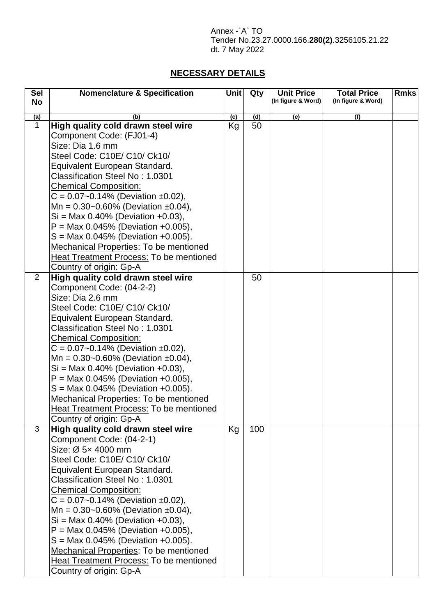Annex -`A` TO Tender No.23.27.0000.166.**280(2)**.3256105.21.22 dt. 7 May 2022

## **NECESSARY DETAILS**

| <b>Sel</b><br><b>No</b> | <b>Nomenclature &amp; Specification</b>                                                                                                                                                                                                                                                                                   | <b>Unit</b> | Qty | <b>Unit Price</b><br>(In figure & Word) | <b>Total Price</b><br>(In figure & Word) | <b>Rmks</b> |
|-------------------------|---------------------------------------------------------------------------------------------------------------------------------------------------------------------------------------------------------------------------------------------------------------------------------------------------------------------------|-------------|-----|-----------------------------------------|------------------------------------------|-------------|
| (a)                     | (b)                                                                                                                                                                                                                                                                                                                       | (c)         | (d) | (e)                                     | (f)                                      |             |
| $\mathbf{1}$            | High quality cold drawn steel wire                                                                                                                                                                                                                                                                                        | Kg          | 50  |                                         |                                          |             |
|                         | Component Code: (FJ01-4)                                                                                                                                                                                                                                                                                                  |             |     |                                         |                                          |             |
|                         | Size: Dia 1.6 mm                                                                                                                                                                                                                                                                                                          |             |     |                                         |                                          |             |
|                         | Steel Code: C10E/ C10/ Ck10/                                                                                                                                                                                                                                                                                              |             |     |                                         |                                          |             |
|                         | Equivalent European Standard.                                                                                                                                                                                                                                                                                             |             |     |                                         |                                          |             |
|                         | <b>Classification Steel No: 1.0301</b>                                                                                                                                                                                                                                                                                    |             |     |                                         |                                          |             |
|                         | <b>Chemical Composition:</b>                                                                                                                                                                                                                                                                                              |             |     |                                         |                                          |             |
|                         | $C = 0.07 - 0.14\%$ (Deviation ±0.02),                                                                                                                                                                                                                                                                                    |             |     |                                         |                                          |             |
|                         | Mn = $0.30$ ~0.60% (Deviation ±0.04),                                                                                                                                                                                                                                                                                     |             |     |                                         |                                          |             |
|                         | $Si = Max 0.40\%$ (Deviation +0.03),                                                                                                                                                                                                                                                                                      |             |     |                                         |                                          |             |
|                         | $P = \text{Max } 0.045\%$ (Deviation +0.005),                                                                                                                                                                                                                                                                             |             |     |                                         |                                          |             |
|                         | $S = Max 0.045\%$ (Deviation +0.005).                                                                                                                                                                                                                                                                                     |             |     |                                         |                                          |             |
|                         | <b>Mechanical Properties: To be mentioned</b>                                                                                                                                                                                                                                                                             |             |     |                                         |                                          |             |
|                         | <b>Heat Treatment Process: To be mentioned</b>                                                                                                                                                                                                                                                                            |             |     |                                         |                                          |             |
|                         | Country of origin: Gp-A                                                                                                                                                                                                                                                                                                   |             |     |                                         |                                          |             |
| $\overline{2}$          | High quality cold drawn steel wire                                                                                                                                                                                                                                                                                        |             | 50  |                                         |                                          |             |
|                         | Component Code: (04-2-2)                                                                                                                                                                                                                                                                                                  |             |     |                                         |                                          |             |
|                         | Size: Dia 2.6 mm                                                                                                                                                                                                                                                                                                          |             |     |                                         |                                          |             |
|                         | Steel Code: C10E/ C10/ Ck10/                                                                                                                                                                                                                                                                                              |             |     |                                         |                                          |             |
|                         | Equivalent European Standard.                                                                                                                                                                                                                                                                                             |             |     |                                         |                                          |             |
|                         | Classification Steel No: 1.0301                                                                                                                                                                                                                                                                                           |             |     |                                         |                                          |             |
|                         | <b>Chemical Composition:</b>                                                                                                                                                                                                                                                                                              |             |     |                                         |                                          |             |
|                         | $C = 0.07 - 0.14\%$ (Deviation ±0.02),                                                                                                                                                                                                                                                                                    |             |     |                                         |                                          |             |
|                         | Mn = $0.30$ ~0.60% (Deviation ±0.04),                                                                                                                                                                                                                                                                                     |             |     |                                         |                                          |             |
|                         | $Si = Max 0.40\%$ (Deviation +0.03),                                                                                                                                                                                                                                                                                      |             |     |                                         |                                          |             |
|                         | $P = Max 0.045\%$ (Deviation +0.005),                                                                                                                                                                                                                                                                                     |             |     |                                         |                                          |             |
|                         | $S = Max 0.045\%$ (Deviation +0.005).                                                                                                                                                                                                                                                                                     |             |     |                                         |                                          |             |
|                         | Mechanical Properties: To be mentioned                                                                                                                                                                                                                                                                                    |             |     |                                         |                                          |             |
|                         | <b>Heat Treatment Process: To be mentioned</b>                                                                                                                                                                                                                                                                            |             |     |                                         |                                          |             |
|                         | Country of origin: Gp-A                                                                                                                                                                                                                                                                                                   |             |     |                                         |                                          |             |
| 3                       | High quality cold drawn steel wire                                                                                                                                                                                                                                                                                        | Kg          | 100 |                                         |                                          |             |
|                         | Component Code: (04-2-1)                                                                                                                                                                                                                                                                                                  |             |     |                                         |                                          |             |
|                         | Size: Ø 5x 4000 mm                                                                                                                                                                                                                                                                                                        |             |     |                                         |                                          |             |
|                         | Steel Code: C10E/ C10/ Ck10/                                                                                                                                                                                                                                                                                              |             |     |                                         |                                          |             |
|                         | Equivalent European Standard.                                                                                                                                                                                                                                                                                             |             |     |                                         |                                          |             |
|                         | Classification Steel No: 1.0301                                                                                                                                                                                                                                                                                           |             |     |                                         |                                          |             |
|                         | Chemical Composition:                                                                                                                                                                                                                                                                                                     |             |     |                                         |                                          |             |
|                         |                                                                                                                                                                                                                                                                                                                           |             |     |                                         |                                          |             |
|                         |                                                                                                                                                                                                                                                                                                                           |             |     |                                         |                                          |             |
|                         |                                                                                                                                                                                                                                                                                                                           |             |     |                                         |                                          |             |
|                         |                                                                                                                                                                                                                                                                                                                           |             |     |                                         |                                          |             |
|                         |                                                                                                                                                                                                                                                                                                                           |             |     |                                         |                                          |             |
|                         |                                                                                                                                                                                                                                                                                                                           |             |     |                                         |                                          |             |
|                         |                                                                                                                                                                                                                                                                                                                           |             |     |                                         |                                          |             |
|                         | $C = 0.07 - 0.14\%$ (Deviation ±0.02),<br>Mn = $0.30$ ~0.60% (Deviation ±0.04),<br>$Si = Max 0.40\%$ (Deviation +0.03),<br>$P = Max 0.045\%$ (Deviation +0.005),<br>$S = Max 0.045\%$ (Deviation +0.005).<br>Mechanical Properties: To be mentioned<br>Heat Treatment Process: To be mentioned<br>Country of origin: Gp-A |             |     |                                         |                                          |             |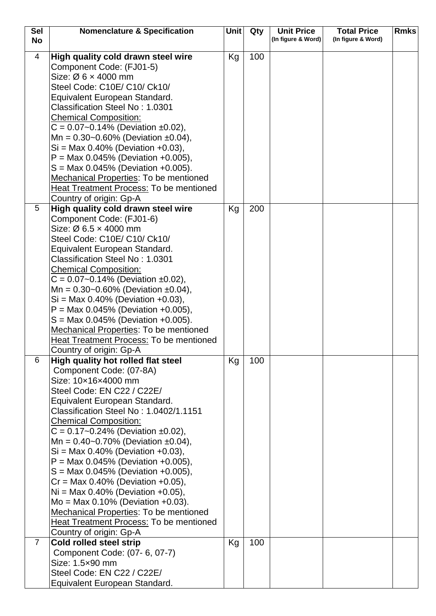| <b>Sel</b>     | <b>Nomenclature &amp; Specification</b>                                         | Unit | Qty | <b>Unit Price</b>  | <b>Total Price</b> | <b>Rmks</b> |
|----------------|---------------------------------------------------------------------------------|------|-----|--------------------|--------------------|-------------|
| <b>No</b>      |                                                                                 |      |     | (In figure & Word) | (In figure & Word) |             |
| 4              | High quality cold drawn steel wire                                              | Kg   | 100 |                    |                    |             |
|                | Component Code: (FJ01-5)                                                        |      |     |                    |                    |             |
|                | Size: $\varnothing$ 6 $\times$ 4000 mm                                          |      |     |                    |                    |             |
|                | Steel Code: C10E/ C10/ Ck10/                                                    |      |     |                    |                    |             |
|                | Equivalent European Standard.                                                   |      |     |                    |                    |             |
|                | Classification Steel No: 1.0301                                                 |      |     |                    |                    |             |
|                | <b>Chemical Composition:</b>                                                    |      |     |                    |                    |             |
|                | $C = 0.07 - 0.14\%$ (Deviation ±0.02),                                          |      |     |                    |                    |             |
|                | Mn = $0.30$ ~0.60% (Deviation ±0.04),                                           |      |     |                    |                    |             |
|                | $Si = Max 0.40\%$ (Deviation +0.03),                                            |      |     |                    |                    |             |
|                | $P = Max 0.045\%$ (Deviation +0.005),                                           |      |     |                    |                    |             |
|                | $S = Max 0.045\%$ (Deviation +0.005).                                           |      |     |                    |                    |             |
|                | <b>Mechanical Properties: To be mentioned</b>                                   |      |     |                    |                    |             |
|                | <b>Heat Treatment Process: To be mentioned</b>                                  |      |     |                    |                    |             |
|                | Country of origin: Gp-A                                                         |      |     |                    |                    |             |
| 5              | High quality cold drawn steel wire                                              | Kg   | 200 |                    |                    |             |
|                | Component Code: (FJ01-6)                                                        |      |     |                    |                    |             |
|                | Size: $\varnothing$ 6.5 $\times$ 4000 mm                                        |      |     |                    |                    |             |
|                | Steel Code: C10E/ C10/ Ck10/                                                    |      |     |                    |                    |             |
|                | Equivalent European Standard.                                                   |      |     |                    |                    |             |
|                | Classification Steel No: 1.0301                                                 |      |     |                    |                    |             |
|                | <b>Chemical Composition:</b>                                                    |      |     |                    |                    |             |
|                | $C = 0.07 - 0.14\%$ (Deviation ±0.02),                                          |      |     |                    |                    |             |
|                | Mn = $0.30$ ~0.60% (Deviation ±0.04),                                           |      |     |                    |                    |             |
|                | $Si = Max 0.40\%$ (Deviation +0.03),                                            |      |     |                    |                    |             |
|                | $P = Max 0.045\%$ (Deviation +0.005),                                           |      |     |                    |                    |             |
|                | $S = Max 0.045\%$ (Deviation +0.005).<br>Mechanical Properties: To be mentioned |      |     |                    |                    |             |
|                | <b>Heat Treatment Process: To be mentioned</b>                                  |      |     |                    |                    |             |
|                | Country of origin: Gp-A                                                         |      |     |                    |                    |             |
| 6              | High quality hot rolled flat steel                                              | Kg   | 100 |                    |                    |             |
|                | Component Code: (07-8A)                                                         |      |     |                    |                    |             |
|                | Size: 10×16×4000 mm                                                             |      |     |                    |                    |             |
|                | Steel Code: EN C22 / C22E/                                                      |      |     |                    |                    |             |
|                | Equivalent European Standard.                                                   |      |     |                    |                    |             |
|                | Classification Steel No: 1.0402/1.1151                                          |      |     |                    |                    |             |
|                | <b>Chemical Composition:</b>                                                    |      |     |                    |                    |             |
|                | $C = 0.17 - 0.24\%$ (Deviation ±0.02),                                          |      |     |                    |                    |             |
|                | Mn = $0.40$ ~0.70% (Deviation ±0.04),                                           |      |     |                    |                    |             |
|                | $Si = Max 0.40\%$ (Deviation +0.03),                                            |      |     |                    |                    |             |
|                | $P = Max 0.045\%$ (Deviation +0.005),                                           |      |     |                    |                    |             |
|                | $S = \text{Max } 0.045\%$ (Deviation +0.005),                                   |      |     |                    |                    |             |
|                | $Cr = Max 0.40\%$ (Deviation +0.05),                                            |      |     |                    |                    |             |
|                | $Ni = Max 0.40\%$ (Deviation +0.05),                                            |      |     |                    |                    |             |
|                | $Mo = Max 0.10\%$ (Deviation +0.03).                                            |      |     |                    |                    |             |
|                | <b>Mechanical Properties: To be mentioned</b>                                   |      |     |                    |                    |             |
|                | Heat Treatment Process: To be mentioned                                         |      |     |                    |                    |             |
|                | Country of origin: Gp-A                                                         |      |     |                    |                    |             |
| $\overline{7}$ | <b>Cold rolled steel strip</b>                                                  | Kg   | 100 |                    |                    |             |
|                | Component Code: (07-6, 07-7)                                                    |      |     |                    |                    |             |
|                | Size: 1.5×90 mm                                                                 |      |     |                    |                    |             |
|                | Steel Code: EN C22 / C22E/<br>Equivalent European Standard.                     |      |     |                    |                    |             |
|                |                                                                                 |      |     |                    |                    |             |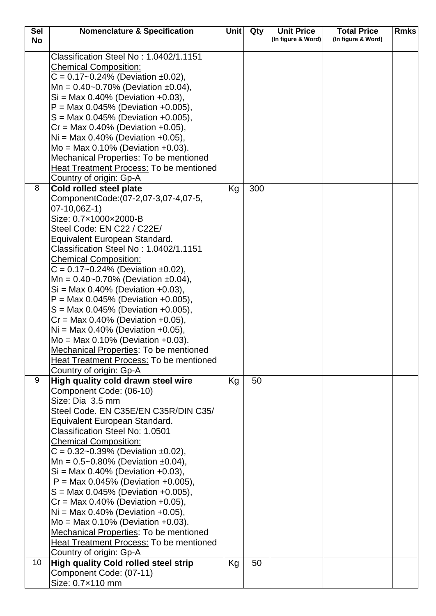| <b>Sel</b> | <b>Nomenclature &amp; Specification</b>                                                                                                                                                                                                                                                                                                                                                                                                                                                                                                                                                                                                                                                                                           | <b>Unit</b> | Qty | <b>Unit Price</b>  | <b>Total Price</b> | <b>Rmks</b> |
|------------|-----------------------------------------------------------------------------------------------------------------------------------------------------------------------------------------------------------------------------------------------------------------------------------------------------------------------------------------------------------------------------------------------------------------------------------------------------------------------------------------------------------------------------------------------------------------------------------------------------------------------------------------------------------------------------------------------------------------------------------|-------------|-----|--------------------|--------------------|-------------|
| <b>No</b>  |                                                                                                                                                                                                                                                                                                                                                                                                                                                                                                                                                                                                                                                                                                                                   |             |     | (In figure & Word) | (In figure & Word) |             |
|            | Classification Steel No: 1.0402/1.1151<br><b>Chemical Composition:</b><br>$C = 0.17 - 0.24\%$ (Deviation ±0.02),<br>Mn = $0.40$ ~ 0.70% (Deviation $\pm 0.04$ ),<br>$Si = Max 0.40\%$ (Deviation +0.03),<br>$P = Max 0.045\%$ (Deviation +0.005),<br>$S = \text{Max } 0.045\%$ (Deviation +0.005),<br>$Cr = Max 0.40\%$ (Deviation +0.05),<br>$Ni = Max 0.40\%$ (Deviation +0.05),<br>$Mo = Max 0.10% (Deviation +0.03).$<br><b>Mechanical Properties: To be mentioned</b><br><b>Heat Treatment Process: To be mentioned</b><br>Country of origin: Gp-A                                                                                                                                                                           |             |     |                    |                    |             |
| 8          | Cold rolled steel plate<br>ComponentCode: (07-2,07-3,07-4,07-5,<br>$07-10,06Z-1)$<br>Size: 0.7×1000×2000-B<br>Steel Code: EN C22 / C22E/<br>Equivalent European Standard.<br>Classification Steel No: 1.0402/1.1151<br><b>Chemical Composition:</b><br>$C = 0.17 - 0.24\%$ (Deviation ±0.02),<br>Mn = $0.40$ ~0.70% (Deviation ±0.04),<br>$Si = Max 0.40\%$ (Deviation +0.03),<br>$P = Max 0.045\%$ (Deviation +0.005),<br>$S = \text{Max } 0.045\%$ (Deviation +0.005),<br>$Cr = Max 0.40\%$ (Deviation +0.05),<br>$Ni = Max 0.40\%$ (Deviation +0.05),<br>$Mo = Max 0.10\%$ (Deviation +0.03).<br>Mechanical Properties: To be mentioned<br><b>Heat Treatment Process: To be mentioned</b>                                      | Kg          | 300 |                    |                    |             |
| 9          | Country of origin: Gp-A<br>High quality cold drawn steel wire<br>Component Code: (06-10)<br>Size: Dia 3.5 mm<br>Steel Code. EN C35E/EN C35R/DIN C35/<br>Equivalent European Standard.<br>Classification Steel No: 1.0501<br><b>Chemical Composition:</b><br>$C = 0.32 - 0.39\%$ (Deviation ±0.02),<br>Mn = $0.5 - 0.80\%$ (Deviation $\pm 0.04$ ),<br>$Si = Max 0.40%$ (Deviation +0.03),<br>$P = Max 0.045\%$ (Deviation +0.005),<br>$S = \text{Max } 0.045\%$ (Deviation +0.005),<br>$Cr = Max 0.40\%$ (Deviation +0.05),<br>$Ni = Max 0.40\%$ (Deviation +0.05),<br>$Mo = Max 0.10% (Deviation +0.03).$<br>Mechanical Properties: To be mentioned<br><b>Heat Treatment Process: To be mentioned</b><br>Country of origin: Gp-A | Kg          | 50  |                    |                    |             |
| 10         | <b>High quality Cold rolled steel strip</b>                                                                                                                                                                                                                                                                                                                                                                                                                                                                                                                                                                                                                                                                                       | Kg          | 50  |                    |                    |             |
|            | Component Code: (07-11)<br>Size: 0.7×110 mm                                                                                                                                                                                                                                                                                                                                                                                                                                                                                                                                                                                                                                                                                       |             |     |                    |                    |             |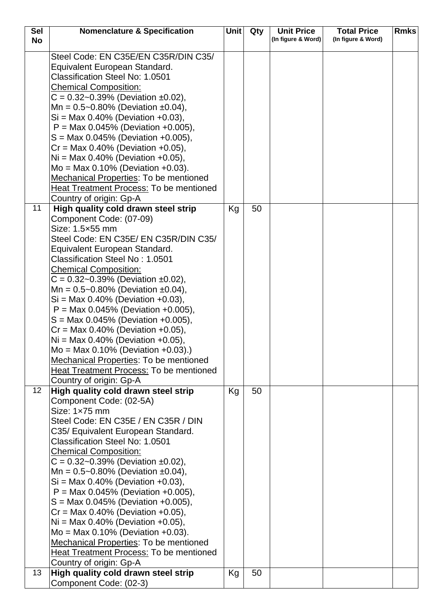| <b>Sel</b>      | <b>Nomenclature &amp; Specification</b>                                                | <b>Unit</b> | Qty | <b>Unit Price</b>  | <b>Total Price</b> | <b>Rmks</b> |
|-----------------|----------------------------------------------------------------------------------------|-------------|-----|--------------------|--------------------|-------------|
| <b>No</b>       |                                                                                        |             |     | (In figure & Word) | (In figure & Word) |             |
|                 | Steel Code: EN C35E/EN C35R/DIN C35/<br>Equivalent European Standard.                  |             |     |                    |                    |             |
|                 | Classification Steel No: 1.0501                                                        |             |     |                    |                    |             |
|                 | <b>Chemical Composition:</b>                                                           |             |     |                    |                    |             |
|                 | $C = 0.32 - 0.39\%$ (Deviation ±0.02),                                                 |             |     |                    |                    |             |
|                 | Mn = $0.5 - 0.80\%$ (Deviation ±0.04),                                                 |             |     |                    |                    |             |
|                 | $Si = Max 0.40\%$ (Deviation +0.03),                                                   |             |     |                    |                    |             |
|                 | $P = Max 0.045\%$ (Deviation +0.005),                                                  |             |     |                    |                    |             |
|                 | $S = \text{Max } 0.045\%$ (Deviation +0.005),                                          |             |     |                    |                    |             |
|                 | $Cr = Max 0.40\%$ (Deviation +0.05),                                                   |             |     |                    |                    |             |
|                 | $Ni = Max 0.40\%$ (Deviation +0.05),                                                   |             |     |                    |                    |             |
|                 | $Mo = Max 0.10\%$ (Deviation +0.03).                                                   |             |     |                    |                    |             |
|                 | Mechanical Properties: To be mentioned                                                 |             |     |                    |                    |             |
|                 | <b>Heat Treatment Process: To be mentioned</b>                                         |             |     |                    |                    |             |
|                 | Country of origin: Gp-A                                                                |             |     |                    |                    |             |
| 11              | High quality cold drawn steel strip                                                    | Кg          | 50  |                    |                    |             |
|                 | Component Code: (07-09)<br>Size: 1.5×55 mm                                             |             |     |                    |                    |             |
|                 | Steel Code: EN C35E/ EN C35R/DIN C35/                                                  |             |     |                    |                    |             |
|                 | Equivalent European Standard.                                                          |             |     |                    |                    |             |
|                 | <b>Classification Steel No: 1.0501</b>                                                 |             |     |                    |                    |             |
|                 | <b>Chemical Composition:</b>                                                           |             |     |                    |                    |             |
|                 | $C = 0.32 - 0.39\%$ (Deviation ±0.02),                                                 |             |     |                    |                    |             |
|                 | Mn = $0.5 - 0.80\%$ (Deviation ±0.04),                                                 |             |     |                    |                    |             |
|                 | $Si = Max 0.40\%$ (Deviation +0.03),                                                   |             |     |                    |                    |             |
|                 | $P = Max 0.045\%$ (Deviation +0.005),                                                  |             |     |                    |                    |             |
|                 | $S = Max 0.045\%$ (Deviation +0.005),                                                  |             |     |                    |                    |             |
|                 | $Cr = Max 0.40\%$ (Deviation +0.05),                                                   |             |     |                    |                    |             |
|                 | $Ni = Max 0.40\%$ (Deviation +0.05),                                                   |             |     |                    |                    |             |
|                 | $Mo = Max 0.10\%$ (Deviation +0.03).)<br><b>Mechanical Properties: To be mentioned</b> |             |     |                    |                    |             |
|                 | Heat Treatment Process: To be mentioned                                                |             |     |                    |                    |             |
|                 | Country of origin: Gp-A                                                                |             |     |                    |                    |             |
| 12 <sub>2</sub> | High quality cold drawn steel strip                                                    | Kg          | 50  |                    |                    |             |
|                 | Component Code: (02-5A)                                                                |             |     |                    |                    |             |
|                 | Size: $1\times 75$ mm                                                                  |             |     |                    |                    |             |
|                 | Steel Code: EN C35E / EN C35R / DIN                                                    |             |     |                    |                    |             |
|                 | C35/ Equivalent European Standard.                                                     |             |     |                    |                    |             |
|                 | <b>Classification Steel No: 1.0501</b>                                                 |             |     |                    |                    |             |
|                 | <b>Chemical Composition:</b>                                                           |             |     |                    |                    |             |
|                 | $C = 0.32 - 0.39\%$ (Deviation ±0.02),                                                 |             |     |                    |                    |             |
|                 | Mn = $0.5 - 0.80\%$ (Deviation ±0.04),                                                 |             |     |                    |                    |             |
|                 | $Si = Max 0.40\%$ (Deviation +0.03),                                                   |             |     |                    |                    |             |
|                 | $P = Max 0.045\%$ (Deviation +0.005),                                                  |             |     |                    |                    |             |
|                 | $S = Max 0.045\%$ (Deviation +0.005),<br>$Cr = Max 0.40\%$ (Deviation +0.05),          |             |     |                    |                    |             |
|                 | $Ni = Max 0.40\%$ (Deviation +0.05),                                                   |             |     |                    |                    |             |
|                 | $Mo = Max 0.10% (Deviation +0.03).$                                                    |             |     |                    |                    |             |
|                 | <b>Mechanical Properties: To be mentioned</b>                                          |             |     |                    |                    |             |
|                 | Heat Treatment Process: To be mentioned                                                |             |     |                    |                    |             |
|                 | Country of origin: Gp-A                                                                |             |     |                    |                    |             |
| 13              | High quality cold drawn steel strip                                                    | Kg          | 50  |                    |                    |             |
|                 | Component Code: (02-3)                                                                 |             |     |                    |                    |             |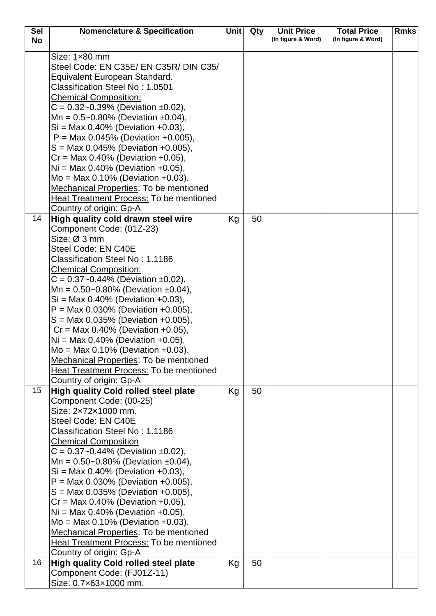| <b>Sel</b> | <b>Nomenclature &amp; Specification</b>                                | Unit | Qty | <b>Unit Price</b>  | <b>Total Price</b> | <b>Rmks</b> |
|------------|------------------------------------------------------------------------|------|-----|--------------------|--------------------|-------------|
| <b>No</b>  |                                                                        |      |     | (In figure & Word) | (In figure & Word) |             |
|            | Size: 1×80 mm                                                          |      |     |                    |                    |             |
|            | Steel Code: EN C35E/ EN C35R/ DIN C35/                                 |      |     |                    |                    |             |
|            | Equivalent European Standard.                                          |      |     |                    |                    |             |
|            | <b>Classification Steel No: 1.0501</b>                                 |      |     |                    |                    |             |
|            | <b>Chemical Composition:</b>                                           |      |     |                    |                    |             |
|            | $C = 0.32 - 0.39\%$ (Deviation ±0.02),                                 |      |     |                    |                    |             |
|            | Mn = $0.5 - 0.80\%$ (Deviation ±0.04),                                 |      |     |                    |                    |             |
|            | $Si = Max 0.40\%$ (Deviation +0.03),                                   |      |     |                    |                    |             |
|            | $P = Max 0.045\%$ (Deviation +0.005),                                  |      |     |                    |                    |             |
|            | $S = \text{Max } 0.045\%$ (Deviation +0.005),                          |      |     |                    |                    |             |
|            | $Cr = Max 0.40\%$ (Deviation +0.05),                                   |      |     |                    |                    |             |
|            | $Ni = Max 0.40\%$ (Deviation +0.05),                                   |      |     |                    |                    |             |
|            | $Mo = Max 0.10% (Deviation +0.03).$                                    |      |     |                    |                    |             |
|            | Mechanical Properties: To be mentioned                                 |      |     |                    |                    |             |
|            | Heat Treatment Process: To be mentioned                                |      |     |                    |                    |             |
|            | Country of origin: Gp-A                                                |      |     |                    |                    |             |
| 14         | High quality cold drawn steel wire                                     | Kg   | 50  |                    |                    |             |
|            | Component Code: (01Z-23)                                               |      |     |                    |                    |             |
|            | Size: Ø 3 mm                                                           |      |     |                    |                    |             |
|            | Steel Code: EN C40E                                                    |      |     |                    |                    |             |
|            | Classification Steel No: 1.1186                                        |      |     |                    |                    |             |
|            | <b>Chemical Composition:</b>                                           |      |     |                    |                    |             |
|            | $C = 0.37 - 0.44\%$ (Deviation ±0.02),                                 |      |     |                    |                    |             |
|            | Mn = $0.50$ ~0.80% (Deviation ±0.04),                                  |      |     |                    |                    |             |
|            | $Si = Max 0.40\%$ (Deviation +0.03),                                   |      |     |                    |                    |             |
|            | $P = Max 0.030\%$ (Deviation +0.005),                                  |      |     |                    |                    |             |
|            | $S = Max 0.035%$ (Deviation +0.005),                                   |      |     |                    |                    |             |
|            | $Cr = Max 0.40\%$ (Deviation +0.05),                                   |      |     |                    |                    |             |
|            | $Ni = Max 0.40\%$ (Deviation +0.05),                                   |      |     |                    |                    |             |
|            | $Mo = Max 0.10\%$ (Deviation +0.03).                                   |      |     |                    |                    |             |
|            | Mechanical Properties: To be mentioned                                 |      |     |                    |                    |             |
|            | <b>Heat Treatment Process: To be mentioned</b>                         |      |     |                    |                    |             |
| 15         | Country of origin: Gp-A<br><b>High quality Cold rolled steel plate</b> | Kg   | 50  |                    |                    |             |
|            | Component Code: (00-25)                                                |      |     |                    |                    |             |
|            | Size: 2x72x1000 mm.                                                    |      |     |                    |                    |             |
|            | Steel Code: EN C40E                                                    |      |     |                    |                    |             |
|            | Classification Steel No: 1.1186                                        |      |     |                    |                    |             |
|            | <b>Chemical Composition</b>                                            |      |     |                    |                    |             |
|            | $C = 0.37 - 0.44\%$ (Deviation ±0.02),                                 |      |     |                    |                    |             |
|            | Mn = $0.50$ ~0.80% (Deviation ±0.04),                                  |      |     |                    |                    |             |
|            | $Si = Max 0.40\%$ (Deviation +0.03),                                   |      |     |                    |                    |             |
|            | $P = Max 0.030\%$ (Deviation +0.005),                                  |      |     |                    |                    |             |
|            | $S = Max 0.035\%$ (Deviation +0.005),                                  |      |     |                    |                    |             |
|            | $Cr = Max 0.40\%$ (Deviation +0.05),                                   |      |     |                    |                    |             |
|            | $Ni = Max 0.40\%$ (Deviation +0.05),                                   |      |     |                    |                    |             |
|            | $Mo = Max 0.10% (Deviation +0.03).$                                    |      |     |                    |                    |             |
|            | Mechanical Properties: To be mentioned                                 |      |     |                    |                    |             |
|            | <b>Heat Treatment Process: To be mentioned</b>                         |      |     |                    |                    |             |
|            | Country of origin: Gp-A                                                |      |     |                    |                    |             |
| 16         | <b>High quality Cold rolled steel plate</b>                            | Kg   | 50  |                    |                    |             |
|            | Component Code: (FJ01Z-11)                                             |      |     |                    |                    |             |
|            | Size: 0.7×63×1000 mm.                                                  |      |     |                    |                    |             |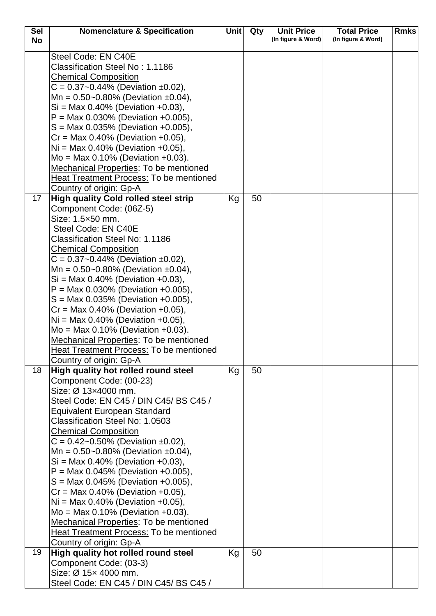| <b>Sel</b> | <b>Nomenclature &amp; Specification</b>                                      | <b>Unit</b> | Qty | <b>Unit Price</b>  | <b>Total Price</b> | <b>Rmks</b> |
|------------|------------------------------------------------------------------------------|-------------|-----|--------------------|--------------------|-------------|
| <b>No</b>  |                                                                              |             |     | (In figure & Word) | (In figure & Word) |             |
|            | Steel Code: EN C40E                                                          |             |     |                    |                    |             |
|            | Classification Steel No: 1.1186                                              |             |     |                    |                    |             |
|            | <b>Chemical Composition</b>                                                  |             |     |                    |                    |             |
|            | $C = 0.37 - 0.44\%$ (Deviation ±0.02),                                       |             |     |                    |                    |             |
|            | Mn = $0.50$ ~0.80% (Deviation ±0.04),                                        |             |     |                    |                    |             |
|            | $Si = Max 0.40\%$ (Deviation +0.03),                                         |             |     |                    |                    |             |
|            | $P = Max 0.030\%$ (Deviation +0.005),                                        |             |     |                    |                    |             |
|            | $S = Max 0.035\%$ (Deviation +0.005),                                        |             |     |                    |                    |             |
|            | $Cr = Max 0.40\%$ (Deviation +0.05),                                         |             |     |                    |                    |             |
|            | $Ni = Max 0.40\%$ (Deviation +0.05),                                         |             |     |                    |                    |             |
|            | $Mo = Max 0.10% (Deviation +0.03).$                                          |             |     |                    |                    |             |
|            | <b>Mechanical Properties: To be mentioned</b>                                |             |     |                    |                    |             |
|            | Heat Treatment Process: To be mentioned                                      |             |     |                    |                    |             |
|            | Country of origin: Gp-A                                                      |             |     |                    |                    |             |
| 17         | <b>High quality Cold rolled steel strip</b>                                  | Kg          | 50  |                    |                    |             |
|            | Component Code: (06Z-5)                                                      |             |     |                    |                    |             |
|            | Size: 1.5×50 mm.                                                             |             |     |                    |                    |             |
|            | Steel Code: EN C40E                                                          |             |     |                    |                    |             |
|            | Classification Steel No: 1.1186                                              |             |     |                    |                    |             |
|            | <b>Chemical Composition</b>                                                  |             |     |                    |                    |             |
|            | $C = 0.37 - 0.44\%$ (Deviation ±0.02),                                       |             |     |                    |                    |             |
|            | Mn = $0.50$ ~0.80% (Deviation ±0.04),                                        |             |     |                    |                    |             |
|            | $Si = Max 0.40\%$ (Deviation +0.03),                                         |             |     |                    |                    |             |
|            | $P = Max 0.030\%$ (Deviation +0.005),                                        |             |     |                    |                    |             |
|            | $S = \text{Max } 0.035\%$ (Deviation +0.005),                                |             |     |                    |                    |             |
|            | $Cr = Max 0.40\%$ (Deviation +0.05),<br>$Ni = Max 0.40\%$ (Deviation +0.05), |             |     |                    |                    |             |
|            | $Mo = Max 0.10\%$ (Deviation +0.03).                                         |             |     |                    |                    |             |
|            | <b>Mechanical Properties: To be mentioned</b>                                |             |     |                    |                    |             |
|            | <b>Heat Treatment Process: To be mentioned</b>                               |             |     |                    |                    |             |
|            | Country of origin: Gp-A                                                      |             |     |                    |                    |             |
| 18         | High quality hot rolled round steel                                          | Kg          | 50  |                    |                    |             |
|            | Component Code: (00-23)                                                      |             |     |                    |                    |             |
|            | Size: Ø 13×4000 mm.                                                          |             |     |                    |                    |             |
|            | Steel Code: EN C45 / DIN C45/BS C45 /                                        |             |     |                    |                    |             |
|            | <b>Equivalent European Standard</b>                                          |             |     |                    |                    |             |
|            | Classification Steel No: 1.0503                                              |             |     |                    |                    |             |
|            | <b>Chemical Composition</b>                                                  |             |     |                    |                    |             |
|            | $C = 0.42 - 0.50\%$ (Deviation ±0.02),                                       |             |     |                    |                    |             |
|            | Mn = $0.50$ ~0.80% (Deviation ±0.04),                                        |             |     |                    |                    |             |
|            | $Si = Max 0.40\%$ (Deviation +0.03),                                         |             |     |                    |                    |             |
|            | $P = Max 0.045\%$ (Deviation +0.005),                                        |             |     |                    |                    |             |
|            | $S = Max 0.045\%$ (Deviation +0.005),                                        |             |     |                    |                    |             |
|            | $Cr = Max 0.40\%$ (Deviation +0.05),<br>$Ni = Max 0.40\%$ (Deviation +0.05), |             |     |                    |                    |             |
|            | $Mo = Max 0.10% (Deviation +0.03).$                                          |             |     |                    |                    |             |
|            | Mechanical Properties: To be mentioned                                       |             |     |                    |                    |             |
|            | Heat Treatment Process: To be mentioned                                      |             |     |                    |                    |             |
|            | Country of origin: Gp-A                                                      |             |     |                    |                    |             |
| 19         | High quality hot rolled round steel                                          | Kg          | 50  |                    |                    |             |
|            | Component Code: (03-3)                                                       |             |     |                    |                    |             |
|            | Size: Ø 15x 4000 mm.                                                         |             |     |                    |                    |             |
|            | Steel Code: EN C45 / DIN C45/ BS C45 /                                       |             |     |                    |                    |             |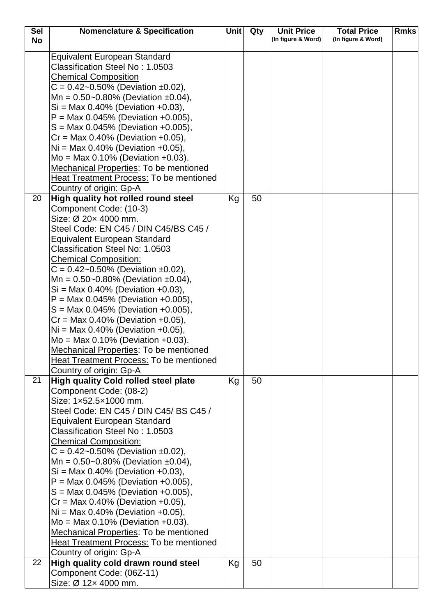| <b>Sel</b> | <b>Nomenclature &amp; Specification</b>                                        | <b>Unit</b> | Qty | <b>Unit Price</b>  | <b>Total Price</b> | <b>Rmks</b> |
|------------|--------------------------------------------------------------------------------|-------------|-----|--------------------|--------------------|-------------|
| <b>No</b>  |                                                                                |             |     | (In figure & Word) | (In figure & Word) |             |
|            | <b>Equivalent European Standard</b>                                            |             |     |                    |                    |             |
|            | Classification Steel No: 1.0503                                                |             |     |                    |                    |             |
|            | <b>Chemical Composition</b>                                                    |             |     |                    |                    |             |
|            | $C = 0.42 - 0.50\%$ (Deviation ±0.02),                                         |             |     |                    |                    |             |
|            | Mn = $0.50$ ~0.80% (Deviation ±0.04),                                          |             |     |                    |                    |             |
|            | $Si = Max 0.40\%$ (Deviation +0.03),                                           |             |     |                    |                    |             |
|            | $P = Max 0.045\%$ (Deviation +0.005),                                          |             |     |                    |                    |             |
|            | $S = Max 0.045\%$ (Deviation +0.005),                                          |             |     |                    |                    |             |
|            | $Cr = Max 0.40\%$ (Deviation +0.05),                                           |             |     |                    |                    |             |
|            | $Ni = Max 0.40\%$ (Deviation +0.05),                                           |             |     |                    |                    |             |
|            | $Mo = Max 0.10% (Deviation +0.03).$                                            |             |     |                    |                    |             |
|            | Mechanical Properties: To be mentioned                                         |             |     |                    |                    |             |
|            | <b>Heat Treatment Process: To be mentioned</b>                                 |             |     |                    |                    |             |
|            | Country of origin: Gp-A                                                        |             |     |                    |                    |             |
| 20         | High quality hot rolled round steel                                            | Kg          | 50  |                    |                    |             |
|            | Component Code: (10-3)                                                         |             |     |                    |                    |             |
|            | Size: Ø 20x 4000 mm.                                                           |             |     |                    |                    |             |
|            | Steel Code: EN C45 / DIN C45/BS C45 /                                          |             |     |                    |                    |             |
|            | <b>Equivalent European Standard</b>                                            |             |     |                    |                    |             |
|            | Classification Steel No: 1.0503                                                |             |     |                    |                    |             |
|            | <b>Chemical Composition:</b>                                                   |             |     |                    |                    |             |
|            | $C = 0.42 - 0.50\%$ (Deviation ±0.02),                                         |             |     |                    |                    |             |
|            | Mn = $0.50$ ~0.80% (Deviation ±0.04),                                          |             |     |                    |                    |             |
|            | $Si = Max 0.40\%$ (Deviation +0.03),                                           |             |     |                    |                    |             |
|            | $P = Max 0.045\%$ (Deviation +0.005),<br>$S = Max 0.045\%$ (Deviation +0.005), |             |     |                    |                    |             |
|            | $Cr = Max 0.40\%$ (Deviation +0.05),                                           |             |     |                    |                    |             |
|            | $Ni = Max 0.40\%$ (Deviation +0.05),                                           |             |     |                    |                    |             |
|            | $Mo = Max 0.10\%$ (Deviation +0.03).                                           |             |     |                    |                    |             |
|            | Mechanical Properties: To be mentioned                                         |             |     |                    |                    |             |
|            | <b>Heat Treatment Process: To be mentioned</b>                                 |             |     |                    |                    |             |
|            | Country of origin: Gp-A                                                        |             |     |                    |                    |             |
| 21         | <b>High quality Cold rolled steel plate</b>                                    | Kg          | 50  |                    |                    |             |
|            | Component Code: (08-2)                                                         |             |     |                    |                    |             |
|            | Size: 1x52.5x1000 mm.                                                          |             |     |                    |                    |             |
|            | Steel Code: EN C45 / DIN C45/ BS C45 /                                         |             |     |                    |                    |             |
|            | <b>Equivalent European Standard</b>                                            |             |     |                    |                    |             |
|            | Classification Steel No: 1,0503                                                |             |     |                    |                    |             |
|            | <b>Chemical Composition:</b>                                                   |             |     |                    |                    |             |
|            | $C = 0.42 - 0.50\%$ (Deviation ±0.02),                                         |             |     |                    |                    |             |
|            | Mn = $0.50$ ~0.80% (Deviation ±0.04),                                          |             |     |                    |                    |             |
|            | $Si = Max 0.40\%$ (Deviation +0.03),                                           |             |     |                    |                    |             |
|            | $P = Max 0.045\%$ (Deviation +0.005),                                          |             |     |                    |                    |             |
|            | $S = \text{Max } 0.045\%$ (Deviation +0.005),                                  |             |     |                    |                    |             |
|            | $Cr = Max 0.40\%$ (Deviation +0.05),                                           |             |     |                    |                    |             |
|            | $Ni = Max 0.40\%$ (Deviation +0.05),                                           |             |     |                    |                    |             |
|            | $Mo = Max 0.10% (Deviation +0.03).$                                            |             |     |                    |                    |             |
|            | Mechanical Properties: To be mentioned                                         |             |     |                    |                    |             |
|            | <b>Heat Treatment Process: To be mentioned</b><br>Country of origin: Gp-A      |             |     |                    |                    |             |
| 22         | High quality cold drawn round steel                                            | Kg          | 50  |                    |                    |             |
|            | Component Code: (06Z-11)                                                       |             |     |                    |                    |             |
|            | Size: Ø 12x 4000 mm.                                                           |             |     |                    |                    |             |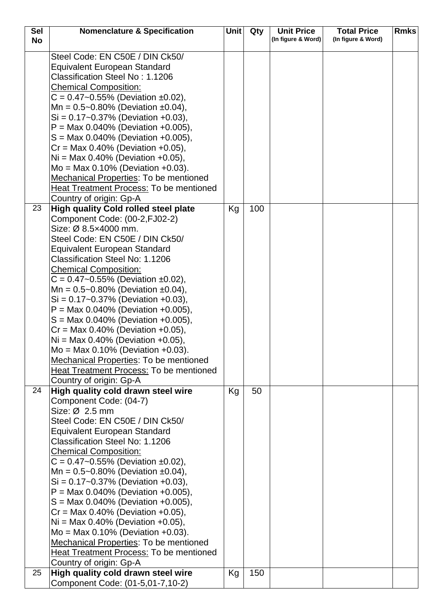| <b>Sel</b> | <b>Nomenclature &amp; Specification</b>                                                                   | <b>Unit</b> | Qty | <b>Unit Price</b>  | <b>Total Price</b> | <b>Rmks</b> |
|------------|-----------------------------------------------------------------------------------------------------------|-------------|-----|--------------------|--------------------|-------------|
| <b>No</b>  |                                                                                                           |             |     | (In figure & Word) | (In figure & Word) |             |
|            | Steel Code: EN C50E / DIN Ck50/<br><b>Equivalent European Standard</b><br>Classification Steel No: 1.1206 |             |     |                    |                    |             |
|            | <b>Chemical Composition:</b>                                                                              |             |     |                    |                    |             |
|            | $C = 0.47 - 0.55\%$ (Deviation ±0.02),                                                                    |             |     |                    |                    |             |
|            | Mn = $0.5 - 0.80\%$ (Deviation ±0.04),<br>$Si = 0.17 - 0.37\%$ (Deviation +0.03),                         |             |     |                    |                    |             |
|            | $P = Max 0.040\%$ (Deviation +0.005),                                                                     |             |     |                    |                    |             |
|            | $S = \text{Max } 0.040\%$ (Deviation +0.005),                                                             |             |     |                    |                    |             |
|            | $Cr = Max 0.40\%$ (Deviation +0.05),                                                                      |             |     |                    |                    |             |
|            | $Ni = Max 0.40\%$ (Deviation +0.05),                                                                      |             |     |                    |                    |             |
|            | $Mo = Max 0.10\%$ (Deviation +0.03).<br>Mechanical Properties: To be mentioned                            |             |     |                    |                    |             |
|            | <b>Heat Treatment Process: To be mentioned</b>                                                            |             |     |                    |                    |             |
|            | Country of origin: Gp-A                                                                                   |             |     |                    |                    |             |
| 23         | <b>High quality Cold rolled steel plate</b>                                                               | Kg          | 100 |                    |                    |             |
|            | Component Code: (00-2, FJ02-2)                                                                            |             |     |                    |                    |             |
|            | Size: Ø 8.5×4000 mm.<br>Steel Code: EN C50E / DIN Ck50/                                                   |             |     |                    |                    |             |
|            | <b>Equivalent European Standard</b>                                                                       |             |     |                    |                    |             |
|            | Classification Steel No: 1.1206                                                                           |             |     |                    |                    |             |
|            | <b>Chemical Composition:</b>                                                                              |             |     |                    |                    |             |
|            | $C = 0.47 - 0.55\%$ (Deviation ±0.02),<br>Mn = $0.5 - 0.80\%$ (Deviation ±0.04),                          |             |     |                    |                    |             |
|            | $Si = 0.17 - 0.37\%$ (Deviation +0.03),                                                                   |             |     |                    |                    |             |
|            | $P = Max 0.040\%$ (Deviation +0.005),                                                                     |             |     |                    |                    |             |
|            | $S = Max 0.040\%$ (Deviation +0.005),                                                                     |             |     |                    |                    |             |
|            | $Cr = Max 0.40\%$ (Deviation +0.05),                                                                      |             |     |                    |                    |             |
|            | $Ni = Max 0.40\%$ (Deviation +0.05),<br>$Mo = Max 0.10\%$ (Deviation +0.03).                              |             |     |                    |                    |             |
|            | <b>Mechanical Properties: To be mentioned</b>                                                             |             |     |                    |                    |             |
|            | Heat Treatment Process: To be mentioned                                                                   |             |     |                    |                    |             |
|            | Country of origin: Gp-A                                                                                   |             |     |                    |                    |             |
| 24         | High quality cold drawn steel wire<br>Component Code: (04-7)                                              | Kg          | 50  |                    |                    |             |
|            | Size: $Ø$ 2.5 mm                                                                                          |             |     |                    |                    |             |
|            | Steel Code: EN C50E / DIN Ck50/                                                                           |             |     |                    |                    |             |
|            | <b>Equivalent European Standard</b>                                                                       |             |     |                    |                    |             |
|            | Classification Steel No: 1.1206                                                                           |             |     |                    |                    |             |
|            | <b>Chemical Composition:</b><br>$C = 0.47 - 0.55\%$ (Deviation ±0.02),                                    |             |     |                    |                    |             |
|            | Mn = $0.5 - 0.80\%$ (Deviation ±0.04),                                                                    |             |     |                    |                    |             |
|            | $Si = 0.17 - 0.37\%$ (Deviation +0.03),                                                                   |             |     |                    |                    |             |
|            | $P = Max 0.040\%$ (Deviation +0.005),                                                                     |             |     |                    |                    |             |
|            | $S = \text{Max } 0.040\%$ (Deviation +0.005),<br>$Cr = Max 0.40\%$ (Deviation +0.05),                     |             |     |                    |                    |             |
|            | $Ni = Max 0.40\%$ (Deviation +0.05),                                                                      |             |     |                    |                    |             |
|            | $Mo = Max 0.10% (Deviation +0.03).$                                                                       |             |     |                    |                    |             |
|            | <b>Mechanical Properties: To be mentioned</b>                                                             |             |     |                    |                    |             |
|            | Heat Treatment Process: To be mentioned                                                                   |             |     |                    |                    |             |
| 25         | Country of origin: Gp-A<br>High quality cold drawn steel wire                                             | Kg          | 150 |                    |                    |             |
|            | Component Code: (01-5,01-7,10-2)                                                                          |             |     |                    |                    |             |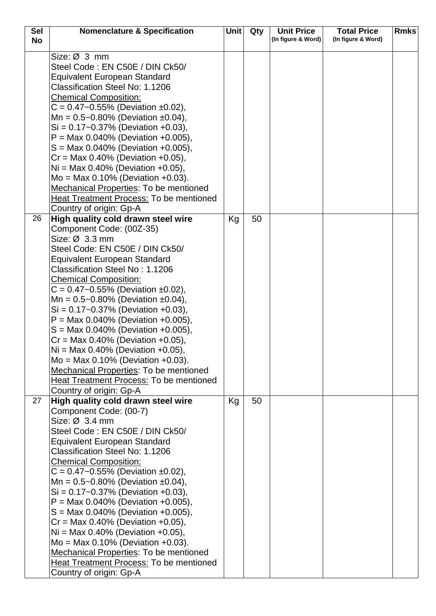| <b>Sel</b> | <b>Nomenclature &amp; Specification</b>                                           | Unit | Qty | <b>Unit Price</b>  | <b>Total Price</b> | <b>Rmks</b> |
|------------|-----------------------------------------------------------------------------------|------|-----|--------------------|--------------------|-------------|
| <b>No</b>  |                                                                                   |      |     | (In figure & Word) | (In figure & Word) |             |
|            | Size: Ø 3 mm                                                                      |      |     |                    |                    |             |
|            | Steel Code: EN C50E / DIN Ck50/                                                   |      |     |                    |                    |             |
|            | <b>Equivalent European Standard</b>                                               |      |     |                    |                    |             |
|            | <b>Classification Steel No: 1.1206</b>                                            |      |     |                    |                    |             |
|            | <b>Chemical Composition:</b>                                                      |      |     |                    |                    |             |
|            | $C = 0.47 - 0.55\%$ (Deviation ±0.02),                                            |      |     |                    |                    |             |
|            |                                                                                   |      |     |                    |                    |             |
|            | Mn = $0.5 - 0.80\%$ (Deviation ±0.04),<br>$Si = 0.17 - 0.37\%$ (Deviation +0.03), |      |     |                    |                    |             |
|            | $P = Max 0.040\%$ (Deviation +0.005),                                             |      |     |                    |                    |             |
|            | $S = Max 0.040\%$ (Deviation +0.005),                                             |      |     |                    |                    |             |
|            | $Cr = Max 0.40\%$ (Deviation +0.05),                                              |      |     |                    |                    |             |
|            | $Ni = Max 0.40\%$ (Deviation +0.05),                                              |      |     |                    |                    |             |
|            | $Mo = Max 0.10% (Deviation +0.03).$                                               |      |     |                    |                    |             |
|            | <b>Mechanical Properties: To be mentioned</b>                                     |      |     |                    |                    |             |
|            | <b>Heat Treatment Process: To be mentioned</b>                                    |      |     |                    |                    |             |
|            | Country of origin: Gp-A                                                           |      |     |                    |                    |             |
| 26         | High quality cold drawn steel wire                                                | Kg   | 50  |                    |                    |             |
|            | Component Code: (00Z-35)                                                          |      |     |                    |                    |             |
|            | Size: $Ø$ 3.3 mm                                                                  |      |     |                    |                    |             |
|            | Steel Code: EN C50E / DIN Ck50/                                                   |      |     |                    |                    |             |
|            | <b>Equivalent European Standard</b>                                               |      |     |                    |                    |             |
|            | Classification Steel No: 1.1206                                                   |      |     |                    |                    |             |
|            | <b>Chemical Composition:</b>                                                      |      |     |                    |                    |             |
|            | $C = 0.47 - 0.55\%$ (Deviation ±0.02),                                            |      |     |                    |                    |             |
|            | Mn = $0.5 - 0.80\%$ (Deviation ±0.04),                                            |      |     |                    |                    |             |
|            | $Si = 0.17 - 0.37\%$ (Deviation +0.03),                                           |      |     |                    |                    |             |
|            | $P = Max 0.040\%$ (Deviation +0.005),                                             |      |     |                    |                    |             |
|            | $S = Max 0.040\%$ (Deviation +0.005),                                             |      |     |                    |                    |             |
|            | $Cr = Max 0.40\%$ (Deviation +0.05),                                              |      |     |                    |                    |             |
|            | $Ni = Max 0.40\%$ (Deviation +0.05),                                              |      |     |                    |                    |             |
|            | $Mo = Max 0.10\%$ (Deviation +0.03).                                              |      |     |                    |                    |             |
|            | Mechanical Properties: To be mentioned                                            |      |     |                    |                    |             |
|            | Heat Treatment Process: To be mentioned                                           |      |     |                    |                    |             |
|            | Country of origin: Gp-A                                                           |      |     |                    |                    |             |
| 27         | High quality cold drawn steel wire                                                | Kg   | 50  |                    |                    |             |
|            | Component Code: (00-7)<br>Size: $\varnothing$ 3.4 mm                              |      |     |                    |                    |             |
|            | Steel Code: EN C50E / DIN Ck50/                                                   |      |     |                    |                    |             |
|            |                                                                                   |      |     |                    |                    |             |
|            | <b>Equivalent European Standard</b><br>Classification Steel No: 1.1206            |      |     |                    |                    |             |
|            |                                                                                   |      |     |                    |                    |             |
|            | <b>Chemical Composition:</b><br>$C = 0.47 - 0.55\%$ (Deviation ±0.02),            |      |     |                    |                    |             |
|            | Mn = $0.5 - 0.80\%$ (Deviation ±0.04),                                            |      |     |                    |                    |             |
|            | $Si = 0.17 - 0.37\%$ (Deviation +0.03),                                           |      |     |                    |                    |             |
|            | $P = \text{Max } 0.040\%$ (Deviation +0.005),                                     |      |     |                    |                    |             |
|            | $S = Max 0.040\%$ (Deviation +0.005),                                             |      |     |                    |                    |             |
|            | $Cr = Max 0.40\%$ (Deviation +0.05),                                              |      |     |                    |                    |             |
|            | $Ni = Max 0.40\%$ (Deviation +0.05),                                              |      |     |                    |                    |             |
|            | $Mo = Max 0.10% (Deviation +0.03).$                                               |      |     |                    |                    |             |
|            | Mechanical Properties: To be mentioned                                            |      |     |                    |                    |             |
|            | Heat Treatment Process: To be mentioned                                           |      |     |                    |                    |             |
|            | Country of origin: Gp-A                                                           |      |     |                    |                    |             |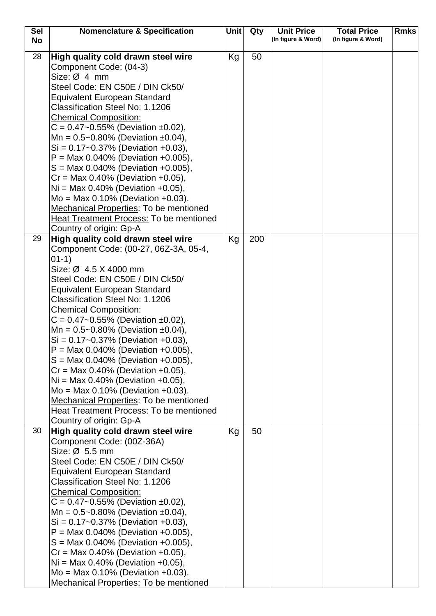| <b>Sel</b> | <b>Nomenclature &amp; Specification</b>                                | Unit | Qty | <b>Unit Price</b>  | <b>Total Price</b> | <b>Rmks</b> |
|------------|------------------------------------------------------------------------|------|-----|--------------------|--------------------|-------------|
| <b>No</b>  |                                                                        |      |     | (In figure & Word) | (In figure & Word) |             |
| 28         | High quality cold drawn steel wire                                     | Kg   | 50  |                    |                    |             |
|            | Component Code: (04-3)                                                 |      |     |                    |                    |             |
|            | Size: $Ø$ 4 mm                                                         |      |     |                    |                    |             |
|            | Steel Code: EN C50E / DIN Ck50/                                        |      |     |                    |                    |             |
|            | <b>Equivalent European Standard</b>                                    |      |     |                    |                    |             |
|            | Classification Steel No: 1.1206                                        |      |     |                    |                    |             |
|            | <b>Chemical Composition:</b>                                           |      |     |                    |                    |             |
|            | $C = 0.47 - 0.55\%$ (Deviation ±0.02),                                 |      |     |                    |                    |             |
|            | Mn = $0.5 - 0.80\%$ (Deviation ±0.04),                                 |      |     |                    |                    |             |
|            | $Si = 0.17 - 0.37\%$ (Deviation +0.03),                                |      |     |                    |                    |             |
|            | $P = Max 0.040\%$ (Deviation +0.005),                                  |      |     |                    |                    |             |
|            | $S = \text{Max } 0.040\%$ (Deviation +0.005),                          |      |     |                    |                    |             |
|            | $Cr = Max 0.40\%$ (Deviation +0.05),                                   |      |     |                    |                    |             |
|            | $Ni = Max 0.40%$ (Deviation +0.05),                                    |      |     |                    |                    |             |
|            | $Mo = Max 0.10% (Deviation +0.03).$                                    |      |     |                    |                    |             |
|            | <b>Mechanical Properties: To be mentioned</b>                          |      |     |                    |                    |             |
|            | Heat Treatment Process: To be mentioned                                |      |     |                    |                    |             |
|            | Country of origin: Gp-A                                                |      |     |                    |                    |             |
| 29         | High quality cold drawn steel wire                                     | Kg   | 200 |                    |                    |             |
|            | Component Code: (00-27, 06Z-3A, 05-4,                                  |      |     |                    |                    |             |
|            | $01-1)$<br>Size: Ø 4.5 X 4000 mm                                       |      |     |                    |                    |             |
|            | Steel Code: EN C50E / DIN Ck50/                                        |      |     |                    |                    |             |
|            | <b>Equivalent European Standard</b>                                    |      |     |                    |                    |             |
|            | Classification Steel No: 1.1206                                        |      |     |                    |                    |             |
|            | <b>Chemical Composition:</b>                                           |      |     |                    |                    |             |
|            | $C = 0.47 - 0.55\%$ (Deviation ±0.02),                                 |      |     |                    |                    |             |
|            | Mn = $0.5 - 0.80\%$ (Deviation ±0.04),                                 |      |     |                    |                    |             |
|            | $Si = 0.17 - 0.37\%$ (Deviation +0.03),                                |      |     |                    |                    |             |
|            | $P = Max 0.040\%$ (Deviation +0.005).                                  |      |     |                    |                    |             |
|            | $S = \text{Max } 0.040\%$ (Deviation +0.005),                          |      |     |                    |                    |             |
|            | $Cr = Max 0.40\%$ (Deviation +0.05),                                   |      |     |                    |                    |             |
|            | $Ni = Max 0.40\%$ (Deviation +0.05),                                   |      |     |                    |                    |             |
|            | $Mo = Max 0.10% (Deviation +0.03).$                                    |      |     |                    |                    |             |
|            | Mechanical Properties: To be mentioned                                 |      |     |                    |                    |             |
|            | Heat Treatment Process: To be mentioned                                |      |     |                    |                    |             |
|            | Country of origin: Gp-A                                                |      |     |                    |                    |             |
| 30         | High quality cold drawn steel wire                                     | Kg   | 50  |                    |                    |             |
|            | Component Code: (00Z-36A)                                              |      |     |                    |                    |             |
|            | Size: $Ø$ 5.5 mm                                                       |      |     |                    |                    |             |
|            | Steel Code: EN C50E / DIN Ck50/                                        |      |     |                    |                    |             |
|            | <b>Equivalent European Standard</b>                                    |      |     |                    |                    |             |
|            | Classification Steel No: 1.1206                                        |      |     |                    |                    |             |
|            | <b>Chemical Composition:</b><br>$C = 0.47 - 0.55\%$ (Deviation ±0.02), |      |     |                    |                    |             |
|            | Mn = $0.5 - 0.80\%$ (Deviation ±0.04),                                 |      |     |                    |                    |             |
|            | $Si = 0.17 - 0.37\%$ (Deviation +0.03),                                |      |     |                    |                    |             |
|            | $P = Max 0.040\%$ (Deviation +0.005),                                  |      |     |                    |                    |             |
|            | $S = \text{Max } 0.040\%$ (Deviation +0.005),                          |      |     |                    |                    |             |
|            | $Cr = Max 0.40\%$ (Deviation +0.05),                                   |      |     |                    |                    |             |
|            | $Ni = Max 0.40\%$ (Deviation +0.05),                                   |      |     |                    |                    |             |
|            | $Mo = Max 0.10\%$ (Deviation +0.03).                                   |      |     |                    |                    |             |
|            | <b>Mechanical Properties: To be mentioned</b>                          |      |     |                    |                    |             |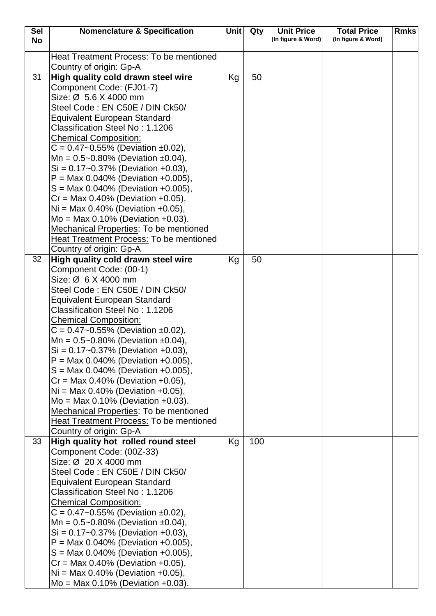| <b>Sel</b> | <b>Nomenclature &amp; Specification</b>                              | <b>Unit</b> | Qty | <b>Unit Price</b>  | <b>Total Price</b> | <b>Rmks</b> |
|------------|----------------------------------------------------------------------|-------------|-----|--------------------|--------------------|-------------|
| <b>No</b>  |                                                                      |             |     | (In figure & Word) | (In figure & Word) |             |
|            | <b>Heat Treatment Process: To be mentioned</b>                       |             |     |                    |                    |             |
|            | Country of origin: Gp-A                                              |             |     |                    |                    |             |
| 31         | High quality cold drawn steel wire                                   | Kg          | 50  |                    |                    |             |
|            | Component Code: (FJ01-7)                                             |             |     |                    |                    |             |
|            | Size: Ø 5.6 X 4000 mm                                                |             |     |                    |                    |             |
|            | Steel Code: EN C50E / DIN Ck50/                                      |             |     |                    |                    |             |
|            | Equivalent European Standard                                         |             |     |                    |                    |             |
|            | Classification Steel No: 1.1206                                      |             |     |                    |                    |             |
|            | <b>Chemical Composition:</b>                                         |             |     |                    |                    |             |
|            | $C = 0.47 - 0.55\%$ (Deviation ±0.02),                               |             |     |                    |                    |             |
|            | Mn = $0.5 - 0.80\%$ (Deviation ±0.04),                               |             |     |                    |                    |             |
|            | $Si = 0.17 - 0.37\%$ (Deviation +0.03),                              |             |     |                    |                    |             |
|            | $P = Max 0.040\%$ (Deviation +0.005),                                |             |     |                    |                    |             |
|            | $S = Max 0.040\%$ (Deviation +0.005),                                |             |     |                    |                    |             |
|            | $Cr = Max 0.40\%$ (Deviation +0.05),                                 |             |     |                    |                    |             |
|            | $Ni = Max 0.40\%$ (Deviation +0.05),                                 |             |     |                    |                    |             |
|            | $Mo = Max 0.10% (Deviation +0.03).$                                  |             |     |                    |                    |             |
|            | <b>Mechanical Properties: To be mentioned</b>                        |             |     |                    |                    |             |
|            | <b>Heat Treatment Process: To be mentioned</b>                       |             |     |                    |                    |             |
|            | Country of origin: Gp-A                                              |             |     |                    |                    |             |
| 32         | High quality cold drawn steel wire                                   | Kg          | 50  |                    |                    |             |
|            | Component Code: (00-1)                                               |             |     |                    |                    |             |
|            | Size: Ø 6 X 4000 mm<br>Steel Code: EN C50E / DIN Ck50/               |             |     |                    |                    |             |
|            | <b>Equivalent European Standard</b>                                  |             |     |                    |                    |             |
|            | Classification Steel No: 1.1206                                      |             |     |                    |                    |             |
|            | <b>Chemical Composition:</b>                                         |             |     |                    |                    |             |
|            | $C = 0.47 - 0.55\%$ (Deviation ±0.02),                               |             |     |                    |                    |             |
|            | Mn = $0.5 - 0.80\%$ (Deviation ±0.04),                               |             |     |                    |                    |             |
|            | $Si = 0.17 - 0.37\%$ (Deviation +0.03),                              |             |     |                    |                    |             |
|            | $P = Max 0.040\%$ (Deviation +0.005),                                |             |     |                    |                    |             |
|            | $S = \text{Max } 0.040\%$ (Deviation +0.005),                        |             |     |                    |                    |             |
|            | $Cr = Max 0.40\%$ (Deviation +0.05),                                 |             |     |                    |                    |             |
|            | $Ni = Max 0.40\%$ (Deviation +0.05),                                 |             |     |                    |                    |             |
|            | $Mo = Max 0.10\%$ (Deviation +0.03).                                 |             |     |                    |                    |             |
|            | Mechanical Properties: To be mentioned                               |             |     |                    |                    |             |
|            | <b>Heat Treatment Process: To be mentioned</b>                       |             |     |                    |                    |             |
|            | Country of origin: Gp-A                                              |             |     |                    |                    |             |
| 33         | High quality hot rolled round steel                                  | Kg          | 100 |                    |                    |             |
|            | Component Code: (00Z-33)                                             |             |     |                    |                    |             |
|            | Size: Ø 20 X 4000 mm                                                 |             |     |                    |                    |             |
|            | Steel Code: EN C50E / DIN Ck50/                                      |             |     |                    |                    |             |
|            | <b>Equivalent European Standard</b>                                  |             |     |                    |                    |             |
|            | Classification Steel No: 1.1206                                      |             |     |                    |                    |             |
|            | <b>Chemical Composition:</b><br>$C = 0.47$ ~0.55% (Deviation ±0.02), |             |     |                    |                    |             |
|            | Mn = $0.5 - 0.80\%$ (Deviation ±0.04),                               |             |     |                    |                    |             |
|            | $Si = 0.17 - 0.37\%$ (Deviation +0.03),                              |             |     |                    |                    |             |
|            | $P = Max 0.040\%$ (Deviation +0.005),                                |             |     |                    |                    |             |
|            | $S = Max 0.040\%$ (Deviation +0.005),                                |             |     |                    |                    |             |
|            | $Cr = Max 0.40\%$ (Deviation +0.05),                                 |             |     |                    |                    |             |
|            | $Ni = Max 0.40\%$ (Deviation +0.05),                                 |             |     |                    |                    |             |
|            | $Mo = Max 0.10% (Deviation +0.03).$                                  |             |     |                    |                    |             |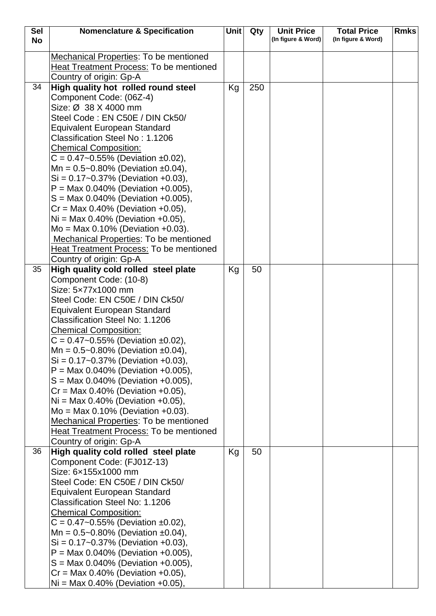| Sel       | <b>Nomenclature &amp; Specification</b>                                              | Unit | Qty | <b>Unit Price</b>  | <b>Total Price</b> | <b>Rmks</b> |
|-----------|--------------------------------------------------------------------------------------|------|-----|--------------------|--------------------|-------------|
| <b>No</b> |                                                                                      |      |     | (In figure & Word) | (In figure & Word) |             |
|           | <b>Mechanical Properties: To be mentioned</b>                                        |      |     |                    |                    |             |
|           | <b>Heat Treatment Process: To be mentioned</b>                                       |      |     |                    |                    |             |
|           | Country of origin: Gp-A                                                              |      |     |                    |                    |             |
| 34        | High quality hot rolled round steel                                                  | Kg   | 250 |                    |                    |             |
|           | Component Code: (06Z-4)                                                              |      |     |                    |                    |             |
|           | Size: Ø 38 X 4000 mm                                                                 |      |     |                    |                    |             |
|           | Steel Code: EN C50E / DIN Ck50/                                                      |      |     |                    |                    |             |
|           | <b>Equivalent European Standard</b>                                                  |      |     |                    |                    |             |
|           | Classification Steel No: 1.1206                                                      |      |     |                    |                    |             |
|           | <b>Chemical Composition:</b>                                                         |      |     |                    |                    |             |
|           | $C = 0.47 - 0.55\%$ (Deviation ±0.02),                                               |      |     |                    |                    |             |
|           | Mn = $0.5 - 0.80\%$ (Deviation ±0.04),                                               |      |     |                    |                    |             |
|           | $Si = 0.17 - 0.37\%$ (Deviation +0.03),                                              |      |     |                    |                    |             |
|           | $P = Max 0.040\%$ (Deviation +0.005),                                                |      |     |                    |                    |             |
|           | $S = \text{Max } 0.040\%$ (Deviation +0.005),                                        |      |     |                    |                    |             |
|           | $Cr = Max 0.40\%$ (Deviation +0.05),                                                 |      |     |                    |                    |             |
|           | $Ni = Max 0.40\%$ (Deviation +0.05),<br>$Mo = Max 0.10\%$ (Deviation +0.03).         |      |     |                    |                    |             |
|           | Mechanical Properties: To be mentioned                                               |      |     |                    |                    |             |
|           | <b>Heat Treatment Process: To be mentioned</b>                                       |      |     |                    |                    |             |
|           | Country of origin: Gp-A                                                              |      |     |                    |                    |             |
| 35        | High quality cold rolled steel plate                                                 | Kg   | 50  |                    |                    |             |
|           | Component Code: (10-8)                                                               |      |     |                    |                    |             |
|           | Size: 5x77x1000 mm                                                                   |      |     |                    |                    |             |
|           | Steel Code: EN C50E / DIN Ck50/                                                      |      |     |                    |                    |             |
|           | <b>Equivalent European Standard</b>                                                  |      |     |                    |                    |             |
|           | Classification Steel No: 1.1206                                                      |      |     |                    |                    |             |
|           | <b>Chemical Composition:</b>                                                         |      |     |                    |                    |             |
|           | $C = 0.47 - 0.55\%$ (Deviation ±0.02),                                               |      |     |                    |                    |             |
|           | Mn = $0.5 - 0.80\%$ (Deviation $\pm 0.04$ ),                                         |      |     |                    |                    |             |
|           | $Si = 0.17 - 0.37\%$ (Deviation +0.03),                                              |      |     |                    |                    |             |
|           | $P = \text{Max } 0.040\%$ (Deviation +0.005),                                        |      |     |                    |                    |             |
|           | $S = Max 0.040\%$ (Deviation +0.005),                                                |      |     |                    |                    |             |
|           | $Cr = Max 0.40\%$ (Deviation +0.05),                                                 |      |     |                    |                    |             |
|           | $Ni = Max 0.40\%$ (Deviation +0.05),                                                 |      |     |                    |                    |             |
|           | $Mo = Max 0.10% (Deviation +0.03).$<br><b>Mechanical Properties: To be mentioned</b> |      |     |                    |                    |             |
|           | Heat Treatment Process: To be mentioned                                              |      |     |                    |                    |             |
|           | Country of origin: Gp-A                                                              |      |     |                    |                    |             |
| 36        | High quality cold rolled steel plate                                                 | Kg   | 50  |                    |                    |             |
|           | Component Code: (FJ01Z-13)                                                           |      |     |                    |                    |             |
|           | Size: 6x155x1000 mm                                                                  |      |     |                    |                    |             |
|           | Steel Code: EN C50E / DIN Ck50/                                                      |      |     |                    |                    |             |
|           | <b>Equivalent European Standard</b>                                                  |      |     |                    |                    |             |
|           | Classification Steel No: 1.1206                                                      |      |     |                    |                    |             |
|           | <b>Chemical Composition:</b>                                                         |      |     |                    |                    |             |
|           | $C = 0.47 - 0.55\%$ (Deviation ±0.02),                                               |      |     |                    |                    |             |
|           | Mn = $0.5 - 0.80\%$ (Deviation ±0.04),                                               |      |     |                    |                    |             |
|           | $Si = 0.17 - 0.37\%$ (Deviation +0.03),                                              |      |     |                    |                    |             |
|           | $P = Max 0.040\%$ (Deviation +0.005),                                                |      |     |                    |                    |             |
|           | $S = \text{Max } 0.040\%$ (Deviation +0.005),                                        |      |     |                    |                    |             |
|           | $Cr = Max 0.40\%$ (Deviation +0.05),                                                 |      |     |                    |                    |             |
|           | $Ni = Max 0.40\%$ (Deviation +0.05),                                                 |      |     |                    |                    |             |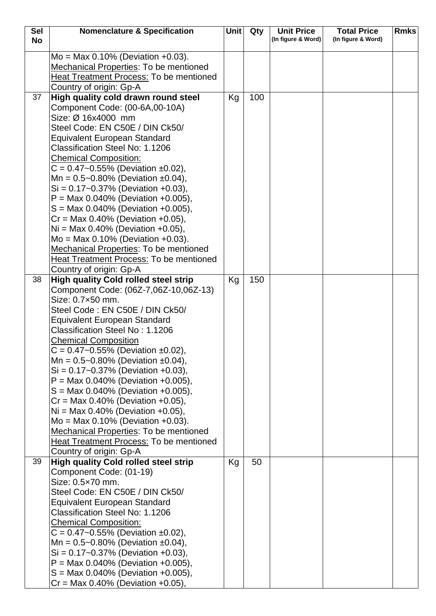| <b>Sel</b> | <b>Nomenclature &amp; Specification</b>                                      | Unit | Qty | <b>Unit Price</b>  | <b>Total Price</b> | <b>Rmks</b> |
|------------|------------------------------------------------------------------------------|------|-----|--------------------|--------------------|-------------|
| <b>No</b>  |                                                                              |      |     | (In figure & Word) | (In figure & Word) |             |
|            | $Mo = Max 0.10% (Deviation +0.03).$                                          |      |     |                    |                    |             |
|            |                                                                              |      |     |                    |                    |             |
|            | <b>Mechanical Properties: To be mentioned</b>                                |      |     |                    |                    |             |
|            | <b>Heat Treatment Process: To be mentioned</b>                               |      |     |                    |                    |             |
|            | Country of origin: Gp-A                                                      |      |     |                    |                    |             |
| 37         | High quality cold drawn round steel                                          | Kg   | 100 |                    |                    |             |
|            | Component Code: (00-6A,00-10A)                                               |      |     |                    |                    |             |
|            | Size: Ø 16x4000 mm                                                           |      |     |                    |                    |             |
|            | Steel Code: EN C50E / DIN Ck50/                                              |      |     |                    |                    |             |
|            | <b>Equivalent European Standard</b>                                          |      |     |                    |                    |             |
|            | Classification Steel No: 1.1206                                              |      |     |                    |                    |             |
|            | <b>Chemical Composition:</b>                                                 |      |     |                    |                    |             |
|            | $C = 0.47 - 0.55\%$ (Deviation ±0.02),                                       |      |     |                    |                    |             |
|            | Mn = $0.5 - 0.80\%$ (Deviation ±0.04),                                       |      |     |                    |                    |             |
|            | $Si = 0.17 - 0.37\%$ (Deviation +0.03),                                      |      |     |                    |                    |             |
|            | $P = Max 0.040\%$ (Deviation +0.005),                                        |      |     |                    |                    |             |
|            | $S = Max 0.040\%$ (Deviation +0.005),                                        |      |     |                    |                    |             |
|            | $Cr = Max 0.40\%$ (Deviation +0.05),                                         |      |     |                    |                    |             |
|            | $Ni = Max 0.40\%$ (Deviation +0.05),                                         |      |     |                    |                    |             |
|            | $Mo = Max 0.10% (Deviation +0.03).$                                          |      |     |                    |                    |             |
|            | <b>Mechanical Properties: To be mentioned</b>                                |      |     |                    |                    |             |
|            | <b>Heat Treatment Process: To be mentioned</b>                               |      |     |                    |                    |             |
|            | Country of origin: Gp-A                                                      |      |     |                    |                    |             |
| 38         | <b>High quality Cold rolled steel strip</b>                                  | Kg   | 150 |                    |                    |             |
|            | Component Code: (06Z-7,06Z-10,06Z-13)                                        |      |     |                    |                    |             |
|            | Size: 0.7×50 mm.                                                             |      |     |                    |                    |             |
|            | Steel Code : EN C50E / DIN Ck50/                                             |      |     |                    |                    |             |
|            | <b>Equivalent European Standard</b>                                          |      |     |                    |                    |             |
|            | Classification Steel No: 1.1206                                              |      |     |                    |                    |             |
|            | <b>Chemical Composition</b>                                                  |      |     |                    |                    |             |
|            | $C = 0.47 - 0.55\%$ (Deviation ±0.02),                                       |      |     |                    |                    |             |
|            | Mn = $0.5 - 0.80\%$ (Deviation ±0.04),                                       |      |     |                    |                    |             |
|            | $Si = 0.17 - 0.37\%$ (Deviation +0.03),                                      |      |     |                    |                    |             |
|            | $P = Max 0.040\%$ (Deviation +0.005),                                        |      |     |                    |                    |             |
|            | $S = Max 0.040\%$ (Deviation +0.005),                                        |      |     |                    |                    |             |
|            | $Cr = Max 0.40\%$ (Deviation +0.05),<br>$Ni = Max 0.40\%$ (Deviation +0.05), |      |     |                    |                    |             |
|            | $Mo = Max 0.10% (Deviation +0.03).$                                          |      |     |                    |                    |             |
|            | Mechanical Properties: To be mentioned                                       |      |     |                    |                    |             |
|            | Heat Treatment Process: To be mentioned                                      |      |     |                    |                    |             |
|            | Country of origin: Gp-A                                                      |      |     |                    |                    |             |
| 39         | <b>High quality Cold rolled steel strip</b>                                  | Kg   | 50  |                    |                    |             |
|            | Component Code: (01-19)                                                      |      |     |                    |                    |             |
|            | Size: 0.5×70 mm.                                                             |      |     |                    |                    |             |
|            | Steel Code: EN C50E / DIN Ck50/                                              |      |     |                    |                    |             |
|            | <b>Equivalent European Standard</b>                                          |      |     |                    |                    |             |
|            | Classification Steel No: 1.1206                                              |      |     |                    |                    |             |
|            | <b>Chemical Composition:</b>                                                 |      |     |                    |                    |             |
|            | $C = 0.47 - 0.55\%$ (Deviation ±0.02),                                       |      |     |                    |                    |             |
|            | Mn = $0.5 - 0.80\%$ (Deviation ±0.04),                                       |      |     |                    |                    |             |
|            | $Si = 0.17 - 0.37\%$ (Deviation +0.03),                                      |      |     |                    |                    |             |
|            | $P = \text{Max } 0.040\%$ (Deviation +0.005),                                |      |     |                    |                    |             |
|            | $S = \text{Max } 0.040\%$ (Deviation +0.005),                                |      |     |                    |                    |             |
|            | $Cr = Max 0.40\%$ (Deviation +0.05),                                         |      |     |                    |                    |             |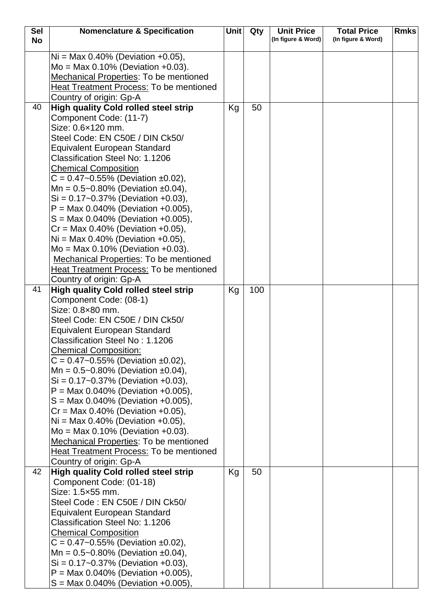| Sel       | <b>Nomenclature &amp; Specification</b>                                | Unit | Qty | <b>Unit Price</b>  | <b>Total Price</b> | <b>Rmks</b> |
|-----------|------------------------------------------------------------------------|------|-----|--------------------|--------------------|-------------|
| <b>No</b> |                                                                        |      |     | (In figure & Word) | (In figure & Word) |             |
|           | $Ni = Max 0.40\%$ (Deviation +0.05),                                   |      |     |                    |                    |             |
|           | $Mo = Max 0.10\%$ (Deviation +0.03).                                   |      |     |                    |                    |             |
|           | Mechanical Properties: To be mentioned                                 |      |     |                    |                    |             |
|           | Heat Treatment Process: To be mentioned                                |      |     |                    |                    |             |
|           |                                                                        |      |     |                    |                    |             |
| 40        | Country of origin: Gp-A<br><b>High quality Cold rolled steel strip</b> |      | 50  |                    |                    |             |
|           | Component Code: (11-7)                                                 | Kg   |     |                    |                    |             |
|           | Size: 0.6×120 mm.                                                      |      |     |                    |                    |             |
|           | Steel Code: EN C50E / DIN Ck50/                                        |      |     |                    |                    |             |
|           | <b>Equivalent European Standard</b>                                    |      |     |                    |                    |             |
|           | Classification Steel No: 1.1206                                        |      |     |                    |                    |             |
|           | <b>Chemical Composition</b>                                            |      |     |                    |                    |             |
|           | $C = 0.47 - 0.55\%$ (Deviation ±0.02),                                 |      |     |                    |                    |             |
|           | Mn = $0.5 - 0.80\%$ (Deviation ±0.04),                                 |      |     |                    |                    |             |
|           | $Si = 0.17 - 0.37\%$ (Deviation +0.03),                                |      |     |                    |                    |             |
|           | $P = Max 0.040\%$ (Deviation +0.005),                                  |      |     |                    |                    |             |
|           | $S = Max 0.040\%$ (Deviation +0.005),                                  |      |     |                    |                    |             |
|           | $Cr = Max 0.40\%$ (Deviation +0.05),                                   |      |     |                    |                    |             |
|           | $Ni = Max 0.40\%$ (Deviation +0.05),                                   |      |     |                    |                    |             |
|           | $Mo = Max 0.10% (Deviation +0.03).$                                    |      |     |                    |                    |             |
|           | <b>Mechanical Properties: To be mentioned</b>                          |      |     |                    |                    |             |
|           | Heat Treatment Process: To be mentioned                                |      |     |                    |                    |             |
|           | Country of origin: Gp-A                                                |      |     |                    |                    |             |
| 41        | <b>High quality Cold rolled steel strip</b>                            | Kg   | 100 |                    |                    |             |
|           | Component Code: (08-1)                                                 |      |     |                    |                    |             |
|           | Size: 0.8×80 mm.                                                       |      |     |                    |                    |             |
|           | Steel Code: EN C50E / DIN Ck50/                                        |      |     |                    |                    |             |
|           | <b>Equivalent European Standard</b>                                    |      |     |                    |                    |             |
|           | Classification Steel No: 1.1206                                        |      |     |                    |                    |             |
|           | <b>Chemical Composition:</b>                                           |      |     |                    |                    |             |
|           | $C = 0.47 - 0.55\%$ (Deviation ±0.02),                                 |      |     |                    |                    |             |
|           | Mn = $0.5 - 0.80\%$ (Deviation ±0.04),                                 |      |     |                    |                    |             |
|           | $Si = 0.17 - 0.37\%$ (Deviation +0.03),                                |      |     |                    |                    |             |
|           | $P = Max 0.040\%$ (Deviation +0.005),                                  |      |     |                    |                    |             |
|           | $S = Max 0.040\%$ (Deviation +0.005),                                  |      |     |                    |                    |             |
|           | $Cr = Max 0.40\%$ (Deviation +0.05),                                   |      |     |                    |                    |             |
|           | $Ni = Max 0.40\%$ (Deviation +0.05),                                   |      |     |                    |                    |             |
|           | $Mo = Max 0.10\%$ (Deviation +0.03).                                   |      |     |                    |                    |             |
|           | <b>Mechanical Properties: To be mentioned</b>                          |      |     |                    |                    |             |
|           | <b>Heat Treatment Process: To be mentioned</b>                         |      |     |                    |                    |             |
|           | Country of origin: Gp-A                                                |      |     |                    |                    |             |
| 42        | <b>High quality Cold rolled steel strip</b>                            | Kg   | 50  |                    |                    |             |
|           | Component Code: (01-18)                                                |      |     |                    |                    |             |
|           | Size: 1.5×55 mm.                                                       |      |     |                    |                    |             |
|           | Steel Code: EN C50E / DIN Ck50/                                        |      |     |                    |                    |             |
|           | <b>Equivalent European Standard</b><br>Classification Steel No: 1.1206 |      |     |                    |                    |             |
|           | <b>Chemical Composition</b>                                            |      |     |                    |                    |             |
|           | $C = 0.47 - 0.55\%$ (Deviation ±0.02),                                 |      |     |                    |                    |             |
|           | Mn = $0.5 - 0.80\%$ (Deviation ±0.04),                                 |      |     |                    |                    |             |
|           | $Si = 0.17 - 0.37\%$ (Deviation +0.03),                                |      |     |                    |                    |             |
|           | $P = Max 0.040\%$ (Deviation +0.005),                                  |      |     |                    |                    |             |
|           | $S = Max 0.040\%$ (Deviation +0.005),                                  |      |     |                    |                    |             |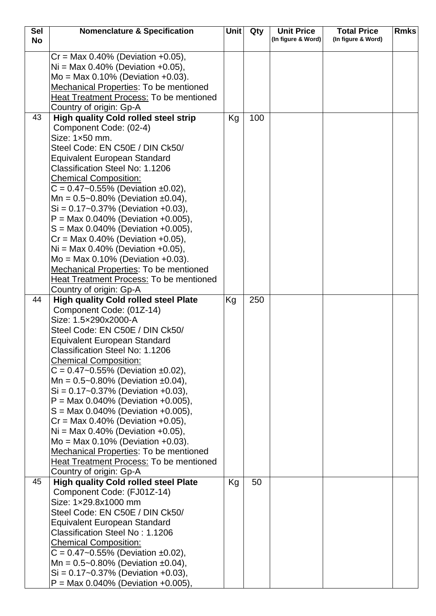| <b>Sel</b> | <b>Nomenclature &amp; Specification</b>                                        | <b>Unit</b> | Qty | <b>Unit Price</b>  | <b>Total Price</b> | <b>Rmks</b> |
|------------|--------------------------------------------------------------------------------|-------------|-----|--------------------|--------------------|-------------|
| <b>No</b>  |                                                                                |             |     | (In figure & Word) | (In figure & Word) |             |
|            | $Cr = Max 0.40\%$ (Deviation +0.05),                                           |             |     |                    |                    |             |
|            | $Ni = Max 0.40\%$ (Deviation +0.05),                                           |             |     |                    |                    |             |
|            | $Mo = Max 0.10% (Deviation +0.03).$                                            |             |     |                    |                    |             |
|            | Mechanical Properties: To be mentioned                                         |             |     |                    |                    |             |
|            | <b>Heat Treatment Process: To be mentioned</b>                                 |             |     |                    |                    |             |
|            | Country of origin: Gp-A                                                        |             |     |                    |                    |             |
| 43         | <b>High quality Cold rolled steel strip</b>                                    | Kg          | 100 |                    |                    |             |
|            | Component Code: (02-4)                                                         |             |     |                    |                    |             |
|            | Size: 1×50 mm.                                                                 |             |     |                    |                    |             |
|            | Steel Code: EN C50E / DIN Ck50/                                                |             |     |                    |                    |             |
|            | <b>Equivalent European Standard</b>                                            |             |     |                    |                    |             |
|            | Classification Steel No: 1.1206                                                |             |     |                    |                    |             |
|            | <b>Chemical Composition:</b>                                                   |             |     |                    |                    |             |
|            | $C = 0.47 - 0.55\%$ (Deviation ±0.02),                                         |             |     |                    |                    |             |
|            | Mn = $0.5 - 0.80\%$ (Deviation $\pm 0.04$ ),                                   |             |     |                    |                    |             |
|            | $Si = 0.17 - 0.37\%$ (Deviation +0.03),                                        |             |     |                    |                    |             |
|            | $P = Max 0.040\%$ (Deviation +0.005),                                          |             |     |                    |                    |             |
|            | $S = Max 0.040\%$ (Deviation +0.005),                                          |             |     |                    |                    |             |
|            | $Cr = Max 0.40\%$ (Deviation +0.05),                                           |             |     |                    |                    |             |
|            | $Ni = Max 0.40\%$ (Deviation +0.05),                                           |             |     |                    |                    |             |
|            | $Mo = Max 0.10\%$ (Deviation +0.03).<br>Mechanical Properties: To be mentioned |             |     |                    |                    |             |
|            | <b>Heat Treatment Process: To be mentioned</b>                                 |             |     |                    |                    |             |
|            | Country of origin: Gp-A                                                        |             |     |                    |                    |             |
| 44         | <b>High quality Cold rolled steel Plate</b>                                    | Kg          | 250 |                    |                    |             |
|            | Component Code: (01Z-14)                                                       |             |     |                    |                    |             |
|            | Size: 1.5×290x2000-A                                                           |             |     |                    |                    |             |
|            | Steel Code: EN C50E / DIN Ck50/                                                |             |     |                    |                    |             |
|            | <b>Equivalent European Standard</b>                                            |             |     |                    |                    |             |
|            | <b>Classification Steel No: 1.1206</b>                                         |             |     |                    |                    |             |
|            | <b>Chemical Composition:</b>                                                   |             |     |                    |                    |             |
|            | $C = 0.47 - 0.55\%$ (Deviation ±0.02),                                         |             |     |                    |                    |             |
|            | Mn = $0.5 - 0.80\%$ (Deviation ±0.04),                                         |             |     |                    |                    |             |
|            | $Si = 0.17 - 0.37\%$ (Deviation +0.03),                                        |             |     |                    |                    |             |
|            | $P = \text{Max } 0.040\%$ (Deviation +0.005),                                  |             |     |                    |                    |             |
|            | $S = Max 0.040\%$ (Deviation +0.005),                                          |             |     |                    |                    |             |
|            | $Cr = Max 0.40\%$ (Deviation +0.05),                                           |             |     |                    |                    |             |
|            | $Ni = Max 0.40\%$ (Deviation +0.05),                                           |             |     |                    |                    |             |
|            | $Mo = Max 0.10\%$ (Deviation +0.03).                                           |             |     |                    |                    |             |
|            | Mechanical Properties: To be mentioned                                         |             |     |                    |                    |             |
|            | Heat Treatment Process: To be mentioned                                        |             |     |                    |                    |             |
|            | Country of origin: Gp-A                                                        |             |     |                    |                    |             |
| 45         | <b>High quality Cold rolled steel Plate</b>                                    | Kg          | 50  |                    |                    |             |
|            | Component Code: (FJ01Z-14)<br>Size: 1×29.8x1000 mm                             |             |     |                    |                    |             |
|            | Steel Code: EN C50E / DIN Ck50/                                                |             |     |                    |                    |             |
|            | <b>Equivalent European Standard</b>                                            |             |     |                    |                    |             |
|            | Classification Steel No: 1.1206                                                |             |     |                    |                    |             |
|            | <b>Chemical Composition:</b>                                                   |             |     |                    |                    |             |
|            | $C = 0.47 - 0.55\%$ (Deviation ±0.02),                                         |             |     |                    |                    |             |
|            | Mn = $0.5 - 0.80\%$ (Deviation ±0.04),                                         |             |     |                    |                    |             |
|            | $Si = 0.17 - 0.37\%$ (Deviation +0.03),                                        |             |     |                    |                    |             |
|            | $P = Max 0.040\%$ (Deviation +0.005),                                          |             |     |                    |                    |             |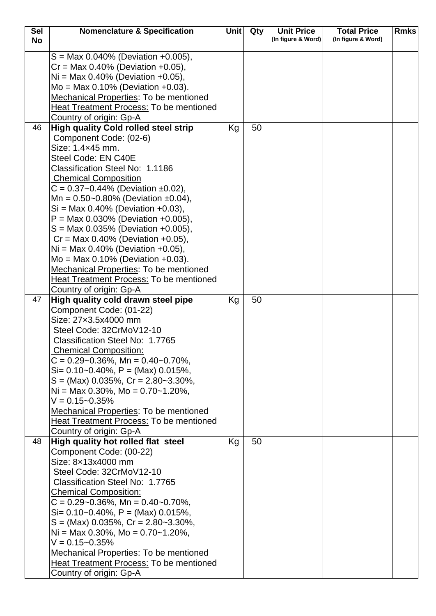| <b>Sel</b> | <b>Nomenclature &amp; Specification</b>        | Unit | Qty | <b>Unit Price</b>  | <b>Total Price</b> | <b>Rmks</b> |
|------------|------------------------------------------------|------|-----|--------------------|--------------------|-------------|
| <b>No</b>  |                                                |      |     | (In figure & Word) | (In figure & Word) |             |
|            | $S = Max 0.040\%$ (Deviation +0.005),          |      |     |                    |                    |             |
|            | $Cr = Max 0.40\%$ (Deviation +0.05),           |      |     |                    |                    |             |
|            | $Ni = Max 0.40\%$ (Deviation +0.05),           |      |     |                    |                    |             |
|            | $Mo = Max 0.10\%$ (Deviation +0.03).           |      |     |                    |                    |             |
|            | <b>Mechanical Properties: To be mentioned</b>  |      |     |                    |                    |             |
|            | <b>Heat Treatment Process: To be mentioned</b> |      |     |                    |                    |             |
|            | Country of origin: Gp-A                        |      |     |                    |                    |             |
| 46         | <b>High quality Cold rolled steel strip</b>    | Kg   | 50  |                    |                    |             |
|            | Component Code: (02-6)                         |      |     |                    |                    |             |
|            | Size: 1.4×45 mm.                               |      |     |                    |                    |             |
|            | Steel Code: EN C40E                            |      |     |                    |                    |             |
|            | Classification Steel No: 1.1186                |      |     |                    |                    |             |
|            | <b>Chemical Composition</b>                    |      |     |                    |                    |             |
|            | $C = 0.37 - 0.44\%$ (Deviation ±0.02),         |      |     |                    |                    |             |
|            | Mn = $0.50$ ~0.80% (Deviation ±0.04),          |      |     |                    |                    |             |
|            | $Si = Max 0.40\%$ (Deviation +0.03),           |      |     |                    |                    |             |
|            | $P = Max 0.030\%$ (Deviation +0.005),          |      |     |                    |                    |             |
|            | $S = Max 0.035\%$ (Deviation +0.005),          |      |     |                    |                    |             |
|            | $Cr = Max 0.40\%$ (Deviation +0.05),           |      |     |                    |                    |             |
|            | $Ni = Max 0.40\%$ (Deviation +0.05),           |      |     |                    |                    |             |
|            | $Mo = Max 0.10% (Deviation +0.03).$            |      |     |                    |                    |             |
|            | Mechanical Properties: To be mentioned         |      |     |                    |                    |             |
|            | <b>Heat Treatment Process: To be mentioned</b> |      |     |                    |                    |             |
|            | Country of origin: Gp-A                        |      |     |                    |                    |             |
| 47         | High quality cold drawn steel pipe             | Kg   | 50  |                    |                    |             |
|            | Component Code: (01-22)                        |      |     |                    |                    |             |
|            | Size: 27x3.5x4000 mm                           |      |     |                    |                    |             |
|            | Steel Code: 32CrMoV12-10                       |      |     |                    |                    |             |
|            | Classification Steel No: 1.7765                |      |     |                    |                    |             |
|            | <b>Chemical Composition:</b>                   |      |     |                    |                    |             |
|            | $C = 0.29 - 0.36\%$ , Mn = 0.40 ~ 0.70%,       |      |     |                    |                    |             |
|            | $Si = 0.10 - 0.40\%$ , $P = (Max) 0.015\%$ ,   |      |     |                    |                    |             |
|            | $S = (Max)$ 0.035%, $Cr = 2.80 - 3.30\%$ ,     |      |     |                    |                    |             |
|            | Ni = Max 0.30%, Mo = $0.70$ ~ 1.20%,           |      |     |                    |                    |             |
|            | $V = 0.15 - 0.35%$                             |      |     |                    |                    |             |
|            | Mechanical Properties: To be mentioned         |      |     |                    |                    |             |
|            | <b>Heat Treatment Process: To be mentioned</b> |      |     |                    |                    |             |
|            | Country of origin: Gp-A                        |      |     |                    |                    |             |
| 48         | High quality hot rolled flat steel             | Kg   | 50  |                    |                    |             |
|            | Component Code: (00-22)                        |      |     |                    |                    |             |
|            | Size: 8x13x4000 mm                             |      |     |                    |                    |             |
|            | Steel Code: 32CrMoV12-10                       |      |     |                    |                    |             |
|            | Classification Steel No: 1.7765                |      |     |                    |                    |             |
|            | <b>Chemical Composition:</b>                   |      |     |                    |                    |             |
|            | $C = 0.29 - 0.36\%$ , Mn = 0.40 ~ 0.70%,       |      |     |                    |                    |             |
|            | $Si = 0.10 - 0.40\%$ , $P = (Max) 0.015\%$ ,   |      |     |                    |                    |             |
|            | $S = (Max)$ 0.035%, $Cr = 2.80 - 3.30\%$ ,     |      |     |                    |                    |             |
|            | Ni = Max 0.30%, Mo = $0.70$ ~ 1.20%,           |      |     |                    |                    |             |
|            | $V = 0.15 - 0.35%$                             |      |     |                    |                    |             |
|            | <b>Mechanical Properties: To be mentioned</b>  |      |     |                    |                    |             |
|            | Heat Treatment Process: To be mentioned        |      |     |                    |                    |             |
|            | Country of origin: Gp-A                        |      |     |                    |                    |             |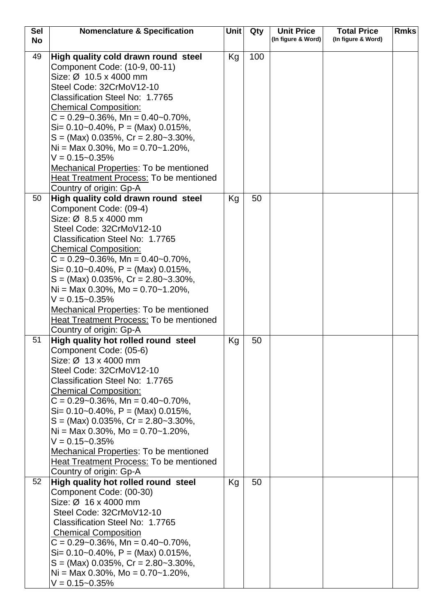| <b>Sel</b> | <b>Nomenclature &amp; Specification</b>                        | Unit l | Qty | <b>Unit Price</b>  | <b>Total Price</b> | <b>Rmks</b> |
|------------|----------------------------------------------------------------|--------|-----|--------------------|--------------------|-------------|
| <b>No</b>  |                                                                |        |     | (In figure & Word) | (In figure & Word) |             |
| 49         | High quality cold drawn round steel                            | Kg     | 100 |                    |                    |             |
|            | Component Code: (10-9, 00-11)                                  |        |     |                    |                    |             |
|            | Size: Ø 10.5 x 4000 mm                                         |        |     |                    |                    |             |
|            | Steel Code: 32CrMoV12-10                                       |        |     |                    |                    |             |
|            | Classification Steel No: 1.7765                                |        |     |                    |                    |             |
|            | <b>Chemical Composition:</b>                                   |        |     |                    |                    |             |
|            | $C = 0.29 - 0.36\%$ , Mn = 0.40 ~ 0.70%,                       |        |     |                    |                    |             |
|            | $Si = 0.10 - 0.40\%$ , P = (Max) 0.015%,                       |        |     |                    |                    |             |
|            | $S = (Max)$ 0.035%, $Cr = 2.80 - 3.30\%$ ,                     |        |     |                    |                    |             |
|            | Ni = Max 0.30%, Mo = $0.70$ ~ 1.20%,                           |        |     |                    |                    |             |
|            | $V = 0.15 - 0.35%$                                             |        |     |                    |                    |             |
|            | <b>Mechanical Properties: To be mentioned</b>                  |        |     |                    |                    |             |
|            | <b>Heat Treatment Process: To be mentioned</b>                 |        |     |                    |                    |             |
|            | Country of origin: Gp-A                                        |        |     |                    |                    |             |
| 50         | High quality cold drawn round steel                            | Kg     | 50  |                    |                    |             |
|            | Component Code: (09-4)                                         |        |     |                    |                    |             |
|            | Size: Ø 8.5 x 4000 mm                                          |        |     |                    |                    |             |
|            | Steel Code: 32CrMoV12-10                                       |        |     |                    |                    |             |
|            | Classification Steel No: 1.7765                                |        |     |                    |                    |             |
|            | <b>Chemical Composition:</b>                                   |        |     |                    |                    |             |
|            | $C = 0.29 - 0.36\%$ , Mn = 0.40 ~ 0.70%,                       |        |     |                    |                    |             |
|            | $Si = 0.10 - 0.40\%$ , P = (Max) 0.015%,                       |        |     |                    |                    |             |
|            | $S = (Max)$ 0.035%, $Cr = 2.80 - 3.30\%$ ,                     |        |     |                    |                    |             |
|            | Ni = Max 0.30%, Mo = $0.70$ ~ 1.20%,                           |        |     |                    |                    |             |
|            | $V = 0.15 - 0.35%$                                             |        |     |                    |                    |             |
|            | Mechanical Properties: To be mentioned                         |        |     |                    |                    |             |
|            | Heat Treatment Process: To be mentioned                        |        |     |                    |                    |             |
|            | Country of origin: Gp-A                                        |        |     |                    |                    |             |
| 51         | High quality hot rolled round steel                            | Kg     | 50  |                    |                    |             |
|            | Component Code: (05-6)                                         |        |     |                    |                    |             |
|            | Size: $\varnothing$ 13 x 4000 mm                               |        |     |                    |                    |             |
|            | Steel Code: 32CrMoV12-10                                       |        |     |                    |                    |             |
|            | Classification Steel No: 1.7765                                |        |     |                    |                    |             |
|            | <b>Chemical Composition:</b>                                   |        |     |                    |                    |             |
|            | $C = 0.29 - 0.36\%$ , Mn = 0.40 ~ 0.70%,                       |        |     |                    |                    |             |
|            | Si= $0.10$ ~0.40%, P = (Max) 0.015%,                           |        |     |                    |                    |             |
|            | $S = (Max)$ 0.035%, $Cr = 2.80 - 3.30\%$ ,                     |        |     |                    |                    |             |
|            | Ni = Max 0.30%, Mo = $0.70$ ~ 1.20%,                           |        |     |                    |                    |             |
|            | $V = 0.15 - 0.35\%$                                            |        |     |                    |                    |             |
|            | <b>Mechanical Properties: To be mentioned</b>                  |        |     |                    |                    |             |
|            | <b>Heat Treatment Process: To be mentioned</b>                 |        |     |                    |                    |             |
| 52         | Country of origin: Gp-A                                        |        |     |                    |                    |             |
|            | High quality hot rolled round steel<br>Component Code: (00-30) | Kg     | 50  |                    |                    |             |
|            | Size: $\varnothing$ 16 x 4000 mm                               |        |     |                    |                    |             |
|            | Steel Code: 32CrMoV12-10                                       |        |     |                    |                    |             |
|            | Classification Steel No: 1.7765                                |        |     |                    |                    |             |
|            | <b>Chemical Composition</b>                                    |        |     |                    |                    |             |
|            | $C = 0.29 - 0.36\%$ , Mn = 0.40 ~ 0.70%,                       |        |     |                    |                    |             |
|            | $Si = 0.10 - 0.40\%$ , P = (Max) 0.015%,                       |        |     |                    |                    |             |
|            | $S = (Max)$ 0.035%, $Cr = 2.80 - 3.30\%$ ,                     |        |     |                    |                    |             |
|            | Ni = Max 0.30%, Mo = $0.70$ ~ 1.20%,                           |        |     |                    |                    |             |
|            | $V = 0.15 - 0.35%$                                             |        |     |                    |                    |             |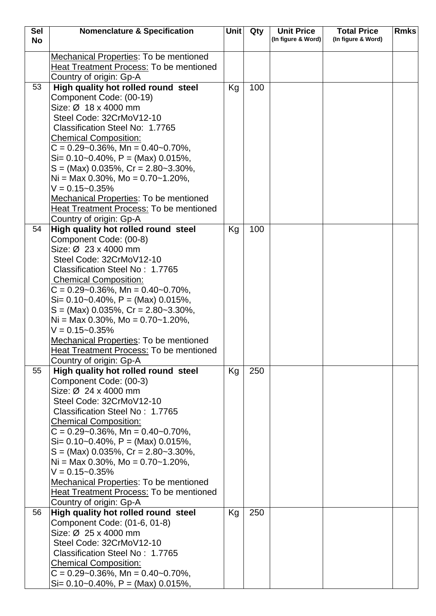| <b>Sel</b> | <b>Nomenclature &amp; Specification</b>                                   | Unit | Qty | <b>Unit Price</b>  | <b>Total Price</b> | <b>Rmks</b> |
|------------|---------------------------------------------------------------------------|------|-----|--------------------|--------------------|-------------|
| <b>No</b>  |                                                                           |      |     | (In figure & Word) | (In figure & Word) |             |
|            | <b>Mechanical Properties: To be mentioned</b>                             |      |     |                    |                    |             |
|            | Heat Treatment Process: To be mentioned                                   |      |     |                    |                    |             |
|            | Country of origin: Gp-A                                                   |      |     |                    |                    |             |
| 53         | High quality hot rolled round steel                                       | Kg   | 100 |                    |                    |             |
|            | Component Code: (00-19)                                                   |      |     |                    |                    |             |
|            | Size: Ø 18 x 4000 mm                                                      |      |     |                    |                    |             |
|            | Steel Code: 32CrMoV12-10                                                  |      |     |                    |                    |             |
|            | Classification Steel No: 1.7765                                           |      |     |                    |                    |             |
|            | <b>Chemical Composition:</b>                                              |      |     |                    |                    |             |
|            | $C = 0.29 - 0.36\%$ , Mn = 0.40 ~ 0.70%,                                  |      |     |                    |                    |             |
|            | $Si= 0.10-0.40\%$ , P = (Max) 0.015%,                                     |      |     |                    |                    |             |
|            | $S = (Max)$ 0.035%, $Cr = 2.80 - 3.30\%$ ,                                |      |     |                    |                    |             |
|            | Ni = Max 0.30%, Mo = $0.70$ ~ 1.20%,                                      |      |     |                    |                    |             |
|            | $V = 0.15 - 0.35%$                                                        |      |     |                    |                    |             |
|            | Mechanical Properties: To be mentioned                                    |      |     |                    |                    |             |
|            | <b>Heat Treatment Process: To be mentioned</b>                            |      |     |                    |                    |             |
|            | Country of origin: Gp-A                                                   |      |     |                    |                    |             |
| 54         | High quality hot rolled round steel                                       | Kg   | 100 |                    |                    |             |
|            | Component Code: (00-8)                                                    |      |     |                    |                    |             |
|            | Size: Ø 23 x 4000 mm                                                      |      |     |                    |                    |             |
|            | Steel Code: 32CrMoV12-10                                                  |      |     |                    |                    |             |
|            | Classification Steel No: 1.7765                                           |      |     |                    |                    |             |
|            | <b>Chemical Composition:</b><br>$C = 0.29 - 0.36\%$ , Mn = 0.40 ~ 0.70%,  |      |     |                    |                    |             |
|            | $Si = 0.10 - 0.40\%$ , $P = (Max) 0.015\%$ ,                              |      |     |                    |                    |             |
|            | $S = (Max)$ 0.035%, $Cr = 2.80 - 3.30\%$ ,                                |      |     |                    |                    |             |
|            | $Ni = Max 0.30\%, Mo = 0.70~1.20\%,$                                      |      |     |                    |                    |             |
|            | $V = 0.15 - 0.35\%$                                                       |      |     |                    |                    |             |
|            | <b>Mechanical Properties: To be mentioned</b>                             |      |     |                    |                    |             |
|            | Heat Treatment Process: To be mentioned                                   |      |     |                    |                    |             |
|            | Country of origin: Gp-A                                                   |      |     |                    |                    |             |
| 55         | High quality hot rolled round steel                                       | Kg   | 250 |                    |                    |             |
|            | Component Code: (00-3)                                                    |      |     |                    |                    |             |
|            | Size: Ø 24 x 4000 mm                                                      |      |     |                    |                    |             |
|            | Steel Code: 32CrMoV12-10                                                  |      |     |                    |                    |             |
|            | Classification Steel No: 1.7765                                           |      |     |                    |                    |             |
|            | <b>Chemical Composition:</b>                                              |      |     |                    |                    |             |
|            | $C = 0.29 - 0.36\%$ , Mn = 0.40 ~ 0.70%,                                  |      |     |                    |                    |             |
|            | $Si = 0.10 - 0.40\%$ , P = (Max) 0.015%,                                  |      |     |                    |                    |             |
|            | $S = (Max)$ 0.035%, $Cr = 2.80 - 3.30\%$ ,                                |      |     |                    |                    |             |
|            | Ni = Max 0.30%, Mo = $0.70$ ~ 1.20%,                                      |      |     |                    |                    |             |
|            | $V = 0.15 - 0.35\%$                                                       |      |     |                    |                    |             |
|            | <b>Mechanical Properties: To be mentioned</b>                             |      |     |                    |                    |             |
|            | <b>Heat Treatment Process: To be mentioned</b><br>Country of origin: Gp-A |      |     |                    |                    |             |
| 56         | High quality hot rolled round steel                                       | Kg   | 250 |                    |                    |             |
|            | Component Code: (01-6, 01-8)                                              |      |     |                    |                    |             |
|            | Size: Ø 25 x 4000 mm                                                      |      |     |                    |                    |             |
|            | Steel Code: 32CrMoV12-10                                                  |      |     |                    |                    |             |
|            | Classification Steel No: 1.7765                                           |      |     |                    |                    |             |
|            | <b>Chemical Composition:</b>                                              |      |     |                    |                    |             |
|            | $C = 0.29 - 0.36\%$ , Mn = 0.40 ~ 0.70%,                                  |      |     |                    |                    |             |
|            | $Si = 0.10 - 0.40\%$ , $P = (Max) 0.015\%$ ,                              |      |     |                    |                    |             |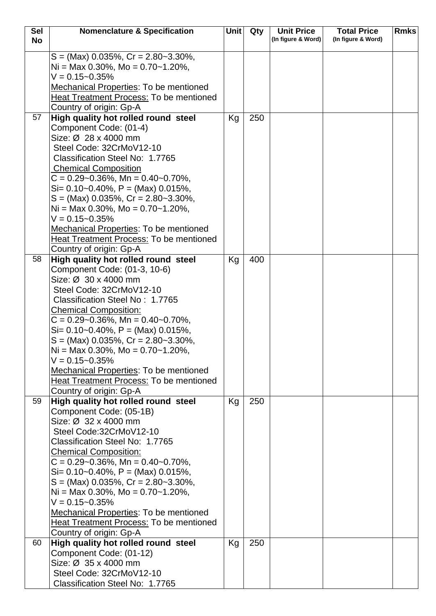| <b>Sel</b> | <b>Nomenclature &amp; Specification</b>                                                                                                                                                                                                                                                                                                                                                                                                                                                                                    | Unit | Qty | <b>Unit Price</b>  | <b>Total Price</b> | <b>Rmks</b> |
|------------|----------------------------------------------------------------------------------------------------------------------------------------------------------------------------------------------------------------------------------------------------------------------------------------------------------------------------------------------------------------------------------------------------------------------------------------------------------------------------------------------------------------------------|------|-----|--------------------|--------------------|-------------|
| <b>No</b>  |                                                                                                                                                                                                                                                                                                                                                                                                                                                                                                                            |      |     | (In figure & Word) | (In figure & Word) |             |
|            | $S = (Max)$ 0.035%, Cr = 2.80~3.30%,<br>$Ni = Max 0.30\%$ , Mo = 0.70~1.20%,<br>$V = 0.15 - 0.35%$<br>Mechanical Properties: To be mentioned<br>Heat Treatment Process: To be mentioned<br>Country of origin: Gp-A                                                                                                                                                                                                                                                                                                         |      |     |                    |                    |             |
| 57         | High quality hot rolled round steel                                                                                                                                                                                                                                                                                                                                                                                                                                                                                        | Kg   | 250 |                    |                    |             |
|            | Component Code: (01-4)<br>Size: Ø 28 x 4000 mm<br>Steel Code: 32CrMoV12-10<br>Classification Steel No: 1.7765<br><b>Chemical Composition</b><br>$C = 0.29 - 0.36\%$ , Mn = 0.40 ~ 0.70%,<br>$Si = 0.10 - 0.40\%$ , $P = (Max) 0.015\%$ ,<br>$S = (Max)$ 0.035%, $Cr = 2.80 - 3.30\%$ ,<br>Ni = Max 0.30%, Mo = $0.70$ ~ 1.20%,<br>$V = 0.15 - 0.35%$<br>Mechanical Properties: To be mentioned<br><b>Heat Treatment Process: To be mentioned</b>                                                                           |      |     |                    |                    |             |
|            | Country of origin: Gp-A                                                                                                                                                                                                                                                                                                                                                                                                                                                                                                    |      |     |                    |                    |             |
| 58         | High quality hot rolled round steel<br>Component Code: (01-3, 10-6)<br>Size: Ø 30 x 4000 mm<br>Steel Code: 32CrMoV12-10<br>Classification Steel No: 1.7765<br><b>Chemical Composition:</b><br>$C = 0.29 - 0.36\%$ , Mn = 0.40 ~ 0.70%,<br>$Si = 0.10 - 0.40\%$ , $P = (Max) 0.015\%$ ,<br>$S = (Max)$ 0.035%, $Cr = 2.80 - 3.30\%$ ,<br>Ni = Max 0.30%, Mo = $0.70$ ~ 1.20%,<br>$V = 0.15 - 0.35\%$<br>Mechanical Properties: To be mentioned<br><b>Heat Treatment Process: To be mentioned</b><br>Country of origin: Gp-A | Kg   | 400 |                    |                    |             |
| 59         | High quality hot rolled round steel<br>Component Code: (05-1B)<br>Size: Ø 32 x 4000 mm<br>Steel Code:32CrMoV12-10<br>Classification Steel No: 1.7765<br><b>Chemical Composition:</b><br>$C = 0.29 - 0.36\%$ , Mn = 0.40 ~ 0.70%,<br>$Si = 0.10 - 0.40\%$ , P = (Max) 0.015%,<br>$S = (Max)$ 0.035%, $Cr = 2.80 - 3.30\%$ ,<br>Ni = Max 0.30%, Mo = $0.70$ ~ 1.20%,<br>$V = 0.15 - 0.35%$<br>Mechanical Properties: To be mentioned<br><b>Heat Treatment Process: To be mentioned</b><br>Country of origin: Gp-A            | Kg   | 250 |                    |                    |             |
| 60         | High quality hot rolled round steel                                                                                                                                                                                                                                                                                                                                                                                                                                                                                        | Kg   | 250 |                    |                    |             |
|            | Component Code: (01-12)<br>Size: Ø 35 x 4000 mm<br>Steel Code: 32CrMoV12-10<br>Classification Steel No: 1.7765                                                                                                                                                                                                                                                                                                                                                                                                             |      |     |                    |                    |             |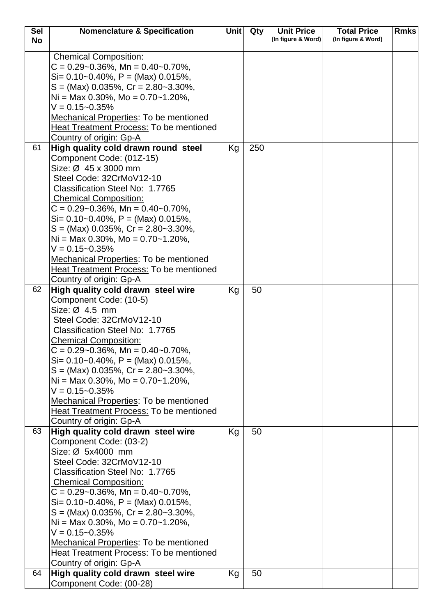| <b>Sel</b> | <b>Nomenclature &amp; Specification</b>                                  | <b>Unit</b> | Qty | <b>Unit Price</b>  | <b>Total Price</b> | <b>Rmks</b> |
|------------|--------------------------------------------------------------------------|-------------|-----|--------------------|--------------------|-------------|
| <b>No</b>  |                                                                          |             |     | (In figure & Word) | (In figure & Word) |             |
|            |                                                                          |             |     |                    |                    |             |
|            | <b>Chemical Composition:</b><br>$C = 0.29 - 0.36\%$ , Mn = 0.40 ~ 0.70%, |             |     |                    |                    |             |
|            | $Si = 0.10 - 0.40\%$ , P = (Max) 0.015%,                                 |             |     |                    |                    |             |
|            | $S = (Max)$ 0.035%, $Cr = 2.80 - 3.30\%$ ,                               |             |     |                    |                    |             |
|            |                                                                          |             |     |                    |                    |             |
|            | $Ni = Max 0.30\%$ , Mo = 0.70~1.20%,<br>$V = 0.15 - 0.35%$               |             |     |                    |                    |             |
|            |                                                                          |             |     |                    |                    |             |
|            | <b>Mechanical Properties: To be mentioned</b>                            |             |     |                    |                    |             |
|            | Heat Treatment Process: To be mentioned                                  |             |     |                    |                    |             |
|            | Country of origin: Gp-A                                                  |             |     |                    |                    |             |
| 61         | High quality cold drawn round steel                                      | Kg          | 250 |                    |                    |             |
|            | Component Code: (01Z-15)                                                 |             |     |                    |                    |             |
|            | Size: Ø 45 x 3000 mm                                                     |             |     |                    |                    |             |
|            | Steel Code: 32CrMoV12-10                                                 |             |     |                    |                    |             |
|            | Classification Steel No: 1.7765                                          |             |     |                    |                    |             |
|            | <b>Chemical Composition:</b>                                             |             |     |                    |                    |             |
|            | $C = 0.29 - 0.36\%$ , Mn = 0.40 ~ 0.70%,                                 |             |     |                    |                    |             |
|            | $Si = 0.10 - 0.40\%$ , P = (Max) 0.015%,                                 |             |     |                    |                    |             |
|            | $S = (Max)$ 0.035%, $Cr = 2.80 - 3.30$ %,                                |             |     |                    |                    |             |
|            | Ni = Max 0.30%, Mo = $0.70$ ~ 1.20%,                                     |             |     |                    |                    |             |
|            | $V = 0.15 - 0.35%$                                                       |             |     |                    |                    |             |
|            | <b>Mechanical Properties: To be mentioned</b>                            |             |     |                    |                    |             |
|            | Heat Treatment Process: To be mentioned                                  |             |     |                    |                    |             |
|            | Country of origin: Gp-A                                                  |             |     |                    |                    |             |
| 62         | High quality cold drawn steel wire                                       | Kg          | 50  |                    |                    |             |
|            | Component Code: (10-5)                                                   |             |     |                    |                    |             |
|            | Size: $\varnothing$ 4.5 mm                                               |             |     |                    |                    |             |
|            | Steel Code: 32CrMoV12-10                                                 |             |     |                    |                    |             |
|            | Classification Steel No: 1.7765                                          |             |     |                    |                    |             |
|            | <b>Chemical Composition:</b>                                             |             |     |                    |                    |             |
|            | $C = 0.29 - 0.36\%$ , Mn = 0.40 ~ 0.70%,                                 |             |     |                    |                    |             |
|            | $Si = 0.10 - 0.40\%$ , $P = (Max) 0.015\%$ ,                             |             |     |                    |                    |             |
|            | $S = (Max)$ 0.035%, $Cr = 2.80 - 3.30\%$ ,                               |             |     |                    |                    |             |
|            | Ni = Max 0.30%, Mo = $0.70$ ~ 1.20%,                                     |             |     |                    |                    |             |
|            | $V = 0.15 - 0.35%$                                                       |             |     |                    |                    |             |
|            | Mechanical Properties: To be mentioned                                   |             |     |                    |                    |             |
|            | Heat Treatment Process: To be mentioned                                  |             |     |                    |                    |             |
|            | Country of origin: Gp-A                                                  |             |     |                    |                    |             |
| 63         | High quality cold drawn steel wire                                       | Kg          | 50  |                    |                    |             |
|            | Component Code: (03-2)                                                   |             |     |                    |                    |             |
|            | Size: Ø 5x4000 mm                                                        |             |     |                    |                    |             |
|            | Steel Code: 32CrMoV12-10                                                 |             |     |                    |                    |             |
|            | Classification Steel No: 1.7765                                          |             |     |                    |                    |             |
|            | <b>Chemical Composition:</b>                                             |             |     |                    |                    |             |
|            | $C = 0.29 - 0.36\%$ , Mn = 0.40 ~ 0.70%,                                 |             |     |                    |                    |             |
|            | $Si = 0.10 - 0.40\%$ , P = (Max) 0.015%,                                 |             |     |                    |                    |             |
|            | $S = (Max)$ 0.035%, $Cr = 2.80 - 3.30\%$ ,                               |             |     |                    |                    |             |
|            | Ni = Max 0.30%, Mo = $0.70$ ~ 1.20%,                                     |             |     |                    |                    |             |
|            | $V = 0.15 - 0.35%$                                                       |             |     |                    |                    |             |
|            | Mechanical Properties: To be mentioned                                   |             |     |                    |                    |             |
|            | <b>Heat Treatment Process: To be mentioned</b>                           |             |     |                    |                    |             |
|            | Country of origin: Gp-A                                                  |             |     |                    |                    |             |
| 64         | High quality cold drawn steel wire                                       | Kg          | 50  |                    |                    |             |
|            | Component Code: (00-28)                                                  |             |     |                    |                    |             |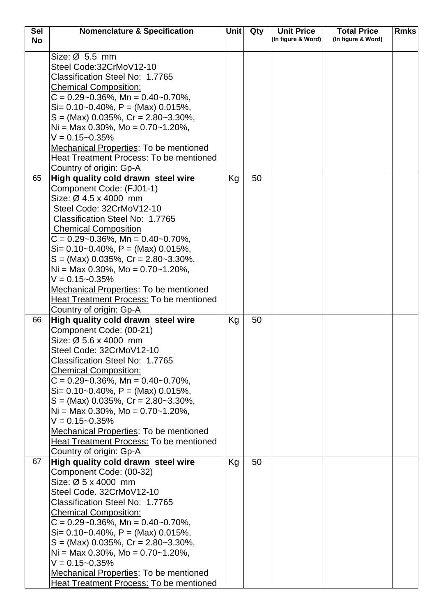| <b>Sel</b><br><b>No</b> | <b>Nomenclature &amp; Specification</b>                       | Unit | Qty | <b>Unit Price</b><br>(In figure & Word) | <b>Total Price</b><br>(In figure & Word) | <b>Rmks</b> |
|-------------------------|---------------------------------------------------------------|------|-----|-----------------------------------------|------------------------------------------|-------------|
|                         | Size: $\varnothing$ 5.5 mm                                    |      |     |                                         |                                          |             |
|                         | Steel Code:32CrMoV12-10                                       |      |     |                                         |                                          |             |
|                         | Classification Steel No: 1.7765                               |      |     |                                         |                                          |             |
|                         | <b>Chemical Composition:</b>                                  |      |     |                                         |                                          |             |
|                         | $C = 0.29 - 0.36\%$ , Mn = 0.40 ~ 0.70%,                      |      |     |                                         |                                          |             |
|                         | $Si = 0.10 - 0.40\%$ , P = (Max) 0.015%,                      |      |     |                                         |                                          |             |
|                         | $S = (Max)$ 0.035%, $Cr = 2.80 - 3.30\%$ ,                    |      |     |                                         |                                          |             |
|                         | Ni = Max 0.30%, Mo = $0.70$ ~ 1.20%,                          |      |     |                                         |                                          |             |
|                         | $V = 0.15 - 0.35%$                                            |      |     |                                         |                                          |             |
|                         | <b>Mechanical Properties: To be mentioned</b>                 |      |     |                                         |                                          |             |
|                         | <b>Heat Treatment Process: To be mentioned</b>                |      |     |                                         |                                          |             |
|                         | Country of origin: Gp-A                                       |      |     |                                         |                                          |             |
| 65                      | High quality cold drawn steel wire                            | Kg   | 50  |                                         |                                          |             |
|                         | Component Code: (FJ01-1)                                      |      |     |                                         |                                          |             |
|                         | Size: Ø 4.5 x 4000 mm                                         |      |     |                                         |                                          |             |
|                         | Steel Code: 32CrMoV12-10                                      |      |     |                                         |                                          |             |
|                         | Classification Steel No: 1.7765                               |      |     |                                         |                                          |             |
|                         | <b>Chemical Composition</b>                                   |      |     |                                         |                                          |             |
|                         | $C = 0.29 - 0.36\%$ , Mn = 0.40 ~ 0.70%,                      |      |     |                                         |                                          |             |
|                         | $Si = 0.10 - 0.40\%$ , P = (Max) 0.015%,                      |      |     |                                         |                                          |             |
|                         | $S = (Max)$ 0.035%, Cr = 2.80~3.30%,                          |      |     |                                         |                                          |             |
|                         | Ni = Max 0.30%, Mo = $0.70$ ~ 1.20%,                          |      |     |                                         |                                          |             |
|                         | $V = 0.15 - 0.35%$                                            |      |     |                                         |                                          |             |
|                         | <b>Mechanical Properties: To be mentioned</b>                 |      |     |                                         |                                          |             |
|                         | Heat Treatment Process: To be mentioned                       |      |     |                                         |                                          |             |
| 66                      | Country of origin: Gp-A                                       |      | 50  |                                         |                                          |             |
|                         | High quality cold drawn steel wire<br>Component Code: (00-21) | Kg   |     |                                         |                                          |             |
|                         | Size: Ø 5.6 x 4000 mm                                         |      |     |                                         |                                          |             |
|                         | Steel Code: 32CrMoV12-10                                      |      |     |                                         |                                          |             |
|                         | Classification Steel No: 1.7765                               |      |     |                                         |                                          |             |
|                         | <b>Chemical Composition:</b>                                  |      |     |                                         |                                          |             |
|                         | $C = 0.29 - 0.36\%$ , Mn = 0.40 ~ 0.70%,                      |      |     |                                         |                                          |             |
|                         | Si= $0.10$ ~ $0.40\%$ , P = (Max) $0.015\%$ ,                 |      |     |                                         |                                          |             |
|                         | $S = (Max)$ 0.035%, $Cr = 2.80 - 3.30\%$ ,                    |      |     |                                         |                                          |             |
|                         | Ni = Max 0.30%, Mo = $0.70$ ~ 1.20%,                          |      |     |                                         |                                          |             |
|                         | $V = 0.15 - 0.35%$                                            |      |     |                                         |                                          |             |
|                         | <b>Mechanical Properties: To be mentioned</b>                 |      |     |                                         |                                          |             |
|                         | Heat Treatment Process: To be mentioned                       |      |     |                                         |                                          |             |
|                         | Country of origin: Gp-A                                       |      |     |                                         |                                          |             |
| 67                      | High quality cold drawn steel wire                            | Kg   | 50  |                                         |                                          |             |
|                         | Component Code: (00-32)                                       |      |     |                                         |                                          |             |
|                         | Size: Ø 5 x 4000 mm                                           |      |     |                                         |                                          |             |
|                         | Steel Code. 32CrMoV12-10                                      |      |     |                                         |                                          |             |
|                         | Classification Steel No: 1.7765                               |      |     |                                         |                                          |             |
|                         | <b>Chemical Composition:</b>                                  |      |     |                                         |                                          |             |
|                         | $C = 0.29 - 0.36\%$ , Mn = 0.40 ~ 0.70%,                      |      |     |                                         |                                          |             |
|                         | $Si = 0.10 - 0.40\%$ , $P = (Max) 0.015\%$ ,                  |      |     |                                         |                                          |             |
|                         | $S = (Max)$ 0.035%, $Cr = 2.80 - 3.30\%$ ,                    |      |     |                                         |                                          |             |
|                         | Ni = Max 0.30%, Mo = $0.70$ ~ 1.20%,<br>$V = 0.15 - 0.35\%$   |      |     |                                         |                                          |             |
|                         | <b>Mechanical Properties: To be mentioned</b>                 |      |     |                                         |                                          |             |
|                         | <b>Heat Treatment Process: To be mentioned</b>                |      |     |                                         |                                          |             |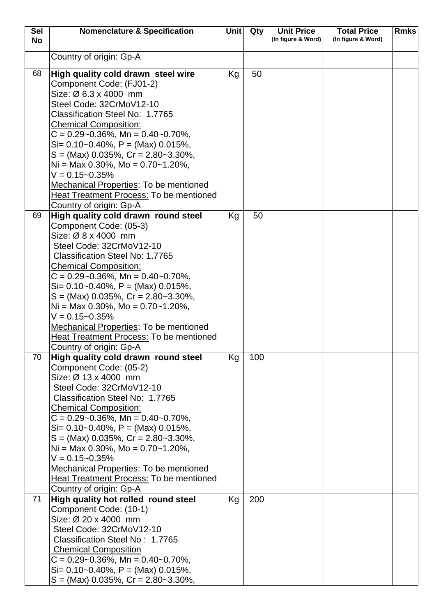| <b>Sel</b> | <b>Nomenclature &amp; Specification</b>                                  | <b>Unit</b> | Qty | <b>Unit Price</b>  | <b>Total Price</b> | <b>Rmks</b> |
|------------|--------------------------------------------------------------------------|-------------|-----|--------------------|--------------------|-------------|
| <b>No</b>  |                                                                          |             |     | (In figure & Word) | (In figure & Word) |             |
|            | Country of origin: Gp-A                                                  |             |     |                    |                    |             |
|            |                                                                          |             |     |                    |                    |             |
| 68         | High quality cold drawn steel wire                                       | Kg          | 50  |                    |                    |             |
|            | Component Code: (FJ01-2)                                                 |             |     |                    |                    |             |
|            | Size: $\varnothing$ 6.3 x 4000 mm                                        |             |     |                    |                    |             |
|            | Steel Code: 32CrMoV12-10                                                 |             |     |                    |                    |             |
|            | Classification Steel No: 1.7765                                          |             |     |                    |                    |             |
|            | <b>Chemical Composition:</b>                                             |             |     |                    |                    |             |
|            | $C = 0.29 - 0.36\%$ , Mn = 0.40 ~ 0.70%,                                 |             |     |                    |                    |             |
|            | $Si= 0.10-0.40\%$ , P = (Max) 0.015%,                                    |             |     |                    |                    |             |
|            | $S = (Max)$ 0.035%, $Cr = 2.80 - 3.30\%$ ,                               |             |     |                    |                    |             |
|            | Ni = Max 0.30%, Mo = $0.70$ ~ 1.20%,                                     |             |     |                    |                    |             |
|            | $V = 0.15 - 0.35%$                                                       |             |     |                    |                    |             |
|            | <b>Mechanical Properties: To be mentioned</b>                            |             |     |                    |                    |             |
|            | Heat Treatment Process: To be mentioned                                  |             |     |                    |                    |             |
|            | Country of origin: Gp-A                                                  |             |     |                    |                    |             |
| 69         | High quality cold drawn round steel                                      | Kg          | 50  |                    |                    |             |
|            | Component Code: (05-3)                                                   |             |     |                    |                    |             |
|            | Size: Ø 8 x 4000 mm                                                      |             |     |                    |                    |             |
|            | Steel Code: 32CrMoV12-10                                                 |             |     |                    |                    |             |
|            | Classification Steel No: 1.7765                                          |             |     |                    |                    |             |
|            | <b>Chemical Composition:</b><br>$C = 0.29 - 0.36\%$ , Mn = 0.40 ~ 0.70%, |             |     |                    |                    |             |
|            | $Si = 0.10 - 0.40\%$ , $P = (Max) 0.015\%$ ,                             |             |     |                    |                    |             |
|            | $S = (Max)$ 0.035%, $Cr = 2.80 - 3.30\%$ ,                               |             |     |                    |                    |             |
|            | Ni = Max 0.30%, Mo = $0.70$ ~ 1.20%,                                     |             |     |                    |                    |             |
|            | $V = 0.15 - 0.35%$                                                       |             |     |                    |                    |             |
|            | Mechanical Properties: To be mentioned                                   |             |     |                    |                    |             |
|            | <b>Heat Treatment Process: To be mentioned</b>                           |             |     |                    |                    |             |
|            | Country of origin: Gp-A                                                  |             |     |                    |                    |             |
| 70         | High quality cold drawn round steel                                      | Kg          | 100 |                    |                    |             |
|            | Component Code: (05-2)                                                   |             |     |                    |                    |             |
|            | Size: Ø 13 x 4000 mm                                                     |             |     |                    |                    |             |
|            | Steel Code: 32CrMoV12-10                                                 |             |     |                    |                    |             |
|            | Classification Steel No: 1.7765                                          |             |     |                    |                    |             |
|            | <b>Chemical Composition:</b>                                             |             |     |                    |                    |             |
|            | $C = 0.29 - 0.36\%$ , Mn = 0.40 ~ 0.70%,                                 |             |     |                    |                    |             |
|            | $Si = 0.10 - 0.40\%$ , $P = (Max) 0.015\%$ ,                             |             |     |                    |                    |             |
|            | $S = (Max)$ 0.035%, $Cr = 2.80 - 3.30\%$ ,                               |             |     |                    |                    |             |
|            | $Ni = Max 0.30\%, Mo = 0.70~1.20\%,$<br>$V = 0.15 - 0.35%$               |             |     |                    |                    |             |
|            | <b>Mechanical Properties: To be mentioned</b>                            |             |     |                    |                    |             |
|            | Heat Treatment Process: To be mentioned                                  |             |     |                    |                    |             |
|            | Country of origin: Gp-A                                                  |             |     |                    |                    |             |
| 71         | High quality hot rolled round steel                                      | Kg          | 200 |                    |                    |             |
|            | Component Code: (10-1)                                                   |             |     |                    |                    |             |
|            | Size: Ø 20 x 4000 mm                                                     |             |     |                    |                    |             |
|            | Steel Code: 32CrMoV12-10                                                 |             |     |                    |                    |             |
|            | Classification Steel No: 1.7765                                          |             |     |                    |                    |             |
|            | <b>Chemical Composition</b>                                              |             |     |                    |                    |             |
|            | $C = 0.29 - 0.36\%$ , Mn = 0.40 ~ 0.70%,                                 |             |     |                    |                    |             |
|            | $Si= 0.10-0.40\%$ , $P = (Max) 0.015\%$ ,                                |             |     |                    |                    |             |
|            | $S = (Max)$ 0.035%, $Cr = 2.80 - 3.30\%$ ,                               |             |     |                    |                    |             |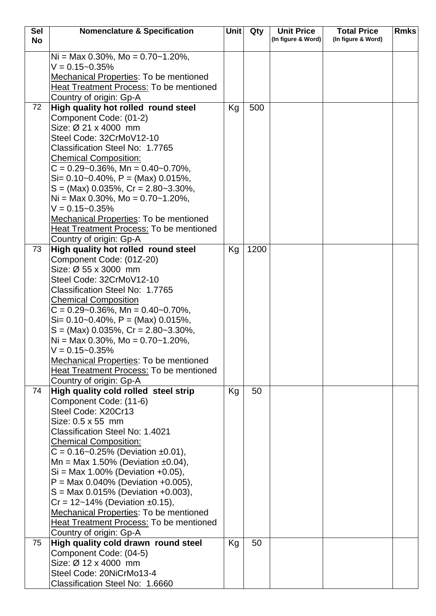| <b>Sel</b> | <b>Nomenclature &amp; Specification</b>                                                | <b>Unit</b> | Qty  | <b>Unit Price</b>  | <b>Total Price</b> | <b>Rmks</b> |
|------------|----------------------------------------------------------------------------------------|-------------|------|--------------------|--------------------|-------------|
| <b>No</b>  |                                                                                        |             |      | (In figure & Word) | (In figure & Word) |             |
|            | Ni = Max 0.30%, Mo = $0.70$ ~ 1.20%,                                                   |             |      |                    |                    |             |
|            | $V = 0.15 - 0.35%$                                                                     |             |      |                    |                    |             |
|            | Mechanical Properties: To be mentioned                                                 |             |      |                    |                    |             |
|            | Heat Treatment Process: To be mentioned                                                |             |      |                    |                    |             |
|            | Country of origin: Gp-A                                                                |             |      |                    |                    |             |
| 72         | High quality hot rolled round steel                                                    | Kg          | 500  |                    |                    |             |
|            | Component Code: (01-2)                                                                 |             |      |                    |                    |             |
|            | Size: Ø 21 x 4000 mm                                                                   |             |      |                    |                    |             |
|            | Steel Code: 32CrMoV12-10                                                               |             |      |                    |                    |             |
|            | Classification Steel No: 1.7765                                                        |             |      |                    |                    |             |
|            | <b>Chemical Composition:</b>                                                           |             |      |                    |                    |             |
|            | $C = 0.29 - 0.36\%$ , Mn = 0.40 ~ 0.70%,                                               |             |      |                    |                    |             |
|            | $Si = 0.10 - 0.40\%$ , $P = (Max) 0.015\%$ ,                                           |             |      |                    |                    |             |
|            | $S = (Max)$ 0.035%, Cr = 2.80~3.30%,                                                   |             |      |                    |                    |             |
|            | $Ni = Max 0.30\%$ , Mo = 0.70~1.20%,                                                   |             |      |                    |                    |             |
|            | $V = 0.15 - 0.35%$                                                                     |             |      |                    |                    |             |
|            | <b>Mechanical Properties: To be mentioned</b>                                          |             |      |                    |                    |             |
|            | Heat Treatment Process: To be mentioned                                                |             |      |                    |                    |             |
|            | Country of origin: Gp-A                                                                |             |      |                    |                    |             |
| 73         | High quality hot rolled round steel                                                    | Kg          | 1200 |                    |                    |             |
|            | Component Code: (01Z-20)                                                               |             |      |                    |                    |             |
|            | Size: Ø 55 x 3000 mm                                                                   |             |      |                    |                    |             |
|            | Steel Code: 32CrMoV12-10                                                               |             |      |                    |                    |             |
|            | Classification Steel No: 1.7765                                                        |             |      |                    |                    |             |
|            | <b>Chemical Composition</b>                                                            |             |      |                    |                    |             |
|            | $C = 0.29 - 0.36\%$ , Mn = 0.40 ~ 0.70%,                                               |             |      |                    |                    |             |
|            | $Si = 0.10 - 0.40\%$ , $P = (Max) 0.015\%$ ,<br>$S = (Max) 0.035\%, Cr = 2.80-3.30\%,$ |             |      |                    |                    |             |
|            | Ni = Max 0.30%, Mo = $0.70$ ~ 1.20%,                                                   |             |      |                    |                    |             |
|            | $V = 0.15 - 0.35%$                                                                     |             |      |                    |                    |             |
|            | Mechanical Properties: To be mentioned                                                 |             |      |                    |                    |             |
|            | <b>Heat Treatment Process: To be mentioned</b>                                         |             |      |                    |                    |             |
|            | Country of origin: Gp-A                                                                |             |      |                    |                    |             |
| 74         | High quality cold rolled steel strip                                                   | Kg          | 50   |                    |                    |             |
|            | Component Code: (11-6)                                                                 |             |      |                    |                    |             |
|            | Steel Code: X20Cr13                                                                    |             |      |                    |                    |             |
|            | Size: 0.5 x 55 mm                                                                      |             |      |                    |                    |             |
|            | <b>Classification Steel No: 1.4021</b>                                                 |             |      |                    |                    |             |
|            | <b>Chemical Composition:</b>                                                           |             |      |                    |                    |             |
|            | $C = 0.16 - 0.25\%$ (Deviation ±0.01),                                                 |             |      |                    |                    |             |
|            | Mn = Max 1.50% (Deviation $\pm 0.04$ ),                                                |             |      |                    |                    |             |
|            | $Si = Max 1.00\%$ (Deviation +0.05),                                                   |             |      |                    |                    |             |
|            | $P = Max 0.040\%$ (Deviation +0.005),                                                  |             |      |                    |                    |             |
|            | $S = Max 0.015\%$ (Deviation +0.003),                                                  |             |      |                    |                    |             |
|            | $Cr = 12 - 14\%$ (Deviation ±0.15),                                                    |             |      |                    |                    |             |
|            | Mechanical Properties: To be mentioned                                                 |             |      |                    |                    |             |
|            | <b>Heat Treatment Process: To be mentioned</b>                                         |             |      |                    |                    |             |
| 75         | Country of origin: Gp-A                                                                |             |      |                    |                    |             |
|            | High quality cold drawn round steel<br>Component Code: (04-5)                          | Kg          | 50   |                    |                    |             |
|            | Size: Ø 12 x 4000 mm                                                                   |             |      |                    |                    |             |
|            | Steel Code: 20NiCrMo13-4                                                               |             |      |                    |                    |             |
|            | Classification Steel No: 1.6660                                                        |             |      |                    |                    |             |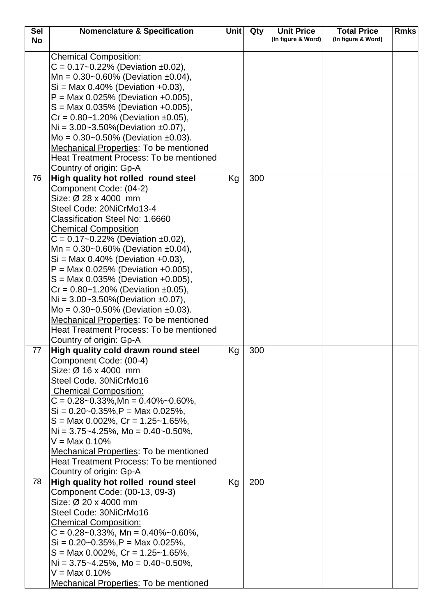| <b>Sel</b> | <b>Nomenclature &amp; Specification</b>                                | Unit | Qty | <b>Unit Price</b>  | <b>Total Price</b> | <b>Rmks</b> |
|------------|------------------------------------------------------------------------|------|-----|--------------------|--------------------|-------------|
| <b>No</b>  |                                                                        |      |     | (In figure & Word) | (In figure & Word) |             |
|            |                                                                        |      |     |                    |                    |             |
|            | <b>Chemical Composition:</b><br>$C = 0.17 - 0.22\%$ (Deviation ±0.02), |      |     |                    |                    |             |
|            | Mn = $0.30$ ~0.60% (Deviation ±0.04),                                  |      |     |                    |                    |             |
|            | $Si = Max 0.40\%$ (Deviation +0.03),                                   |      |     |                    |                    |             |
|            | $P = Max 0.025\%$ (Deviation +0.005),                                  |      |     |                    |                    |             |
|            | $S = Max 0.035\%$ (Deviation +0.005),                                  |      |     |                    |                    |             |
|            | $Cr = 0.80 - 1.20\%$ (Deviation ±0.05),                                |      |     |                    |                    |             |
|            | Ni = $3.00 - 3.50\%$ (Deviation $\pm 0.07$ ),                          |      |     |                    |                    |             |
|            | Mo = $0.30$ ~0.50% (Deviation ±0.03).                                  |      |     |                    |                    |             |
|            | <b>Mechanical Properties: To be mentioned</b>                          |      |     |                    |                    |             |
|            | <b>Heat Treatment Process: To be mentioned</b>                         |      |     |                    |                    |             |
|            | Country of origin: Gp-A                                                |      |     |                    |                    |             |
| 76         | High quality hot rolled round steel                                    | Kg   | 300 |                    |                    |             |
|            | Component Code: (04-2)                                                 |      |     |                    |                    |             |
|            | Size: Ø 28 x 4000 mm                                                   |      |     |                    |                    |             |
|            | Steel Code: 20NiCrMo13-4                                               |      |     |                    |                    |             |
|            | Classification Steel No: 1.6660                                        |      |     |                    |                    |             |
|            | <b>Chemical Composition</b>                                            |      |     |                    |                    |             |
|            | $C = 0.17 - 0.22\%$ (Deviation ±0.02),                                 |      |     |                    |                    |             |
|            | Mn = $0.30$ ~0.60% (Deviation ±0.04),                                  |      |     |                    |                    |             |
|            | $Si = Max 0.40\%$ (Deviation +0.03),                                   |      |     |                    |                    |             |
|            | $P = Max 0.025\%$ (Deviation +0.005),                                  |      |     |                    |                    |             |
|            | $S = Max 0.035\%$ (Deviation +0.005),                                  |      |     |                    |                    |             |
|            | $Cr = 0.80 - 1.20\%$ (Deviation ±0.05),                                |      |     |                    |                    |             |
|            | Ni = $3.00 - 3.50\%$ (Deviation $\pm 0.07$ ),                          |      |     |                    |                    |             |
|            | Mo = $0.30$ ~0.50% (Deviation ±0.03).                                  |      |     |                    |                    |             |
|            | Mechanical Properties: To be mentioned                                 |      |     |                    |                    |             |
|            | <b>Heat Treatment Process: To be mentioned</b>                         |      |     |                    |                    |             |
|            | Country of origin: Gp-A                                                |      |     |                    |                    |             |
| 77         | High quality cold drawn round steel                                    | Kg   | 300 |                    |                    |             |
|            | Component Code: (00-4)                                                 |      |     |                    |                    |             |
|            | Size: $\varnothing$ 16 x 4000 mm                                       |      |     |                    |                    |             |
|            | Steel Code. 30NiCrMo16                                                 |      |     |                    |                    |             |
|            | <b>Chemical Composition:</b>                                           |      |     |                    |                    |             |
|            | $C = 0.28 - 0.33\%, Mn = 0.40\% - 0.60\%,$                             |      |     |                    |                    |             |
|            | $Si = 0.20 - 0.35\%, P = \text{Max } 0.025\%,$                         |      |     |                    |                    |             |
|            | $S = \text{Max } 0.002\%$ , $Cr = 1.25 - 1.65\%$ ,                     |      |     |                    |                    |             |
|            | $Ni = 3.75 - 4.25\%$ , Mo = 0.40 ~ 0.50%,<br>$V = Max 0.10\%$          |      |     |                    |                    |             |
|            | <b>Mechanical Properties: To be mentioned</b>                          |      |     |                    |                    |             |
|            | Heat Treatment Process: To be mentioned                                |      |     |                    |                    |             |
|            | Country of origin: Gp-A                                                |      |     |                    |                    |             |
| 78         | High quality hot rolled round steel                                    | Kg   | 200 |                    |                    |             |
|            | Component Code: (00-13, 09-3)                                          |      |     |                    |                    |             |
|            | Size: Ø 20 x 4000 mm                                                   |      |     |                    |                    |             |
|            | Steel Code: 30NiCrMo16                                                 |      |     |                    |                    |             |
|            | <b>Chemical Composition:</b>                                           |      |     |                    |                    |             |
|            | $C = 0.28 - 0.33\%$ , Mn = 0.40% ~ 0.60%,                              |      |     |                    |                    |             |
|            | $Si = 0.20 - 0.35\%, P = \text{Max } 0.025\%,$                         |      |     |                    |                    |             |
|            | $S = \text{Max } 0.002\%$ , $Cr = 1.25 - 1.65\%$ ,                     |      |     |                    |                    |             |
|            | $Ni = 3.75 - 4.25\%$ , Mo = 0.40 ~ 0.50%,                              |      |     |                    |                    |             |
|            | $V = Max 0.10\%$                                                       |      |     |                    |                    |             |
|            | Mechanical Properties: To be mentioned                                 |      |     |                    |                    |             |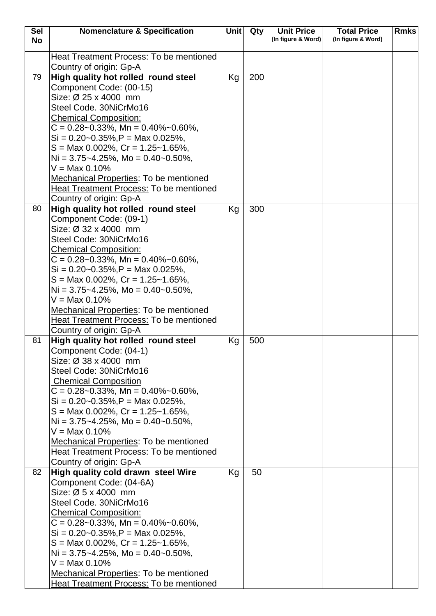| <b>Sel</b> | <b>Nomenclature &amp; Specification</b>                                   | Unit | Qty | <b>Unit Price</b>  | <b>Total Price</b> | <b>Rmks</b> |
|------------|---------------------------------------------------------------------------|------|-----|--------------------|--------------------|-------------|
| <b>No</b>  |                                                                           |      |     | (In figure & Word) | (In figure & Word) |             |
|            | <b>Heat Treatment Process: To be mentioned</b>                            |      |     |                    |                    |             |
|            | Country of origin: Gp-A                                                   |      |     |                    |                    |             |
| 79         | High quality hot rolled round steel                                       | Kg   | 200 |                    |                    |             |
|            | Component Code: (00-15)                                                   |      |     |                    |                    |             |
|            | Size: Ø 25 x 4000 mm                                                      |      |     |                    |                    |             |
|            | Steel Code. 30NiCrMo16                                                    |      |     |                    |                    |             |
|            | <b>Chemical Composition:</b>                                              |      |     |                    |                    |             |
|            | $C = 0.28 - 0.33\%$ , Mn = 0.40% ~ 0.60%,                                 |      |     |                    |                    |             |
|            | $Si = 0.20 - 0.35\%, P = \text{Max } 0.025\%,$                            |      |     |                    |                    |             |
|            | $S = \text{Max } 0.002\%$ , $Cr = 1.25 \text{~} 1.65\%$ ,                 |      |     |                    |                    |             |
|            | $Ni = 3.75 - 4.25\%$ , Mo = 0.40 ~ 0.50%,                                 |      |     |                    |                    |             |
|            | $V = Max 0.10\%$                                                          |      |     |                    |                    |             |
|            | Mechanical Properties: To be mentioned                                    |      |     |                    |                    |             |
|            | <b>Heat Treatment Process: To be mentioned</b>                            |      |     |                    |                    |             |
|            | Country of origin: Gp-A                                                   |      |     |                    |                    |             |
| 80         | High quality hot rolled round steel                                       | Kg   | 300 |                    |                    |             |
|            | Component Code: (09-1)                                                    |      |     |                    |                    |             |
|            | Size: Ø 32 x 4000 mm                                                      |      |     |                    |                    |             |
|            | Steel Code: 30NiCrMo16                                                    |      |     |                    |                    |             |
|            | <b>Chemical Composition:</b>                                              |      |     |                    |                    |             |
|            | $C = 0.28 - 0.33\%$ , Mn = 0.40% ~ 0.60%,                                 |      |     |                    |                    |             |
|            | $Si = 0.20 - 0.35\%, P = \text{Max } 0.025\%,$                            |      |     |                    |                    |             |
|            | $S = \text{Max } 0.002\%$ , $Cr = 1.25 \text{~} 1.65\%$ ,                 |      |     |                    |                    |             |
|            | Ni = $3.75 - 4.25$ %, Mo = $0.40 - 0.50$ %,<br>$V = Max 0.10%$            |      |     |                    |                    |             |
|            | Mechanical Properties: To be mentioned                                    |      |     |                    |                    |             |
|            | <b>Heat Treatment Process: To be mentioned</b>                            |      |     |                    |                    |             |
|            | Country of origin: Gp-A                                                   |      |     |                    |                    |             |
| 81         | High quality hot rolled round steel                                       | Kg   | 500 |                    |                    |             |
|            | Component Code: (04-1)                                                    |      |     |                    |                    |             |
|            | Size: $\varnothing$ 38 x 4000 mm                                          |      |     |                    |                    |             |
|            | Steel Code: 30NiCrMo16                                                    |      |     |                    |                    |             |
|            | <b>Chemical Composition</b>                                               |      |     |                    |                    |             |
|            | $C = 0.28 - 0.33\%$ , Mn = 0.40% ~ 0.60%,                                 |      |     |                    |                    |             |
|            | $Si = 0.20 - 0.35\%$ , $P = Max\ 0.025\%$ ,                               |      |     |                    |                    |             |
|            | $S = \text{Max } 0.002\%$ , $Cr = 1.25 \text{~} 1.65\%$ ,                 |      |     |                    |                    |             |
|            | $Ni = 3.75 - 4.25\%$ , Mo = 0.40 ~ 0.50%,                                 |      |     |                    |                    |             |
|            | $V = Max 0.10%$                                                           |      |     |                    |                    |             |
|            | Mechanical Properties: To be mentioned                                    |      |     |                    |                    |             |
|            | <b>Heat Treatment Process: To be mentioned</b>                            |      |     |                    |                    |             |
|            | Country of origin: Gp-A                                                   |      |     |                    |                    |             |
| 82         | High quality cold drawn steel Wire                                        | Kg   | 50  |                    |                    |             |
|            | Component Code: (04-6A)                                                   |      |     |                    |                    |             |
|            | Size: Ø 5 x 4000 mm<br>Steel Code. 30NiCrMo16                             |      |     |                    |                    |             |
|            |                                                                           |      |     |                    |                    |             |
|            | <b>Chemical Composition:</b><br>$C = 0.28 - 0.33\%$ , Mn = 0.40% ~ 0.60%, |      |     |                    |                    |             |
|            | $Si = 0.20 - 0.35\%, P = \text{Max } 0.025\%,$                            |      |     |                    |                    |             |
|            | $S =$ Max 0.002%, Cr = 1.25~1.65%,                                        |      |     |                    |                    |             |
|            | Ni = $3.75 - 4.25$ %, Mo = $0.40 - 0.50$ %,                               |      |     |                    |                    |             |
|            | $V = Max 0.10%$                                                           |      |     |                    |                    |             |
|            | Mechanical Properties: To be mentioned                                    |      |     |                    |                    |             |
|            | Heat Treatment Process: To be mentioned                                   |      |     |                    |                    |             |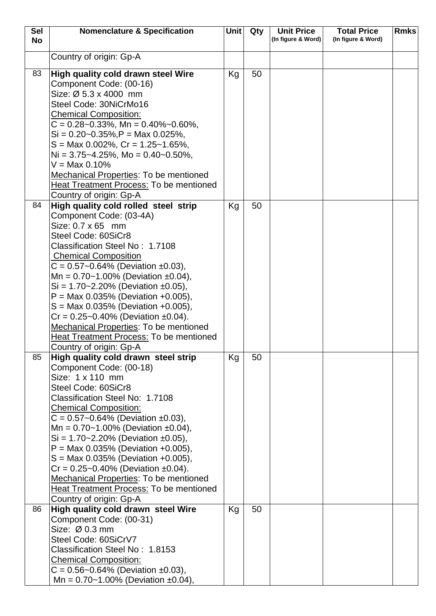| <b>Sel</b> | <b>Nomenclature &amp; Specification</b>                         | <b>Unit</b> | Qty | <b>Unit Price</b>  | <b>Total Price</b> | <b>Rmks</b> |
|------------|-----------------------------------------------------------------|-------------|-----|--------------------|--------------------|-------------|
| <b>No</b>  |                                                                 |             |     | (In figure & Word) | (In figure & Word) |             |
|            | Country of origin: Gp-A                                         |             |     |                    |                    |             |
|            |                                                                 |             |     |                    |                    |             |
| 83         | High quality cold drawn steel Wire                              | Kg          | 50  |                    |                    |             |
|            | Component Code: (00-16)                                         |             |     |                    |                    |             |
|            | Size: Ø 5.3 x 4000 mm                                           |             |     |                    |                    |             |
|            | Steel Code: 30NiCrMo16                                          |             |     |                    |                    |             |
|            | <b>Chemical Composition:</b>                                    |             |     |                    |                    |             |
|            | $C = 0.28 - 0.33\%$ , Mn = 0.40% ~ 0.60%,                       |             |     |                    |                    |             |
|            | $Si = 0.20 - 0.35\%, P = \text{Max } 0.025\%,$                  |             |     |                    |                    |             |
|            | $S = \text{Max } 0.002\%$ , $Cr = 1.25 - 1.65\%$ ,              |             |     |                    |                    |             |
|            | $Ni = 3.75 - 4.25\%$ , Mo = 0.40 ~ 0.50%,                       |             |     |                    |                    |             |
|            | $V = Max 0.10%$                                                 |             |     |                    |                    |             |
|            | Mechanical Properties: To be mentioned                          |             |     |                    |                    |             |
|            | Heat Treatment Process: To be mentioned                         |             |     |                    |                    |             |
| 84         | Country of origin: Gp-A<br>High quality cold rolled steel strip | Kg          | 50  |                    |                    |             |
|            | Component Code: (03-4A)                                         |             |     |                    |                    |             |
|            | Size: 0.7 x 65 mm                                               |             |     |                    |                    |             |
|            | Steel Code: 60SiCr8                                             |             |     |                    |                    |             |
|            | Classification Steel No: 1.7108                                 |             |     |                    |                    |             |
|            | <b>Chemical Composition</b>                                     |             |     |                    |                    |             |
|            | $C = 0.57 - 0.64\%$ (Deviation ±0.03),                          |             |     |                    |                    |             |
|            | Mn = $0.70 - 1.00\%$ (Deviation ±0.04),                         |             |     |                    |                    |             |
|            | $Si = 1.70 - 2.20\%$ (Deviation ±0.05),                         |             |     |                    |                    |             |
|            | $P = Max 0.035\%$ (Deviation +0.005),                           |             |     |                    |                    |             |
|            | $S = Max 0.035\%$ (Deviation +0.005),                           |             |     |                    |                    |             |
|            | $Cr = 0.25 - 0.40\%$ (Deviation ±0.04).                         |             |     |                    |                    |             |
|            | Mechanical Properties: To be mentioned                          |             |     |                    |                    |             |
|            | <b>Heat Treatment Process: To be mentioned</b>                  |             |     |                    |                    |             |
|            | Country of origin: Gp-A                                         |             |     |                    |                    |             |
| 85         | High quality cold drawn steel strip                             | Kg          | 50  |                    |                    |             |
|            | Component Code: (00-18)<br>Size: 1 x 110 mm                     |             |     |                    |                    |             |
|            | Steel Code: 60SiCr8                                             |             |     |                    |                    |             |
|            | Classification Steel No: 1.7108                                 |             |     |                    |                    |             |
|            | <b>Chemical Composition:</b>                                    |             |     |                    |                    |             |
|            | $C = 0.57 - 0.64\%$ (Deviation ±0.03),                          |             |     |                    |                    |             |
|            | Mn = $0.70 - 1.00\%$ (Deviation $\pm 0.04$ ),                   |             |     |                    |                    |             |
|            | $Si = 1.70 - 2.20\%$ (Deviation ±0.05),                         |             |     |                    |                    |             |
|            | $P = Max 0.035\%$ (Deviation +0.005),                           |             |     |                    |                    |             |
|            | $S = Max 0.035\%$ (Deviation +0.005),                           |             |     |                    |                    |             |
|            | $Cr = 0.25 - 0.40\%$ (Deviation ±0.04).                         |             |     |                    |                    |             |
|            | Mechanical Properties: To be mentioned                          |             |     |                    |                    |             |
|            | Heat Treatment Process: To be mentioned                         |             |     |                    |                    |             |
|            | Country of origin: Gp-A                                         |             |     |                    |                    |             |
| 86         | High quality cold drawn steel Wire                              | Kg          | 50  |                    |                    |             |
|            | Component Code: (00-31)                                         |             |     |                    |                    |             |
|            | Size: $Ø$ 0.3 mm                                                |             |     |                    |                    |             |
|            | Steel Code: 60SiCrV7                                            |             |     |                    |                    |             |
|            | Classification Steel No: 1.8153                                 |             |     |                    |                    |             |
|            | <b>Chemical Composition:</b>                                    |             |     |                    |                    |             |
|            | $C = 0.56 - 0.64\%$ (Deviation ±0.03),                          |             |     |                    |                    |             |
|            | Mn = $0.70 - 1.00\%$ (Deviation $\pm 0.04$ ),                   |             |     |                    |                    |             |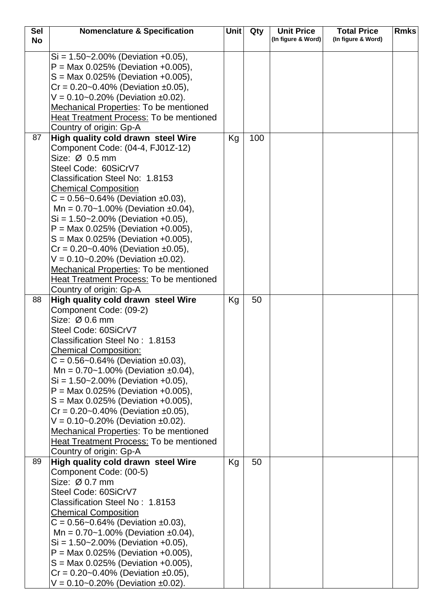| <b>Sel</b> | <b>Nomenclature &amp; Specification</b>                                            | <b>Unit</b> | Qty | <b>Unit Price</b>  | <b>Total Price</b> | <b>Rmks</b> |
|------------|------------------------------------------------------------------------------------|-------------|-----|--------------------|--------------------|-------------|
| <b>No</b>  |                                                                                    |             |     | (In figure & Word) | (In figure & Word) |             |
|            | $Si = 1.50 - 2.00\%$ (Deviation +0.05),                                            |             |     |                    |                    |             |
|            | $P = Max 0.025\%$ (Deviation +0.005),                                              |             |     |                    |                    |             |
|            | $S = Max 0.025\%$ (Deviation +0.005),                                              |             |     |                    |                    |             |
|            | $Cr = 0.20 - 0.40\%$ (Deviation ±0.05),                                            |             |     |                    |                    |             |
|            | $V = 0.10 - 0.20\%$ (Deviation ±0.02).                                             |             |     |                    |                    |             |
|            | Mechanical Properties: To be mentioned                                             |             |     |                    |                    |             |
|            | <b>Heat Treatment Process: To be mentioned</b>                                     |             |     |                    |                    |             |
|            | Country of origin: Gp-A                                                            |             |     |                    |                    |             |
| 87         | High quality cold drawn steel Wire                                                 | Kg          | 100 |                    |                    |             |
|            | Component Code: (04-4, FJ01Z-12)                                                   |             |     |                    |                    |             |
|            | Size: Ø 0.5 mm                                                                     |             |     |                    |                    |             |
|            | Steel Code: 60SiCrV7                                                               |             |     |                    |                    |             |
|            | Classification Steel No: 1.8153                                                    |             |     |                    |                    |             |
|            | <b>Chemical Composition</b>                                                        |             |     |                    |                    |             |
|            | $C = 0.56 - 0.64\%$ (Deviation ±0.03),                                             |             |     |                    |                    |             |
|            | Mn = $0.70 - 1.00\%$ (Deviation ±0.04),                                            |             |     |                    |                    |             |
|            | $Si = 1.50 - 2.00\%$ (Deviation +0.05),                                            |             |     |                    |                    |             |
|            | $P = Max 0.025\%$ (Deviation +0.005),                                              |             |     |                    |                    |             |
|            | $S = Max 0.025\%$ (Deviation +0.005),                                              |             |     |                    |                    |             |
|            | $Cr = 0.20 - 0.40\%$ (Deviation ±0.05),                                            |             |     |                    |                    |             |
|            | $V = 0.10 - 0.20\%$ (Deviation ±0.02).                                             |             |     |                    |                    |             |
|            | Mechanical Properties: To be mentioned                                             |             |     |                    |                    |             |
|            | <b>Heat Treatment Process: To be mentioned</b>                                     |             |     |                    |                    |             |
|            | Country of origin: Gp-A                                                            |             |     |                    |                    |             |
| 88         | High quality cold drawn steel Wire                                                 | Kg          | 50  |                    |                    |             |
|            | Component Code: (09-2)                                                             |             |     |                    |                    |             |
|            | Size: $Ø$ 0.6 mm                                                                   |             |     |                    |                    |             |
|            | Steel Code: 60SiCrV7                                                               |             |     |                    |                    |             |
|            | Classification Steel No: 1.8153                                                    |             |     |                    |                    |             |
|            | <b>Chemical Composition:</b>                                                       |             |     |                    |                    |             |
|            | $C = 0.56 - 0.64\%$ (Deviation ±0.03),                                             |             |     |                    |                    |             |
|            | Mn = $0.70 - 1.00\%$ (Deviation ±0.04),<br>$Si = 1.50 - 2.00\%$ (Deviation +0.05), |             |     |                    |                    |             |
|            | $P = Max 0.025\%$ (Deviation +0.005),                                              |             |     |                    |                    |             |
|            | $S = \text{Max } 0.025\%$ (Deviation +0.005),                                      |             |     |                    |                    |             |
|            | $Cr = 0.20 - 0.40\%$ (Deviation ±0.05),                                            |             |     |                    |                    |             |
|            | $V = 0.10 - 0.20\%$ (Deviation ±0.02).                                             |             |     |                    |                    |             |
|            | Mechanical Properties: To be mentioned                                             |             |     |                    |                    |             |
|            | Heat Treatment Process: To be mentioned                                            |             |     |                    |                    |             |
|            | Country of origin: Gp-A                                                            |             |     |                    |                    |             |
| 89         | High quality cold drawn steel Wire                                                 | Kg          | 50  |                    |                    |             |
|            | Component Code: (00-5)                                                             |             |     |                    |                    |             |
|            | Size: $Ø 0.7$ mm                                                                   |             |     |                    |                    |             |
|            | Steel Code: 60SiCrV7                                                               |             |     |                    |                    |             |
|            | Classification Steel No: 1.8153                                                    |             |     |                    |                    |             |
|            | <b>Chemical Composition</b>                                                        |             |     |                    |                    |             |
|            | $C = 0.56 - 0.64\%$ (Deviation ±0.03),                                             |             |     |                    |                    |             |
|            | Mn = $0.70 - 1.00\%$ (Deviation ±0.04),                                            |             |     |                    |                    |             |
|            | $Si = 1.50 - 2.00\%$ (Deviation +0.05),                                            |             |     |                    |                    |             |
|            | $P = Max 0.025\%$ (Deviation +0.005),                                              |             |     |                    |                    |             |
|            | $S = \text{Max } 0.025\%$ (Deviation +0.005),                                      |             |     |                    |                    |             |
|            | $Cr = 0.20 - 0.40\%$ (Deviation ±0.05),                                            |             |     |                    |                    |             |
|            | $V = 0.10 - 0.20\%$ (Deviation $\pm 0.02$ ).                                       |             |     |                    |                    |             |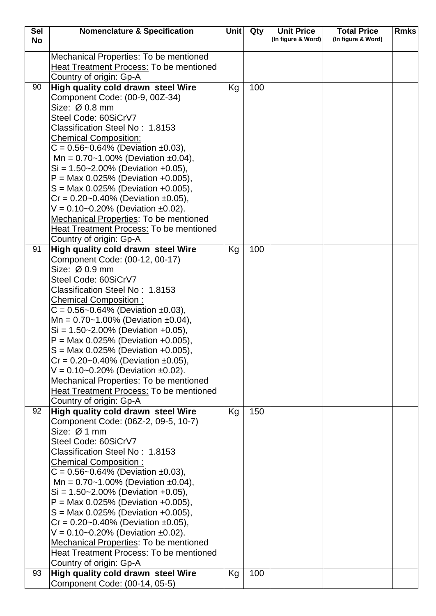| <b>Sel</b> | <b>Nomenclature &amp; Specification</b>                                           | Unit | Qty | <b>Unit Price</b>  | <b>Total Price</b> | <b>Rmks</b> |
|------------|-----------------------------------------------------------------------------------|------|-----|--------------------|--------------------|-------------|
| <b>No</b>  |                                                                                   |      |     | (In figure & Word) | (In figure & Word) |             |
|            | <b>Mechanical Properties: To be mentioned</b>                                     |      |     |                    |                    |             |
|            | <b>Heat Treatment Process: To be mentioned</b>                                    |      |     |                    |                    |             |
|            | Country of origin: Gp-A                                                           |      |     |                    |                    |             |
| 90         | High quality cold drawn steel Wire                                                | Kg   | 100 |                    |                    |             |
|            | Component Code: (00-9, 00Z-34)                                                    |      |     |                    |                    |             |
|            | Size: Ø 0.8 mm                                                                    |      |     |                    |                    |             |
|            | Steel Code: 60SiCrV7                                                              |      |     |                    |                    |             |
|            | Classification Steel No: 1.8153                                                   |      |     |                    |                    |             |
|            | <b>Chemical Composition:</b>                                                      |      |     |                    |                    |             |
|            | $C = 0.56 - 0.64\%$ (Deviation ±0.03),                                            |      |     |                    |                    |             |
|            | Mn = $0.70 - 1.00\%$ (Deviation ±0.04),                                           |      |     |                    |                    |             |
|            | $Si = 1.50 - 2.00\%$ (Deviation +0.05),                                           |      |     |                    |                    |             |
|            | $P = Max 0.025\%$ (Deviation +0.005),                                             |      |     |                    |                    |             |
|            | $S = Max 0.025%$ (Deviation +0.005),                                              |      |     |                    |                    |             |
|            | $Cr = 0.20 - 0.40\%$ (Deviation ±0.05),                                           |      |     |                    |                    |             |
|            | $V = 0.10 - 0.20\%$ (Deviation ±0.02).                                            |      |     |                    |                    |             |
|            | <b>Mechanical Properties: To be mentioned</b>                                     |      |     |                    |                    |             |
|            | <b>Heat Treatment Process: To be mentioned</b>                                    |      |     |                    |                    |             |
|            | Country of origin: Gp-A                                                           |      |     |                    |                    |             |
| 91         | High quality cold drawn steel Wire                                                | Kg   | 100 |                    |                    |             |
|            | Component Code: (00-12, 00-17)                                                    |      |     |                    |                    |             |
|            | Size: Ø 0.9 mm                                                                    |      |     |                    |                    |             |
|            | Steel Code: 60SiCrV7                                                              |      |     |                    |                    |             |
|            | Classification Steel No: 1.8153                                                   |      |     |                    |                    |             |
|            | <b>Chemical Composition:</b>                                                      |      |     |                    |                    |             |
|            | $C = 0.56 - 0.64\%$ (Deviation ±0.03),<br>Mn = $0.70 - 1.00\%$ (Deviation ±0.04), |      |     |                    |                    |             |
|            | $Si = 1.50 - 2.00\%$ (Deviation +0.05),                                           |      |     |                    |                    |             |
|            | $P = Max 0.025\%$ (Deviation +0.005),                                             |      |     |                    |                    |             |
|            | $S = Max 0.025\%$ (Deviation +0.005),                                             |      |     |                    |                    |             |
|            | $Cr = 0.20 - 0.40\%$ (Deviation ±0.05),                                           |      |     |                    |                    |             |
|            | $V = 0.10 - 0.20\%$ (Deviation ±0.02).                                            |      |     |                    |                    |             |
|            | <b>Mechanical Properties: To be mentioned</b>                                     |      |     |                    |                    |             |
|            | Heat Treatment Process: To be mentioned                                           |      |     |                    |                    |             |
|            | Country of origin: Gp-A                                                           |      |     |                    |                    |             |
| 92         | High quality cold drawn steel Wire                                                | Kg   | 150 |                    |                    |             |
|            | Component Code: (06Z-2, 09-5, 10-7)                                               |      |     |                    |                    |             |
|            | Size: Ø 1 mm                                                                      |      |     |                    |                    |             |
|            | Steel Code: 60SiCrV7                                                              |      |     |                    |                    |             |
|            | Classification Steel No: 1.8153                                                   |      |     |                    |                    |             |
|            | <b>Chemical Composition:</b>                                                      |      |     |                    |                    |             |
|            | $C = 0.56 - 0.64\%$ (Deviation ±0.03),                                            |      |     |                    |                    |             |
|            | Mn = $0.70 - 1.00\%$ (Deviation ±0.04),                                           |      |     |                    |                    |             |
|            | $Si = 1.50 - 2.00\%$ (Deviation +0.05),                                           |      |     |                    |                    |             |
|            | $P = Max 0.025\%$ (Deviation +0.005),                                             |      |     |                    |                    |             |
|            | $S = Max 0.025\%$ (Deviation +0.005),<br>$Cr = 0.20 - 0.40\%$ (Deviation ±0.05),  |      |     |                    |                    |             |
|            | $V = 0.10 - 0.20\%$ (Deviation ±0.02).                                            |      |     |                    |                    |             |
|            | <b>Mechanical Properties: To be mentioned</b>                                     |      |     |                    |                    |             |
|            | <b>Heat Treatment Process: To be mentioned</b>                                    |      |     |                    |                    |             |
|            | Country of origin: Gp-A                                                           |      |     |                    |                    |             |
| 93         | High quality cold drawn steel Wire                                                | Kg   | 100 |                    |                    |             |
|            | Component Code: (00-14, 05-5)                                                     |      |     |                    |                    |             |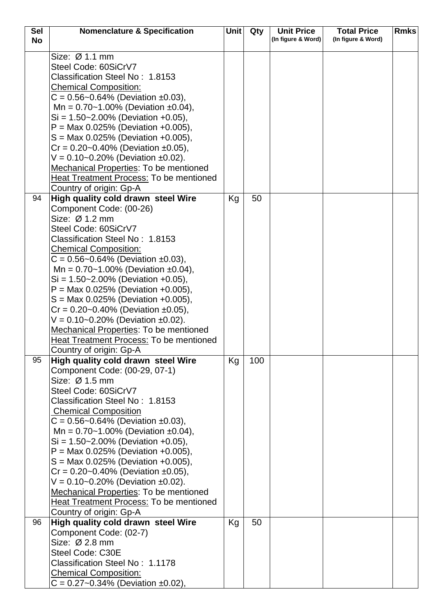| <b>Sel</b> | <b>Nomenclature &amp; Specification</b>                                | Unit | Qty | <b>Unit Price</b>  | <b>Total Price</b> | <b>Rmks</b> |
|------------|------------------------------------------------------------------------|------|-----|--------------------|--------------------|-------------|
| <b>No</b>  |                                                                        |      |     | (In figure & Word) | (In figure & Word) |             |
|            | Size: Ø 1.1 mm                                                         |      |     |                    |                    |             |
|            | Steel Code: 60SiCrV7                                                   |      |     |                    |                    |             |
|            | Classification Steel No: 1.8153                                        |      |     |                    |                    |             |
|            | <b>Chemical Composition:</b>                                           |      |     |                    |                    |             |
|            | $C = 0.56 - 0.64\%$ (Deviation ±0.03),                                 |      |     |                    |                    |             |
|            | Mn = $0.70 - 1.00\%$ (Deviation ±0.04),                                |      |     |                    |                    |             |
|            | $Si = 1.50 - 2.00\%$ (Deviation +0.05),                                |      |     |                    |                    |             |
|            | $P = Max 0.025\%$ (Deviation +0.005),                                  |      |     |                    |                    |             |
|            | $S = \text{Max } 0.025\%$ (Deviation +0.005),                          |      |     |                    |                    |             |
|            | $Cr = 0.20 - 0.40\%$ (Deviation ±0.05),                                |      |     |                    |                    |             |
|            | $V = 0.10 - 0.20\%$ (Deviation ±0.02).                                 |      |     |                    |                    |             |
|            | Mechanical Properties: To be mentioned                                 |      |     |                    |                    |             |
|            | Heat Treatment Process: To be mentioned                                |      |     |                    |                    |             |
|            | Country of origin: Gp-A                                                |      |     |                    |                    |             |
| 94         | High quality cold drawn steel Wire                                     | Kg   | 50  |                    |                    |             |
|            | Component Code: (00-26)                                                |      |     |                    |                    |             |
|            | Size: Ø 1.2 mm                                                         |      |     |                    |                    |             |
|            | Steel Code: 60SiCrV7                                                   |      |     |                    |                    |             |
|            | Classification Steel No: 1.8153                                        |      |     |                    |                    |             |
|            | <b>Chemical Composition:</b><br>$C = 0.56 - 0.64\%$ (Deviation ±0.03), |      |     |                    |                    |             |
|            | Mn = $0.70 - 1.00\%$ (Deviation $\pm 0.04$ ),                          |      |     |                    |                    |             |
|            | $Si = 1.50 - 2.00\%$ (Deviation +0.05),                                |      |     |                    |                    |             |
|            | $P = Max 0.025\%$ (Deviation +0.005),                                  |      |     |                    |                    |             |
|            | $S = \text{Max } 0.025\%$ (Deviation +0.005),                          |      |     |                    |                    |             |
|            | $Cr = 0.20 - 0.40\%$ (Deviation ±0.05),                                |      |     |                    |                    |             |
|            | $V = 0.10 - 0.20\%$ (Deviation ±0.02).                                 |      |     |                    |                    |             |
|            | <b>Mechanical Properties: To be mentioned</b>                          |      |     |                    |                    |             |
|            | <b>Heat Treatment Process: To be mentioned</b>                         |      |     |                    |                    |             |
|            | Country of origin: Gp-A                                                |      |     |                    |                    |             |
| 95         | High quality cold drawn steel Wire                                     | Κg   | 100 |                    |                    |             |
|            | Component Code: (00-29, 07-1)                                          |      |     |                    |                    |             |
|            | Size: Ø 1.5 mm<br>Steel Code: 60SiCrV7                                 |      |     |                    |                    |             |
|            | Classification Steel No: 1.8153                                        |      |     |                    |                    |             |
|            | <b>Chemical Composition</b>                                            |      |     |                    |                    |             |
|            | $C = 0.56 - 0.64\%$ (Deviation ±0.03),                                 |      |     |                    |                    |             |
|            | Mn = $0.70 - 1.00\%$ (Deviation ±0.04),                                |      |     |                    |                    |             |
|            | $Si = 1.50 - 2.00\%$ (Deviation +0.05),                                |      |     |                    |                    |             |
|            | $P = Max 0.025\%$ (Deviation +0.005),                                  |      |     |                    |                    |             |
|            | $S = Max 0.025\%$ (Deviation +0.005),                                  |      |     |                    |                    |             |
|            | $Cr = 0.20 - 0.40\%$ (Deviation ±0.05),                                |      |     |                    |                    |             |
|            | $V = 0.10 - 0.20\%$ (Deviation ±0.02).                                 |      |     |                    |                    |             |
|            | <b>Mechanical Properties: To be mentioned</b>                          |      |     |                    |                    |             |
|            | Heat Treatment Process: To be mentioned                                |      |     |                    |                    |             |
|            | Country of origin: Gp-A                                                |      |     |                    |                    |             |
| 96         | High quality cold drawn steel Wire                                     | Kg   | 50  |                    |                    |             |
|            | Component Code: (02-7)<br>Size: Ø 2.8 mm                               |      |     |                    |                    |             |
|            | Steel Code: C30E                                                       |      |     |                    |                    |             |
|            | Classification Steel No: 1.1178                                        |      |     |                    |                    |             |
|            | <b>Chemical Composition:</b>                                           |      |     |                    |                    |             |
|            | $C = 0.27 - 0.34\%$ (Deviation ±0.02),                                 |      |     |                    |                    |             |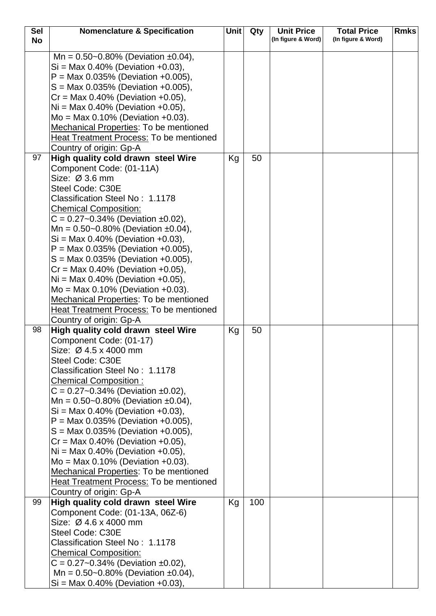| <b>Sel</b> | <b>Nomenclature &amp; Specification</b>                                                                                                                                                                                                                                                                                                                                                                                                                                                                                                                                                                    | Unit | Qty | <b>Unit Price</b>  | <b>Total Price</b> | <b>Rmks</b> |
|------------|------------------------------------------------------------------------------------------------------------------------------------------------------------------------------------------------------------------------------------------------------------------------------------------------------------------------------------------------------------------------------------------------------------------------------------------------------------------------------------------------------------------------------------------------------------------------------------------------------------|------|-----|--------------------|--------------------|-------------|
| <b>No</b>  |                                                                                                                                                                                                                                                                                                                                                                                                                                                                                                                                                                                                            |      |     | (In figure & Word) | (In figure & Word) |             |
|            | Mn = $0.50$ ~0.80% (Deviation ±0.04),<br>$Si = Max 0.40\%$ (Deviation +0.03),<br>$P = Max 0.035\%$ (Deviation +0.005),<br>$S = Max 0.035\%$ (Deviation +0.005),<br>$Cr = Max 0.40\%$ (Deviation +0.05),<br>$Ni = Max 0.40\%$ (Deviation +0.05),<br>$Mo = Max 0.10% (Deviation +0.03).$<br>Mechanical Properties: To be mentioned<br>Heat Treatment Process: To be mentioned<br>Country of origin: Gp-A                                                                                                                                                                                                     |      |     |                    |                    |             |
| 97         | High quality cold drawn steel Wire                                                                                                                                                                                                                                                                                                                                                                                                                                                                                                                                                                         | Kg   | 50  |                    |                    |             |
|            | Component Code: (01-11A)<br>Size: Ø 3.6 mm<br>Steel Code: C30E<br>Classification Steel No: 1.1178<br><b>Chemical Composition:</b><br>$C = 0.27 - 0.34\%$ (Deviation ±0.02),<br>Mn = $0.50$ ~0.80% (Deviation ±0.04),<br>$Si = Max 0.40\%$ (Deviation +0.03),<br>$P = Max 0.035\%$ (Deviation +0.005),<br>$S = Max 0.035\%$ (Deviation +0.005),<br>$Cr = Max 0.40\%$ (Deviation +0.05),<br>$Ni = Max 0.40\%$ (Deviation +0.05),<br>$Mo = Max 0.10% (Deviation +0.03).$<br><b>Mechanical Properties: To be mentioned</b><br><b>Heat Treatment Process: To be mentioned</b><br>Country of origin: Gp-A        |      |     |                    |                    |             |
| 98         | High quality cold drawn steel Wire                                                                                                                                                                                                                                                                                                                                                                                                                                                                                                                                                                         | Кg   | 50  |                    |                    |             |
|            | Component Code: (01-17)<br>Size: Ø 4.5 x 4000 mm<br>Steel Code: C30E<br>Classification Steel No: 1.1178<br><b>Chemical Composition:</b><br>$C = 0.27 - 0.34\%$ (Deviation ±0.02),<br>Mn = $0.50$ ~0.80% (Deviation ±0.04),<br>$Si = Max 0.40\%$ (Deviation +0.03),<br>$P = Max 0.035\%$ (Deviation +0.005),<br>$S = \text{Max } 0.035\%$ (Deviation +0.005),<br>$Cr = Max 0.40\%$ (Deviation +0.05),<br>$Ni = Max 0.40\%$ (Deviation +0.05),<br>$Mo = Max 0.10% (Deviation +0.03).$<br>Mechanical Properties: To be mentioned<br><b>Heat Treatment Process: To be mentioned</b><br>Country of origin: Gp-A |      |     |                    |                    |             |
| 99         | High quality cold drawn steel Wire<br>Component Code: (01-13A, 06Z-6)<br>Size: Ø 4.6 x 4000 mm<br>Steel Code: C30E<br>Classification Steel No: 1.1178<br><b>Chemical Composition:</b><br>$C = 0.27 - 0.34\%$ (Deviation ±0.02),<br>Mn = $0.50$ ~0.80% (Deviation ±0.04),<br>$Si = Max 0.40\%$ (Deviation +0.03),                                                                                                                                                                                                                                                                                           | Kg   | 100 |                    |                    |             |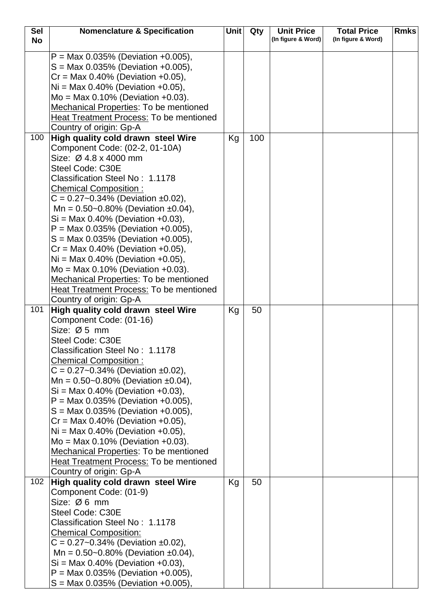| <b>Sel</b> | <b>Nomenclature &amp; Specification</b>        | <b>Unit</b> | Qty | <b>Unit Price</b>  | <b>Total Price</b> | <b>Rmks</b> |
|------------|------------------------------------------------|-------------|-----|--------------------|--------------------|-------------|
| <b>No</b>  |                                                |             |     | (In figure & Word) | (In figure & Word) |             |
|            | $P = Max 0.035\%$ (Deviation +0.005),          |             |     |                    |                    |             |
|            |                                                |             |     |                    |                    |             |
|            | $S = Max 0.035\%$ (Deviation +0.005),          |             |     |                    |                    |             |
|            | $Cr = Max 0.40\%$ (Deviation +0.05),           |             |     |                    |                    |             |
|            | $Ni = Max 0.40\%$ (Deviation +0.05),           |             |     |                    |                    |             |
|            | $Mo = Max 0.10% (Deviation +0.03).$            |             |     |                    |                    |             |
|            | Mechanical Properties: To be mentioned         |             |     |                    |                    |             |
|            | Heat Treatment Process: To be mentioned        |             |     |                    |                    |             |
|            | Country of origin: Gp-A                        |             |     |                    |                    |             |
| 100        | High quality cold drawn steel Wire             | Kg          | 100 |                    |                    |             |
|            | Component Code: (02-2, 01-10A)                 |             |     |                    |                    |             |
|            | Size: Ø 4.8 x 4000 mm                          |             |     |                    |                    |             |
|            | Steel Code: C30E                               |             |     |                    |                    |             |
|            | Classification Steel No: 1.1178                |             |     |                    |                    |             |
|            | <b>Chemical Composition:</b>                   |             |     |                    |                    |             |
|            | $C = 0.27 - 0.34\%$ (Deviation ±0.02),         |             |     |                    |                    |             |
|            | Mn = $0.50$ ~0.80% (Deviation ±0.04),          |             |     |                    |                    |             |
|            | $Si = Max 0.40\%$ (Deviation +0.03),           |             |     |                    |                    |             |
|            | $P = Max 0.035\%$ (Deviation +0.005),          |             |     |                    |                    |             |
|            | $S = \text{Max } 0.035\%$ (Deviation +0.005),  |             |     |                    |                    |             |
|            | $Cr = Max 0.40\%$ (Deviation +0.05),           |             |     |                    |                    |             |
|            | $Ni = Max 0.40\%$ (Deviation +0.05),           |             |     |                    |                    |             |
|            | $Mo = Max 0.10\%$ (Deviation +0.03).           |             |     |                    |                    |             |
|            | <b>Mechanical Properties: To be mentioned</b>  |             |     |                    |                    |             |
|            | <b>Heat Treatment Process: To be mentioned</b> |             |     |                    |                    |             |
|            | Country of origin: Gp-A                        |             |     |                    |                    |             |
| 101        | High quality cold drawn steel Wire             | Kg          | 50  |                    |                    |             |
|            | Component Code: (01-16)                        |             |     |                    |                    |             |
|            | Size: $Ø5$ mm                                  |             |     |                    |                    |             |
|            | Steel Code: C30E                               |             |     |                    |                    |             |
|            | Classification Steel No: 1.1178                |             |     |                    |                    |             |
|            | <b>Chemical Composition:</b>                   |             |     |                    |                    |             |
|            | $C = 0.27 - 0.34\%$ (Deviation ±0.02),         |             |     |                    |                    |             |
|            | Mn = $0.50$ ~0.80% (Deviation ±0.04),          |             |     |                    |                    |             |
|            | $Si = Max 0.40\%$ (Deviation +0.03),           |             |     |                    |                    |             |
|            | $P = Max 0.035\%$ (Deviation +0.005),          |             |     |                    |                    |             |
|            | $S = Max 0.035\%$ (Deviation +0.005),          |             |     |                    |                    |             |
|            | $Cr = Max 0.40\%$ (Deviation +0.05),           |             |     |                    |                    |             |
|            | $Ni = Max 0.40\%$ (Deviation +0.05),           |             |     |                    |                    |             |
|            | $Mo = Max 0.10\%$ (Deviation +0.03).           |             |     |                    |                    |             |
|            | Mechanical Properties: To be mentioned         |             |     |                    |                    |             |
|            | Heat Treatment Process: To be mentioned        |             |     |                    |                    |             |
|            | Country of origin: Gp-A                        |             |     |                    |                    |             |
| 102        | High quality cold drawn steel Wire             | Kg          | 50  |                    |                    |             |
|            | Component Code: (01-9)                         |             |     |                    |                    |             |
|            | Size: $Ø6$ mm                                  |             |     |                    |                    |             |
|            | Steel Code: C30E                               |             |     |                    |                    |             |
|            | Classification Steel No: 1.1178                |             |     |                    |                    |             |
|            | <b>Chemical Composition:</b>                   |             |     |                    |                    |             |
|            | $C = 0.27 - 0.34\%$ (Deviation ±0.02),         |             |     |                    |                    |             |
|            | Mn = $0.50$ ~0.80% (Deviation ±0.04),          |             |     |                    |                    |             |
|            | $Si = Max 0.40%$ (Deviation +0.03),            |             |     |                    |                    |             |
|            | $P = Max 0.035\%$ (Deviation +0.005),          |             |     |                    |                    |             |
|            | $S = \text{Max } 0.035\%$ (Deviation +0.005),  |             |     |                    |                    |             |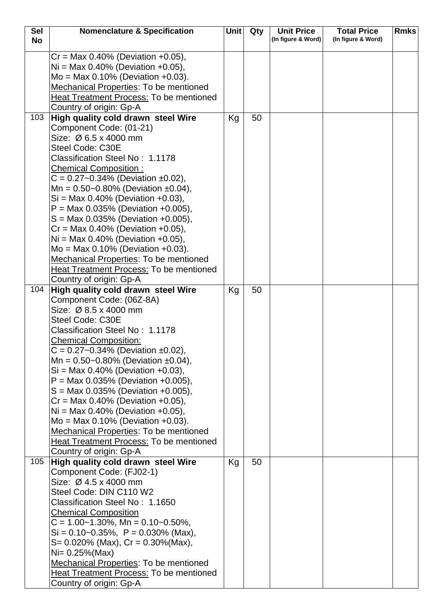| <b>Sel</b> | <b>Nomenclature &amp; Specification</b>                                      | <b>Unit</b> | Qty | <b>Unit Price</b>  | <b>Total Price</b> | <b>Rmks</b> |
|------------|------------------------------------------------------------------------------|-------------|-----|--------------------|--------------------|-------------|
| <b>No</b>  |                                                                              |             |     | (In figure & Word) | (In figure & Word) |             |
|            | $Cr = Max 0.40\%$ (Deviation +0.05),                                         |             |     |                    |                    |             |
|            | $Ni = Max 0.40\%$ (Deviation +0.05),                                         |             |     |                    |                    |             |
|            | $Mo = Max 0.10% (Deviation +0.03).$                                          |             |     |                    |                    |             |
|            | Mechanical Properties: To be mentioned                                       |             |     |                    |                    |             |
|            | <b>Heat Treatment Process: To be mentioned</b>                               |             |     |                    |                    |             |
|            | Country of origin: Gp-A                                                      |             |     |                    |                    |             |
| 103        | High quality cold drawn steel Wire                                           | Kg          | 50  |                    |                    |             |
|            | Component Code: (01-21)                                                      |             |     |                    |                    |             |
|            | Size: Ø 6.5 x 4000 mm                                                        |             |     |                    |                    |             |
|            | Steel Code: C30E                                                             |             |     |                    |                    |             |
|            | Classification Steel No: 1.1178                                              |             |     |                    |                    |             |
|            | <b>Chemical Composition:</b>                                                 |             |     |                    |                    |             |
|            | $C = 0.27 - 0.34\%$ (Deviation ±0.02),                                       |             |     |                    |                    |             |
|            | Mn = $0.50$ ~0.80% (Deviation ±0.04),                                        |             |     |                    |                    |             |
|            | $Si = Max 0.40\%$ (Deviation +0.03),                                         |             |     |                    |                    |             |
|            | $P = Max 0.035\%$ (Deviation +0.005),                                        |             |     |                    |                    |             |
|            | $S = Max 0.035\%$ (Deviation +0.005),                                        |             |     |                    |                    |             |
|            | $Cr = Max 0.40\%$ (Deviation +0.05),                                         |             |     |                    |                    |             |
|            | $Ni = Max 0.40\%$ (Deviation +0.05),                                         |             |     |                    |                    |             |
|            | $Mo = Max 0.10\%$ (Deviation +0.03).                                         |             |     |                    |                    |             |
|            | Mechanical Properties: To be mentioned                                       |             |     |                    |                    |             |
|            | Heat Treatment Process: To be mentioned                                      |             |     |                    |                    |             |
|            | Country of origin: Gp-A                                                      |             |     |                    |                    |             |
| 104        | High quality cold drawn steel Wire                                           | Kg          | 50  |                    |                    |             |
|            | Component Code: (06Z-8A)                                                     |             |     |                    |                    |             |
|            | Size: Ø 8.5 x 4000 mm                                                        |             |     |                    |                    |             |
|            | Steel Code: C30E                                                             |             |     |                    |                    |             |
|            | Classification Steel No: 1.1178                                              |             |     |                    |                    |             |
|            | <b>Chemical Composition:</b>                                                 |             |     |                    |                    |             |
|            | $C = 0.27 - 0.34\%$ (Deviation ±0.02),                                       |             |     |                    |                    |             |
|            | Mn = $0.50$ ~0.80% (Deviation ±0.04),                                        |             |     |                    |                    |             |
|            | $Si = Max 0.40\%$ (Deviation +0.03),                                         |             |     |                    |                    |             |
|            | $P = Max 0.035\%$ (Deviation +0.005),                                        |             |     |                    |                    |             |
|            | $S = Max 0.035\%$ (Deviation +0.005),                                        |             |     |                    |                    |             |
|            | $Cr = Max 0.40\%$ (Deviation +0.05),<br>$Ni = Max 0.40\%$ (Deviation +0.05), |             |     |                    |                    |             |
|            | $Mo = Max 0.10% (Deviation +0.03).$                                          |             |     |                    |                    |             |
|            | Mechanical Properties: To be mentioned                                       |             |     |                    |                    |             |
|            | Heat Treatment Process: To be mentioned                                      |             |     |                    |                    |             |
|            | Country of origin: Gp-A                                                      |             |     |                    |                    |             |
| 105        | High quality cold drawn steel Wire                                           | Kg          | 50  |                    |                    |             |
|            | Component Code: (FJ02-1)                                                     |             |     |                    |                    |             |
|            | Size: Ø 4.5 x 4000 mm                                                        |             |     |                    |                    |             |
|            | Steel Code: DIN C110 W2                                                      |             |     |                    |                    |             |
|            | Classification Steel No: 1.1650                                              |             |     |                    |                    |             |
|            | <b>Chemical Composition</b>                                                  |             |     |                    |                    |             |
|            | $C = 1.00 - 1.30\%$ , Mn = 0.10 ~ 0.50%,                                     |             |     |                    |                    |             |
|            | $Si = 0.10 - 0.35\%$ , $P = 0.030\%$ (Max),                                  |             |     |                    |                    |             |
|            | $S = 0.020\%$ (Max), $Cr = 0.30\%$ (Max),                                    |             |     |                    |                    |             |
|            | $Ni = 0.25\% (Max)$                                                          |             |     |                    |                    |             |
|            | Mechanical Properties: To be mentioned                                       |             |     |                    |                    |             |
|            | <b>Heat Treatment Process: To be mentioned</b>                               |             |     |                    |                    |             |
|            | Country of origin: Gp-A                                                      |             |     |                    |                    |             |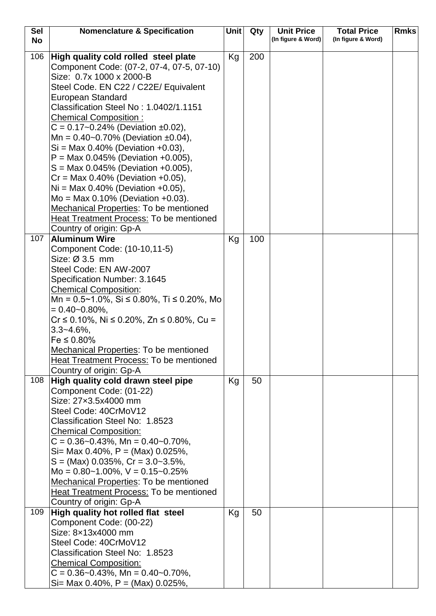| <b>Sel</b> | <b>Nomenclature &amp; Specification</b>                          | Unit | Qty | <b>Unit Price</b>  | <b>Total Price</b> | <b>Rmks</b> |
|------------|------------------------------------------------------------------|------|-----|--------------------|--------------------|-------------|
| <b>No</b>  |                                                                  |      |     | (In figure & Word) | (In figure & Word) |             |
| 106        | High quality cold rolled steel plate                             | Kg   | 200 |                    |                    |             |
|            | Component Code: (07-2, 07-4, 07-5, 07-10)                        |      |     |                    |                    |             |
|            | Size: 0.7x 1000 x 2000-B                                         |      |     |                    |                    |             |
|            | Steel Code. EN C22 / C22E/ Equivalent                            |      |     |                    |                    |             |
|            | European Standard                                                |      |     |                    |                    |             |
|            | Classification Steel No: 1.0402/1.1151                           |      |     |                    |                    |             |
|            | <b>Chemical Composition:</b>                                     |      |     |                    |                    |             |
|            | $C = 0.17 - 0.24\%$ (Deviation ±0.02),                           |      |     |                    |                    |             |
|            | Mn = $0.40$ ~0.70% (Deviation ±0.04),                            |      |     |                    |                    |             |
|            | $Si = Max 0.40\%$ (Deviation +0.03),                             |      |     |                    |                    |             |
|            | $P = Max 0.045\%$ (Deviation +0.005),                            |      |     |                    |                    |             |
|            | $S = Max 0.045\%$ (Deviation +0.005),                            |      |     |                    |                    |             |
|            | $Cr = Max 0.40\%$ (Deviation +0.05),                             |      |     |                    |                    |             |
|            | $Ni = Max 0.40\%$ (Deviation +0.05),                             |      |     |                    |                    |             |
|            | $Mo = Max 0.10% (Deviation +0.03).$                              |      |     |                    |                    |             |
|            | <b>Mechanical Properties: To be mentioned</b>                    |      |     |                    |                    |             |
|            | Heat Treatment Process: To be mentioned                          |      |     |                    |                    |             |
|            | Country of origin: Gp-A                                          |      |     |                    |                    |             |
| 107        | <b>Aluminum Wire</b>                                             | Kg   | 100 |                    |                    |             |
|            | Component Code: (10-10,11-5)                                     |      |     |                    |                    |             |
|            | Size: Ø 3.5 mm                                                   |      |     |                    |                    |             |
|            | Steel Code: EN AW-2007                                           |      |     |                    |                    |             |
|            | Specification Number: 3.1645                                     |      |     |                    |                    |             |
|            | <b>Chemical Composition:</b>                                     |      |     |                    |                    |             |
|            | Mn = $0.5 \sim 1.0\%$ , Si $\leq 0.80\%$ , Ti $\leq 0.20\%$ , Mo |      |     |                    |                    |             |
|            | $= 0.40 - 0.80\%$                                                |      |     |                    |                    |             |
|            | $Cr \le 0.10\%$ , Ni $\le 0.20\%$ , Zn $\le 0.80\%$ , Cu =       |      |     |                    |                    |             |
|            | $3.3 - 4.6\%$                                                    |      |     |                    |                    |             |
|            | $Fe \le 0.80\%$                                                  |      |     |                    |                    |             |
|            | <b>Mechanical Properties: To be mentioned</b>                    |      |     |                    |                    |             |
|            | Heat Treatment Process: To be mentioned                          |      |     |                    |                    |             |
|            | Country of origin: Gp-A                                          |      |     |                    |                    |             |
| 108        | High quality cold drawn steel pipe                               | Kg   | 50  |                    |                    |             |
|            | Component Code: (01-22)                                          |      |     |                    |                    |             |
|            | Size: 27x3.5x4000 mm                                             |      |     |                    |                    |             |
|            | Steel Code: 40CrMoV12                                            |      |     |                    |                    |             |
|            | Classification Steel No: 1.8523                                  |      |     |                    |                    |             |
|            | <b>Chemical Composition:</b>                                     |      |     |                    |                    |             |
|            | $C = 0.36 - 0.43\%$ , Mn = 0.40 ~ 0.70%,                         |      |     |                    |                    |             |
|            | Si= Max 0.40%, $P = (Max)$ 0.025%,                               |      |     |                    |                    |             |
|            | $S = (Max)$ 0.035%, $Cr = 3.0 - 3.5\%$ ,                         |      |     |                    |                    |             |
|            | Mo = $0.80 - 1.00\%$ , $V = 0.15 - 0.25\%$                       |      |     |                    |                    |             |
|            | <b>Mechanical Properties: To be mentioned</b>                    |      |     |                    |                    |             |
|            | <b>Heat Treatment Process: To be mentioned</b>                   |      |     |                    |                    |             |
|            | Country of origin: Gp-A                                          |      |     |                    |                    |             |
| 109        | High quality hot rolled flat steel                               | Kg   | 50  |                    |                    |             |
|            | Component Code: (00-22)                                          |      |     |                    |                    |             |
|            | Size: 8x13x4000 mm                                               |      |     |                    |                    |             |
|            | Steel Code: 40CrMoV12                                            |      |     |                    |                    |             |
|            | Classification Steel No: 1.8523                                  |      |     |                    |                    |             |
|            | <b>Chemical Composition:</b>                                     |      |     |                    |                    |             |
|            | $C = 0.36 - 0.43\%$ , Mn = 0.40 ~ 0.70%,                         |      |     |                    |                    |             |
|            | Si= Max 0.40%, $P = (Max)$ 0.025%,                               |      |     |                    |                    |             |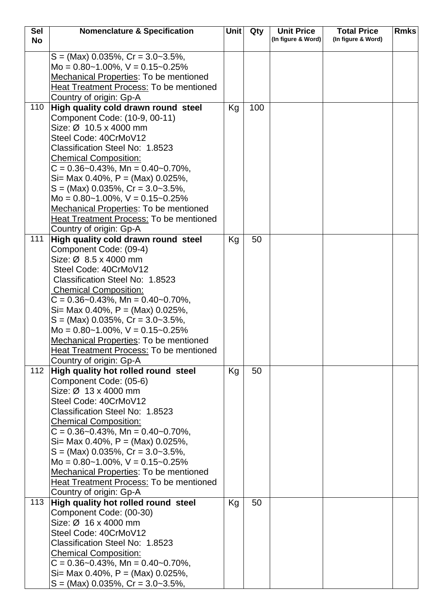| <b>Sel</b> | <b>Nomenclature &amp; Specification</b>                                  | <b>Unit</b> | Qty | <b>Unit Price</b>  | <b>Total Price</b> | <b>Rmks</b> |
|------------|--------------------------------------------------------------------------|-------------|-----|--------------------|--------------------|-------------|
| <b>No</b>  |                                                                          |             |     | (In figure & Word) | (In figure & Word) |             |
|            | $S = (Max)$ 0.035%, $Cr = 3.0 - 3.5\%$ ,                                 |             |     |                    |                    |             |
|            | Mo = $0.80 - 1.00\%$ , $V = 0.15 - 0.25\%$                               |             |     |                    |                    |             |
|            | <b>Mechanical Properties: To be mentioned</b>                            |             |     |                    |                    |             |
|            | Heat Treatment Process: To be mentioned                                  |             |     |                    |                    |             |
|            | Country of origin: Gp-A                                                  |             |     |                    |                    |             |
| 110        | High quality cold drawn round steel                                      | Kg          | 100 |                    |                    |             |
|            | Component Code: (10-9, 00-11)                                            |             |     |                    |                    |             |
|            | Size: Ø 10.5 x 4000 mm                                                   |             |     |                    |                    |             |
|            | Steel Code: 40CrMoV12                                                    |             |     |                    |                    |             |
|            | Classification Steel No: 1.8523                                          |             |     |                    |                    |             |
|            | <b>Chemical Composition:</b>                                             |             |     |                    |                    |             |
|            | $C = 0.36 - 0.43\%$ , Mn = 0.40 ~ 0.70%,                                 |             |     |                    |                    |             |
|            | Si= Max 0.40%, $P = (Max)$ 0.025%,                                       |             |     |                    |                    |             |
|            | $S = (Max)$ 0.035%, $Cr = 3.0 - 3.5%$ ,                                  |             |     |                    |                    |             |
|            | Mo = $0.80 - 1.00\%$ , $V = 0.15 - 0.25\%$                               |             |     |                    |                    |             |
|            | Mechanical Properties: To be mentioned                                   |             |     |                    |                    |             |
|            | <b>Heat Treatment Process: To be mentioned</b>                           |             |     |                    |                    |             |
|            | Country of origin: Gp-A                                                  |             |     |                    |                    |             |
| 111        | High quality cold drawn round steel                                      | Kg          | 50  |                    |                    |             |
|            | Component Code: (09-4)                                                   |             |     |                    |                    |             |
|            | Size: Ø 8.5 x 4000 mm                                                    |             |     |                    |                    |             |
|            | Steel Code: 40CrMoV12                                                    |             |     |                    |                    |             |
|            | Classification Steel No: 1.8523                                          |             |     |                    |                    |             |
|            | <b>Chemical Composition:</b><br>$C = 0.36 - 0.43\%$ , Mn = 0.40 ~ 0.70%, |             |     |                    |                    |             |
|            | Si= Max 0.40%, $P = (Max)$ 0.025%,                                       |             |     |                    |                    |             |
|            | $S = (Max)$ 0.035%, $Cr = 3.0 - 3.5%$ ,                                  |             |     |                    |                    |             |
|            | Mo = $0.80 - 1.00\%$ , V = $0.15 - 0.25\%$                               |             |     |                    |                    |             |
|            | <b>Mechanical Properties: To be mentioned</b>                            |             |     |                    |                    |             |
|            | <b>Heat Treatment Process: To be mentioned</b>                           |             |     |                    |                    |             |
|            | Country of origin: Gp-A                                                  |             |     |                    |                    |             |
| 112        | High quality hot rolled round steel                                      | Kg          | 50  |                    |                    |             |
|            | Component Code: (05-6)                                                   |             |     |                    |                    |             |
|            | Size: Ø 13 x 4000 mm                                                     |             |     |                    |                    |             |
|            | Steel Code: 40CrMoV12                                                    |             |     |                    |                    |             |
|            | Classification Steel No: 1.8523                                          |             |     |                    |                    |             |
|            | <b>Chemical Composition:</b>                                             |             |     |                    |                    |             |
|            | $C = 0.36 - 0.43\%$ , Mn = 0.40 ~ 0.70%,                                 |             |     |                    |                    |             |
|            | Si= Max 0.40%, $P = (Max)$ 0.025%,                                       |             |     |                    |                    |             |
|            | $S = (Max)$ 0.035%, $Cr = 3.0 - 3.5\%$ ,                                 |             |     |                    |                    |             |
|            | Mo = $0.80 - 1.00\%$ , $V = 0.15 - 0.25\%$                               |             |     |                    |                    |             |
|            | Mechanical Properties: To be mentioned                                   |             |     |                    |                    |             |
|            | <b>Heat Treatment Process: To be mentioned</b>                           |             |     |                    |                    |             |
| 113        | Country of origin: Gp-A<br>High quality hot rolled round steel           | Kg          | 50  |                    |                    |             |
|            | Component Code: (00-30)                                                  |             |     |                    |                    |             |
|            | Size: Ø 16 x 4000 mm                                                     |             |     |                    |                    |             |
|            | Steel Code: 40CrMoV12                                                    |             |     |                    |                    |             |
|            | Classification Steel No: 1.8523                                          |             |     |                    |                    |             |
|            | <b>Chemical Composition:</b>                                             |             |     |                    |                    |             |
|            | $C = 0.36 - 0.43\%$ , Mn = 0.40 ~ 0.70%,                                 |             |     |                    |                    |             |
|            | Si= Max 0.40%, $P = (Max)$ 0.025%,                                       |             |     |                    |                    |             |
|            | $S = (Max)$ 0.035%, $Cr = 3.0 - 3.5\%$ ,                                 |             |     |                    |                    |             |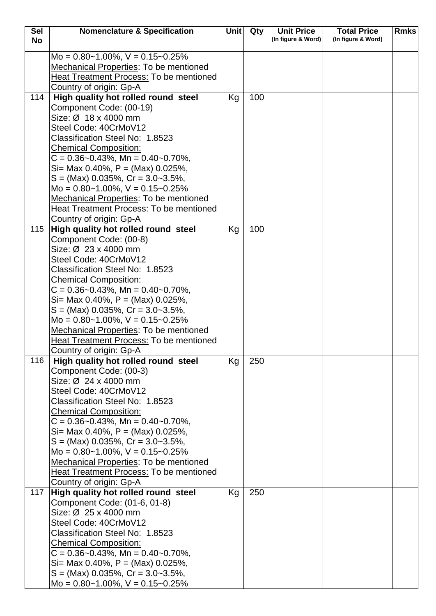| <b>Sel</b> | <b>Nomenclature &amp; Specification</b>        | <b>Unit</b> | Qty | <b>Unit Price</b>  | <b>Total Price</b> | <b>Rmks</b> |
|------------|------------------------------------------------|-------------|-----|--------------------|--------------------|-------------|
| <b>No</b>  |                                                |             |     | (In figure & Word) | (In figure & Word) |             |
|            |                                                |             |     |                    |                    |             |
|            | Mo = $0.80 - 1.00\%$ , V = $0.15 - 0.25\%$     |             |     |                    |                    |             |
|            | <b>Mechanical Properties: To be mentioned</b>  |             |     |                    |                    |             |
|            | Heat Treatment Process: To be mentioned        |             |     |                    |                    |             |
|            | Country of origin: Gp-A                        |             |     |                    |                    |             |
| 114        | High quality hot rolled round steel            | Kg          | 100 |                    |                    |             |
|            | Component Code: (00-19)                        |             |     |                    |                    |             |
|            | Size: Ø 18 x 4000 mm                           |             |     |                    |                    |             |
|            | Steel Code: 40CrMoV12                          |             |     |                    |                    |             |
|            | Classification Steel No: 1.8523                |             |     |                    |                    |             |
|            | <b>Chemical Composition:</b>                   |             |     |                    |                    |             |
|            | $C = 0.36 - 0.43\%$ , Mn = 0.40 ~ 0.70%,       |             |     |                    |                    |             |
|            | Si= Max 0.40%, P = (Max) $0.025%$ ,            |             |     |                    |                    |             |
|            | $S = (Max)$ 0.035%, Cr = 3.0~3.5%,             |             |     |                    |                    |             |
|            | Mo = $0.80 - 1.00\%$ , V = $0.15 - 0.25\%$     |             |     |                    |                    |             |
|            | Mechanical Properties: To be mentioned         |             |     |                    |                    |             |
|            | <b>Heat Treatment Process: To be mentioned</b> |             |     |                    |                    |             |
|            | Country of origin: Gp-A                        |             |     |                    |                    |             |
| 115        | High quality hot rolled round steel            | Kg          | 100 |                    |                    |             |
|            | Component Code: (00-8)                         |             |     |                    |                    |             |
|            | Size: Ø 23 x 4000 mm                           |             |     |                    |                    |             |
|            | Steel Code: 40CrMoV12                          |             |     |                    |                    |             |
|            | Classification Steel No: 1.8523                |             |     |                    |                    |             |
|            | <b>Chemical Composition:</b>                   |             |     |                    |                    |             |
|            | $C = 0.36 - 0.43\%$ , Mn = 0.40 ~ 0.70%,       |             |     |                    |                    |             |
|            | Si= Max 0.40%, P = (Max) $0.025%$ ,            |             |     |                    |                    |             |
|            | $S = (Max)$ 0.035%, Cr = 3.0~3.5%,             |             |     |                    |                    |             |
|            | $Mo = 0.80~1.00\%$ , $V = 0.15~0.25\%$         |             |     |                    |                    |             |
|            | <b>Mechanical Properties: To be mentioned</b>  |             |     |                    |                    |             |
|            | Heat Treatment Process: To be mentioned        |             |     |                    |                    |             |
|            | Country of origin: Gp-A                        |             |     |                    |                    |             |
| 116        | High quality hot rolled round steel            | Kg          | 250 |                    |                    |             |
|            | Component Code: (00-3)                         |             |     |                    |                    |             |
|            | Size: Ø 24 x 4000 mm                           |             |     |                    |                    |             |
|            | Steel Code: 40CrMoV12                          |             |     |                    |                    |             |
|            | Classification Steel No: 1.8523                |             |     |                    |                    |             |
|            | <b>Chemical Composition:</b>                   |             |     |                    |                    |             |
|            | $C = 0.36 - 0.43\%$ , Mn = 0.40 ~ 0.70%,       |             |     |                    |                    |             |
|            | Si= Max 0.40%, $P = (Max)$ 0.025%,             |             |     |                    |                    |             |
|            | $S = (Max)$ 0.035%, Cr = 3.0~3.5%,             |             |     |                    |                    |             |
|            | Mo = $0.80 - 1.00\%$ , $V = 0.15 - 0.25\%$     |             |     |                    |                    |             |
|            | <b>Mechanical Properties: To be mentioned</b>  |             |     |                    |                    |             |
|            | <b>Heat Treatment Process: To be mentioned</b> |             |     |                    |                    |             |
|            | Country of origin: Gp-A                        |             |     |                    |                    |             |
| 117        | High quality hot rolled round steel            | Kg          | 250 |                    |                    |             |
|            | Component Code: (01-6, 01-8)                   |             |     |                    |                    |             |
|            | Size: Ø 25 x 4000 mm                           |             |     |                    |                    |             |
|            | Steel Code: 40CrMoV12                          |             |     |                    |                    |             |
|            | Classification Steel No: 1.8523                |             |     |                    |                    |             |
|            | <b>Chemical Composition:</b>                   |             |     |                    |                    |             |
|            | $C = 0.36 - 0.43\%$ , Mn = 0.40 ~ 0.70%,       |             |     |                    |                    |             |
|            | Si= Max 0.40%, $P = (Max)$ 0.025%,             |             |     |                    |                    |             |
|            | $S = (Max)$ 0.035%, Cr = 3.0~3.5%,             |             |     |                    |                    |             |
|            | Mo = $0.80 - 1.00\%$ , V = $0.15 - 0.25\%$     |             |     |                    |                    |             |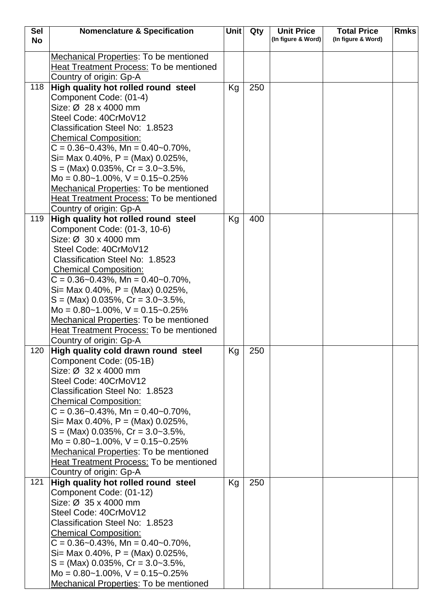| <b>Sel</b> | <b>Nomenclature &amp; Specification</b>                                              | <b>Unit</b> | Qty | <b>Unit Price</b>  | <b>Total Price</b> | <b>Rmks</b> |
|------------|--------------------------------------------------------------------------------------|-------------|-----|--------------------|--------------------|-------------|
| <b>No</b>  |                                                                                      |             |     | (In figure & Word) | (In figure & Word) |             |
|            | Mechanical Properties: To be mentioned                                               |             |     |                    |                    |             |
|            | Heat Treatment Process: To be mentioned                                              |             |     |                    |                    |             |
|            | Country of origin: Gp-A                                                              |             |     |                    |                    |             |
| 118        | High quality hot rolled round steel                                                  | Kg          | 250 |                    |                    |             |
|            | Component Code: (01-4)                                                               |             |     |                    |                    |             |
|            | Size: Ø 28 x 4000 mm                                                                 |             |     |                    |                    |             |
|            | Steel Code: 40CrMoV12                                                                |             |     |                    |                    |             |
|            | Classification Steel No: 1.8523                                                      |             |     |                    |                    |             |
|            | <b>Chemical Composition:</b>                                                         |             |     |                    |                    |             |
|            | $C = 0.36 - 0.43\%$ , Mn = 0.40 ~ 0.70%,                                             |             |     |                    |                    |             |
|            | Si= Max 0.40%, P = (Max) $0.025%$ ,                                                  |             |     |                    |                    |             |
|            | $S = (Max)$ 0.035%, $Cr = 3.0 - 3.5\%$ ,                                             |             |     |                    |                    |             |
|            | Mo = $0.80 - 1.00\%$ , V = $0.15 - 0.25\%$                                           |             |     |                    |                    |             |
|            | Mechanical Properties: To be mentioned                                               |             |     |                    |                    |             |
|            | <b>Heat Treatment Process: To be mentioned</b>                                       |             |     |                    |                    |             |
|            | Country of origin: Gp-A                                                              |             |     |                    |                    |             |
| 119        | High quality hot rolled round steel                                                  | Kg          | 400 |                    |                    |             |
|            | Component Code: (01-3, 10-6)                                                         |             |     |                    |                    |             |
|            | Size: Ø 30 x 4000 mm                                                                 |             |     |                    |                    |             |
|            | Steel Code: 40CrMoV12                                                                |             |     |                    |                    |             |
|            | Classification Steel No: 1.8523                                                      |             |     |                    |                    |             |
|            | <b>Chemical Composition:</b>                                                         |             |     |                    |                    |             |
|            | $C = 0.36 - 0.43\%$ , Mn = 0.40 ~ 0.70%,                                             |             |     |                    |                    |             |
|            | Si= Max 0.40%, $P = (Max)$ 0.025%,                                                   |             |     |                    |                    |             |
|            | $S = (Max)$ 0.035%, $Cr = 3.0 - 3.5\%$ ,                                             |             |     |                    |                    |             |
|            | Mo = $0.80 - 1.00\%$ , $V = 0.15 - 0.25\%$<br>Mechanical Properties: To be mentioned |             |     |                    |                    |             |
|            | Heat Treatment Process: To be mentioned                                              |             |     |                    |                    |             |
|            | Country of origin: Gp-A                                                              |             |     |                    |                    |             |
| 120        | High quality cold drawn round steel                                                  | Kg          | 250 |                    |                    |             |
|            | Component Code: (05-1B)                                                              |             |     |                    |                    |             |
|            | Size: Ø 32 x 4000 mm                                                                 |             |     |                    |                    |             |
|            | Steel Code: 40CrMoV12                                                                |             |     |                    |                    |             |
|            | Classification Steel No: 1.8523                                                      |             |     |                    |                    |             |
|            | <b>Chemical Composition:</b>                                                         |             |     |                    |                    |             |
|            | $C = 0.36 - 0.43\%$ , Mn = 0.40 ~ 0.70%,                                             |             |     |                    |                    |             |
|            | Si= Max 0.40%, $P = (Max)$ 0.025%,                                                   |             |     |                    |                    |             |
|            | $S = (Max)$ 0.035%, $Cr = 3.0 - 3.5\%$ ,                                             |             |     |                    |                    |             |
|            | Mo = $0.80 - 1.00\%$ , $V = 0.15 - 0.25\%$                                           |             |     |                    |                    |             |
|            | Mechanical Properties: To be mentioned                                               |             |     |                    |                    |             |
|            | <b>Heat Treatment Process: To be mentioned</b>                                       |             |     |                    |                    |             |
|            | Country of origin: Gp-A                                                              |             |     |                    |                    |             |
| 121        | High quality hot rolled round steel                                                  | Kg          | 250 |                    |                    |             |
|            | Component Code: (01-12)                                                              |             |     |                    |                    |             |
|            | Size: Ø 35 x 4000 mm                                                                 |             |     |                    |                    |             |
|            | Steel Code: 40CrMoV12                                                                |             |     |                    |                    |             |
|            | Classification Steel No: 1.8523                                                      |             |     |                    |                    |             |
|            | <b>Chemical Composition:</b>                                                         |             |     |                    |                    |             |
|            | $C = 0.36 - 0.43\%$ , Mn = 0.40 ~ 0.70%,<br>Si= Max 0.40%, $P = (Max)$ 0.025%,       |             |     |                    |                    |             |
|            | $S = (Max)$ 0.035%, Cr = 3.0~3.5%,                                                   |             |     |                    |                    |             |
|            | Mo = $0.80 - 1.00\%$ , $V = 0.15 - 0.25\%$                                           |             |     |                    |                    |             |
|            | Mechanical Properties: To be mentioned                                               |             |     |                    |                    |             |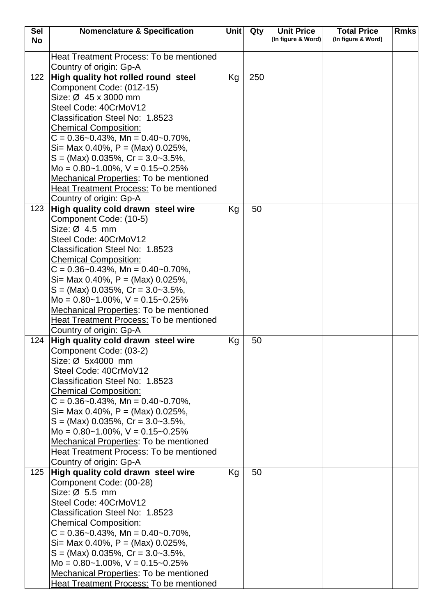| <b>Sel</b> | <b>Nomenclature &amp; Specification</b>                      | Unit | Qty | <b>Unit Price</b>  | <b>Total Price</b> | <b>Rmks</b> |
|------------|--------------------------------------------------------------|------|-----|--------------------|--------------------|-------------|
| <b>No</b>  |                                                              |      |     | (In figure & Word) | (In figure & Word) |             |
|            | <b>Heat Treatment Process: To be mentioned</b>               |      |     |                    |                    |             |
|            | Country of origin: Gp-A                                      |      |     |                    |                    |             |
| 122        | High quality hot rolled round steel                          | Kg   | 250 |                    |                    |             |
|            | Component Code: (01Z-15)                                     |      |     |                    |                    |             |
|            | Size: Ø 45 x 3000 mm                                         |      |     |                    |                    |             |
|            | Steel Code: 40CrMoV12                                        |      |     |                    |                    |             |
|            | Classification Steel No: 1.8523                              |      |     |                    |                    |             |
|            | <b>Chemical Composition:</b>                                 |      |     |                    |                    |             |
|            | $C = 0.36 - 0.43\%$ , Mn = 0.40 ~ 0.70%,                     |      |     |                    |                    |             |
|            | Si= Max 0.40%, P = (Max) 0.025%,                             |      |     |                    |                    |             |
|            | $S = (Max)$ 0.035%, $Cr = 3.0 - 3.5%$ ,                      |      |     |                    |                    |             |
|            | Mo = $0.80 - 1.00\%$ , V = $0.15 - 0.25\%$                   |      |     |                    |                    |             |
|            | Mechanical Properties: To be mentioned                       |      |     |                    |                    |             |
|            | <b>Heat Treatment Process: To be mentioned</b>               |      |     |                    |                    |             |
|            | Country of origin: Gp-A                                      |      |     |                    |                    |             |
| 123        | High quality cold drawn steel wire                           | Kg   | 50  |                    |                    |             |
|            | Component Code: (10-5)                                       |      |     |                    |                    |             |
|            | Size: $\varnothing$ 4.5 mm                                   |      |     |                    |                    |             |
|            | Steel Code: 40CrMoV12                                        |      |     |                    |                    |             |
|            | Classification Steel No: 1.8523                              |      |     |                    |                    |             |
|            | <b>Chemical Composition:</b>                                 |      |     |                    |                    |             |
|            | $C = 0.36 - 0.43\%$ , Mn = 0.40 ~ 0.70%,                     |      |     |                    |                    |             |
|            | Si= Max 0.40%, P = (Max) 0.025%,                             |      |     |                    |                    |             |
|            | $S = (Max)$ 0.035%, $Cr = 3.0 - 3.5%$ ,                      |      |     |                    |                    |             |
|            | Mo = $0.80 - 1.00\%$ , V = $0.15 - 0.25\%$                   |      |     |                    |                    |             |
|            | <b>Mechanical Properties: To be mentioned</b>                |      |     |                    |                    |             |
|            | Heat Treatment Process: To be mentioned                      |      |     |                    |                    |             |
|            | Country of origin: Gp-A                                      |      |     |                    |                    |             |
| 124        | High quality cold drawn steel wire<br>Component Code: (03-2) | Kg   | 50  |                    |                    |             |
|            | Size: Ø 5x4000 mm                                            |      |     |                    |                    |             |
|            | Steel Code: 40CrMoV12                                        |      |     |                    |                    |             |
|            | Classification Steel No: 1.8523                              |      |     |                    |                    |             |
|            | <b>Chemical Composition:</b>                                 |      |     |                    |                    |             |
|            | $C = 0.36 - 0.43\%$ , Mn = 0.40 ~ 0.70%,                     |      |     |                    |                    |             |
|            | Si= Max 0.40%, $P = (Max)$ 0.025%,                           |      |     |                    |                    |             |
|            | $S = (Max)$ 0.035%, Cr = 3.0~3.5%,                           |      |     |                    |                    |             |
|            | Mo = $0.80 - 1.00\%$ , V = $0.15 - 0.25\%$                   |      |     |                    |                    |             |
|            | Mechanical Properties: To be mentioned                       |      |     |                    |                    |             |
|            | <b>Heat Treatment Process: To be mentioned</b>               |      |     |                    |                    |             |
|            | Country of origin: Gp-A                                      |      |     |                    |                    |             |
| 125        | High quality cold drawn steel wire                           | Kg   | 50  |                    |                    |             |
|            | Component Code: (00-28)                                      |      |     |                    |                    |             |
|            | Size: Ø 5.5 mm                                               |      |     |                    |                    |             |
|            | Steel Code: 40CrMoV12                                        |      |     |                    |                    |             |
|            | Classification Steel No: 1.8523                              |      |     |                    |                    |             |
|            | <b>Chemical Composition:</b>                                 |      |     |                    |                    |             |
|            | $C = 0.36 - 0.43\%$ , Mn = 0.40 ~ 0.70%,                     |      |     |                    |                    |             |
|            | Si= Max 0.40%, $P = (Max)$ 0.025%,                           |      |     |                    |                    |             |
|            | $S = (Max)$ 0.035%, Cr = 3.0~3.5%,                           |      |     |                    |                    |             |
|            | Mo = $0.80 - 1.00\%$ , V = $0.15 - 0.25\%$                   |      |     |                    |                    |             |
|            | Mechanical Properties: To be mentioned                       |      |     |                    |                    |             |
|            | Heat Treatment Process: To be mentioned                      |      |     |                    |                    |             |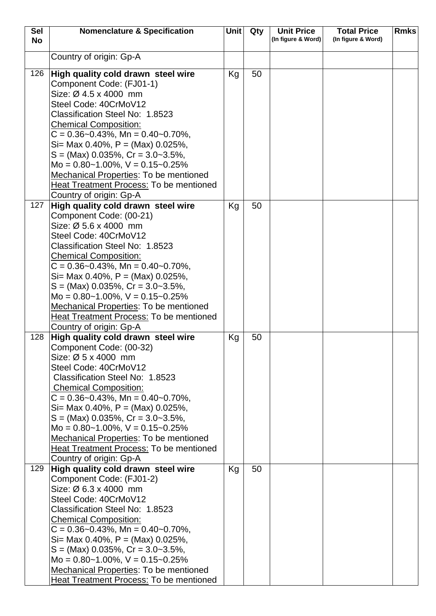| <b>Sel</b> | <b>Nomenclature &amp; Specification</b>                                                     | <b>Unit</b> | Qty | <b>Unit Price</b>  | <b>Total Price</b> | <b>Rmks</b> |
|------------|---------------------------------------------------------------------------------------------|-------------|-----|--------------------|--------------------|-------------|
| <b>No</b>  |                                                                                             |             |     | (In figure & Word) | (In figure & Word) |             |
|            | Country of origin: Gp-A                                                                     |             |     |                    |                    |             |
|            |                                                                                             |             |     |                    |                    |             |
| 126        | High quality cold drawn steel wire                                                          | Kg          | 50  |                    |                    |             |
|            | Component Code: (FJ01-1)<br>Size: $\varnothing$ 4.5 x 4000 mm                               |             |     |                    |                    |             |
|            | Steel Code: 40CrMoV12                                                                       |             |     |                    |                    |             |
|            | Classification Steel No: 1.8523                                                             |             |     |                    |                    |             |
|            | <b>Chemical Composition:</b>                                                                |             |     |                    |                    |             |
|            | $C = 0.36 - 0.43\%$ , Mn = 0.40 ~ 0.70%,                                                    |             |     |                    |                    |             |
|            | Si= Max 0.40%, $P = (Max)$ 0.025%,                                                          |             |     |                    |                    |             |
|            | $S = (Max)$ 0.035%, $Cr = 3.0 - 3.5%$ ,                                                     |             |     |                    |                    |             |
|            | Mo = $0.80 - 1.00\%$ , V = $0.15 - 0.25\%$                                                  |             |     |                    |                    |             |
|            | <b>Mechanical Properties: To be mentioned</b>                                               |             |     |                    |                    |             |
|            | <b>Heat Treatment Process: To be mentioned</b>                                              |             |     |                    |                    |             |
|            | Country of origin: Gp-A                                                                     |             |     |                    |                    |             |
| 127        | High quality cold drawn steel wire                                                          | Kg          | 50  |                    |                    |             |
|            | Component Code: (00-21)                                                                     |             |     |                    |                    |             |
|            | Size: $\varnothing$ 5.6 x 4000 mm                                                           |             |     |                    |                    |             |
|            | Steel Code: 40CrMoV12                                                                       |             |     |                    |                    |             |
|            | Classification Steel No: 1.8523                                                             |             |     |                    |                    |             |
|            | <b>Chemical Composition:</b><br>$C = 0.36 - 0.43\%$ , Mn = 0.40 ~ 0.70%,                    |             |     |                    |                    |             |
|            | Si= Max 0.40%, $P = (Max)$ 0.025%,                                                          |             |     |                    |                    |             |
|            | $S = (Max)$ 0.035%, $Cr = 3.0 - 3.5%$ ,                                                     |             |     |                    |                    |             |
|            | Mo = $0.80 - 1.00\%$ , V = $0.15 - 0.25\%$                                                  |             |     |                    |                    |             |
|            | Mechanical Properties: To be mentioned                                                      |             |     |                    |                    |             |
|            | Heat Treatment Process: To be mentioned                                                     |             |     |                    |                    |             |
|            | Country of origin: Gp-A                                                                     |             |     |                    |                    |             |
| 128        | High quality cold drawn steel wire                                                          | Kg          | 50  |                    |                    |             |
|            | Component Code: (00-32)                                                                     |             |     |                    |                    |             |
|            | Size: $\varnothing$ 5 x 4000 mm                                                             |             |     |                    |                    |             |
|            | Steel Code: 40CrMoV12                                                                       |             |     |                    |                    |             |
|            | Classification Steel No: 1.8523                                                             |             |     |                    |                    |             |
|            | <b>Chemical Composition:</b>                                                                |             |     |                    |                    |             |
|            | $C = 0.36 - 0.43\%$ , Mn = 0.40 ~ 0.70%,<br>Si= Max 0.40%, P = (Max) $0.025%$ ,             |             |     |                    |                    |             |
|            | $S = (Max)$ 0.035%, $Cr = 3.0 - 3.5\%$ ,                                                    |             |     |                    |                    |             |
|            | Mo = $0.80 - 1.00\%$ , V = $0.15 - 0.25\%$                                                  |             |     |                    |                    |             |
|            | <b>Mechanical Properties: To be mentioned</b>                                               |             |     |                    |                    |             |
|            | Heat Treatment Process: To be mentioned                                                     |             |     |                    |                    |             |
|            | Country of origin: Gp-A                                                                     |             |     |                    |                    |             |
| 129        | High quality cold drawn steel wire                                                          | Kg          | 50  |                    |                    |             |
|            | Component Code: (FJ01-2)                                                                    |             |     |                    |                    |             |
|            | Size: Ø 6.3 x 4000 mm                                                                       |             |     |                    |                    |             |
|            | Steel Code: 40CrMoV12                                                                       |             |     |                    |                    |             |
|            | Classification Steel No: 1.8523                                                             |             |     |                    |                    |             |
|            | <b>Chemical Composition:</b>                                                                |             |     |                    |                    |             |
|            | $C = 0.36 - 0.43\%$ , Mn = 0.40 ~ 0.70%,                                                    |             |     |                    |                    |             |
|            | Si= Max 0.40%, $P = (Max)$ 0.025%,                                                          |             |     |                    |                    |             |
|            | $S = (Max)$ 0.035%, $Cr = 3.0 - 3.5%$ ,                                                     |             |     |                    |                    |             |
|            | Mo = $0.80 - 1.00\%$ , $V = 0.15 - 0.25\%$<br><b>Mechanical Properties: To be mentioned</b> |             |     |                    |                    |             |
|            | <b>Heat Treatment Process: To be mentioned</b>                                              |             |     |                    |                    |             |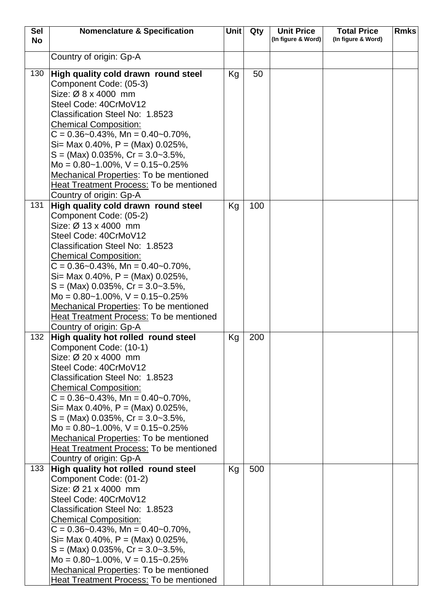| <b>Sel</b><br><b>No</b> | <b>Nomenclature &amp; Specification</b>                                                                                                                                                                                                                                                                                                                                                                                                                                            | <b>Unit</b> | Qty | <b>Unit Price</b><br>(In figure & Word) | <b>Total Price</b><br>(In figure & Word) | <b>Rmks</b> |
|-------------------------|------------------------------------------------------------------------------------------------------------------------------------------------------------------------------------------------------------------------------------------------------------------------------------------------------------------------------------------------------------------------------------------------------------------------------------------------------------------------------------|-------------|-----|-----------------------------------------|------------------------------------------|-------------|
|                         | Country of origin: Gp-A                                                                                                                                                                                                                                                                                                                                                                                                                                                            |             |     |                                         |                                          |             |
| 130                     | High quality cold drawn round steel<br>Component Code: (05-3)<br>Size: Ø 8 x 4000 mm<br>Steel Code: 40CrMoV12<br>Classification Steel No: 1.8523<br><b>Chemical Composition:</b><br>$C = 0.36 - 0.43\%$ , Mn = 0.40 ~ 0.70%,<br>Si= Max 0.40%, P = (Max) 0.025%,<br>$S = (Max)$ 0.035%, $Cr = 3.0 - 3.5\%$ ,<br>Mo = $0.80 - 1.00\%$ , V = $0.15 - 0.25\%$<br>Mechanical Properties: To be mentioned<br>Heat Treatment Process: To be mentioned<br>Country of origin: Gp-A         | Kg          | 50  |                                         |                                          |             |
| 131                     | High quality cold drawn round steel<br>Component Code: (05-2)<br>Size: Ø 13 x 4000 mm<br>Steel Code: 40CrMoV12<br>Classification Steel No: 1.8523<br><b>Chemical Composition:</b><br>$C = 0.36 - 0.43\%$ , Mn = 0.40 ~ 0.70%,<br>Si= Max 0.40%, P = (Max) 0.025%,<br>$S = (Max)$ 0.035%, $Cr = 3.0 - 3.5\%$ ,<br>Mo = $0.80 - 1.00\%$ , V = $0.15 - 0.25\%$<br>Mechanical Properties: To be mentioned<br><b>Heat Treatment Process: To be mentioned</b><br>Country of origin: Gp-A | Kg          | 100 |                                         |                                          |             |
| 132                     | High quality hot rolled round steel<br>Component Code: (10-1)<br>Size: Ø 20 x 4000 mm<br>Steel Code: 40CrMoV12<br>Classification Steel No: 1.8523<br><b>Chemical Composition:</b><br>$C = 0.36 - 0.43\%$ , Mn = 0.40 ~ 0.70%,<br>Si= Max 0.40%, P = (Max) 0.025%,<br>$S = (Max)$ 0.035%, $Cr = 3.0 - 3.5\%$ ,<br>Mo = $0.80 - 1.00\%$ , V = $0.15 - 0.25\%$<br><b>Mechanical Properties: To be mentioned</b><br>Heat Treatment Process: To be mentioned<br>Country of origin: Gp-A | Kg          | 200 |                                         |                                          |             |
| 133                     | High quality hot rolled round steel<br>Component Code: (01-2)<br>Size: Ø 21 x 4000 mm<br>Steel Code: 40CrMoV12<br>Classification Steel No: 1.8523<br><b>Chemical Composition:</b><br>$C = 0.36 - 0.43\%$ , Mn = 0.40 ~ 0.70%,<br>Si= Max 0.40%, P = (Max) 0.025%,<br>$S = (Max)$ 0.035%, $Cr = 3.0 - 3.5\%$ ,<br>Mo = $0.80 - 1.00\%$ , $V = 0.15 - 0.25\%$<br><b>Mechanical Properties: To be mentioned</b><br><b>Heat Treatment Process: To be mentioned</b>                     | Kg          | 500 |                                         |                                          |             |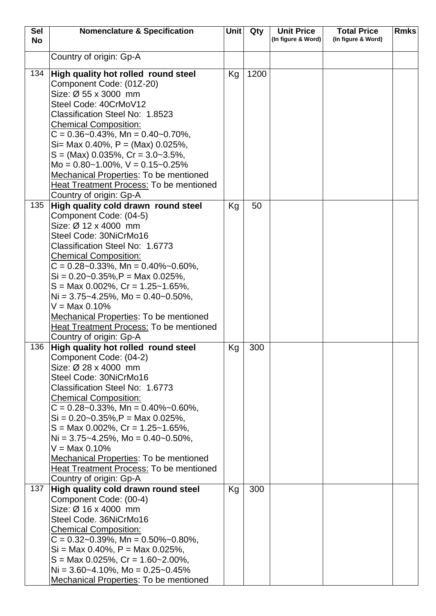| <b>Sel</b> | <b>Nomenclature &amp; Specification</b>                                            | <b>Unit</b> | Qty  | <b>Unit Price</b>  | <b>Total Price</b> | <b>Rmks</b> |
|------------|------------------------------------------------------------------------------------|-------------|------|--------------------|--------------------|-------------|
| <b>No</b>  |                                                                                    |             |      | (In figure & Word) | (In figure & Word) |             |
|            | Country of origin: Gp-A                                                            |             |      |                    |                    |             |
|            |                                                                                    |             |      |                    |                    |             |
| 134        | High quality hot rolled round steel                                                | Kg          | 1200 |                    |                    |             |
|            | Component Code: (01Z-20)                                                           |             |      |                    |                    |             |
|            | Size: Ø 55 x 3000 mm                                                               |             |      |                    |                    |             |
|            | Steel Code: 40CrMoV12                                                              |             |      |                    |                    |             |
|            | Classification Steel No: 1.8523                                                    |             |      |                    |                    |             |
|            | <b>Chemical Composition:</b>                                                       |             |      |                    |                    |             |
|            | $C = 0.36 - 0.43\%$ , Mn = 0.40 ~ 0.70%,                                           |             |      |                    |                    |             |
|            | Si= Max 0.40%, P = (Max) 0.025%,                                                   |             |      |                    |                    |             |
|            | $S = (Max)$ 0.035%, $Cr = 3.0 - 3.5%$ ,                                            |             |      |                    |                    |             |
|            | Mo = $0.80 - 1.00\%$ , $V = 0.15 - 0.25\%$                                         |             |      |                    |                    |             |
|            | <b>Mechanical Properties: To be mentioned</b>                                      |             |      |                    |                    |             |
|            | <b>Heat Treatment Process: To be mentioned</b>                                     |             |      |                    |                    |             |
| 135        | Country of origin: Gp-A<br>High quality cold drawn round steel                     | Kg          | 50   |                    |                    |             |
|            | Component Code: (04-5)                                                             |             |      |                    |                    |             |
|            | Size: Ø 12 x 4000 mm                                                               |             |      |                    |                    |             |
|            | Steel Code: 30NiCrMo16                                                             |             |      |                    |                    |             |
|            | Classification Steel No: 1.6773                                                    |             |      |                    |                    |             |
|            | <b>Chemical Composition:</b>                                                       |             |      |                    |                    |             |
|            | $C = 0.28 - 0.33\%$ , Mn = 0.40% ~ 0.60%,                                          |             |      |                    |                    |             |
|            | $Si = 0.20 - 0.35\%, P = \text{Max } 0.025\%,$                                     |             |      |                    |                    |             |
|            | $S = \text{Max } 0.002\%$ , $Cr = 1.25 \text{--} 1.65\%$ ,                         |             |      |                    |                    |             |
|            | Ni = $3.75 - 4.25\%$ , Mo = $0.40 - 0.50\%$ ,                                      |             |      |                    |                    |             |
|            | $V = Max 0.10%$                                                                    |             |      |                    |                    |             |
|            | <b>Mechanical Properties: To be mentioned</b>                                      |             |      |                    |                    |             |
|            | <b>Heat Treatment Process: To be mentioned</b>                                     |             |      |                    |                    |             |
|            | Country of origin: Gp-A                                                            |             |      |                    |                    |             |
| 136        | High quality hot rolled round steel                                                | Kg          | 300  |                    |                    |             |
|            | Component Code: (04-2)                                                             |             |      |                    |                    |             |
|            | Size: Ø 28 x 4000 mm<br>Steel Code: 30NiCrMo16                                     |             |      |                    |                    |             |
|            | Classification Steel No: 1.6773                                                    |             |      |                    |                    |             |
|            | <b>Chemical Composition:</b>                                                       |             |      |                    |                    |             |
|            | $C = 0.28 - 0.33\%$ , Mn = 0.40% ~ 0.60%,                                          |             |      |                    |                    |             |
|            | $Si = 0.20 - 0.35\%, P = \text{Max } 0.025\%,$                                     |             |      |                    |                    |             |
|            | $S = \text{Max } 0.002\%$ , $Cr = 1.25 - 1.65\%$ ,                                 |             |      |                    |                    |             |
|            | $Ni = 3.75 - 4.25\%$ , Mo = 0.40 ~ 0.50%,                                          |             |      |                    |                    |             |
|            | $V = Max 0.10%$                                                                    |             |      |                    |                    |             |
|            | <b>Mechanical Properties: To be mentioned</b>                                      |             |      |                    |                    |             |
|            | Heat Treatment Process: To be mentioned                                            |             |      |                    |                    |             |
|            | Country of origin: Gp-A                                                            |             |      |                    |                    |             |
| 137        | High quality cold drawn round steel                                                | Kg          | 300  |                    |                    |             |
|            | Component Code: (00-4)                                                             |             |      |                    |                    |             |
|            | Size: Ø 16 x 4000 mm                                                               |             |      |                    |                    |             |
|            | Steel Code. 36NiCrMo16                                                             |             |      |                    |                    |             |
|            | <b>Chemical Composition:</b>                                                       |             |      |                    |                    |             |
|            | $C = 0.32 - 0.39\%$ , Mn = 0.50%~0.80%,<br>$Si = Max 0.40\%$ , $P = Max 0.025\%$ , |             |      |                    |                    |             |
|            | $S = \text{Max } 0.025\%$ , $Cr = 1.60 - 2.00\%$ ,                                 |             |      |                    |                    |             |
|            | $Ni = 3.60 - 4.10\%$ , Mo = 0.25 ~ 0.45%                                           |             |      |                    |                    |             |
|            | <b>Mechanical Properties: To be mentioned</b>                                      |             |      |                    |                    |             |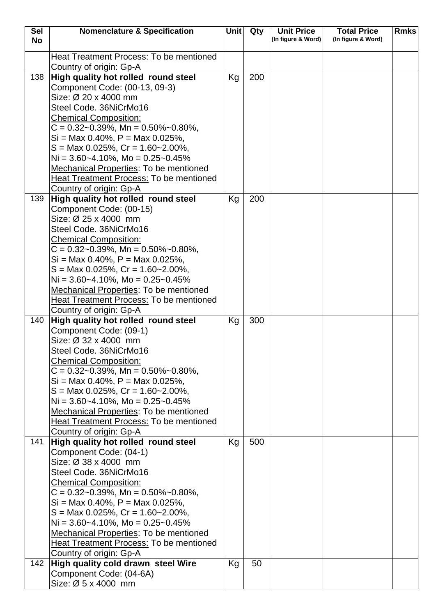| <b>Sel</b> | <b>Nomenclature &amp; Specification</b>                                           | Unit | Qty | <b>Unit Price</b>  | <b>Total Price</b> | <b>Rmks</b> |
|------------|-----------------------------------------------------------------------------------|------|-----|--------------------|--------------------|-------------|
| <b>No</b>  |                                                                                   |      |     | (In figure & Word) | (In figure & Word) |             |
|            | <b>Heat Treatment Process: To be mentioned</b>                                    |      |     |                    |                    |             |
|            | Country of origin: Gp-A                                                           |      |     |                    |                    |             |
| 138        | High quality hot rolled round steel                                               | Kg   | 200 |                    |                    |             |
|            | Component Code: (00-13, 09-3)                                                     |      |     |                    |                    |             |
|            | Size: Ø 20 x 4000 mm                                                              |      |     |                    |                    |             |
|            | Steel Code. 36NiCrMo16                                                            |      |     |                    |                    |             |
|            | <b>Chemical Composition:</b>                                                      |      |     |                    |                    |             |
|            | $C = 0.32 - 0.39\%$ , Mn = 0.50%~0.80%,                                           |      |     |                    |                    |             |
|            | $Si = Max 0.40\%$ , $P = Max 0.025\%$ ,                                           |      |     |                    |                    |             |
|            | $S = \text{Max } 0.025\%$ , $Cr = 1.60 - 2.00\%$ ,                                |      |     |                    |                    |             |
|            | $Ni = 3.60-4.10\%$ , Mo = 0.25~0.45%                                              |      |     |                    |                    |             |
|            | <b>Mechanical Properties: To be mentioned</b>                                     |      |     |                    |                    |             |
|            | Heat Treatment Process: To be mentioned                                           |      |     |                    |                    |             |
|            | Country of origin: Gp-A                                                           |      |     |                    |                    |             |
| 139        | High quality hot rolled round steel                                               | Kg   | 200 |                    |                    |             |
|            | Component Code: (00-15)                                                           |      |     |                    |                    |             |
|            | Size: Ø 25 x 4000 mm                                                              |      |     |                    |                    |             |
|            | Steel Code. 36NiCrMo16                                                            |      |     |                    |                    |             |
|            | <b>Chemical Composition:</b>                                                      |      |     |                    |                    |             |
|            | $C = 0.32 - 0.39\%$ , Mn = 0.50%~0.80%,                                           |      |     |                    |                    |             |
|            | $Si = Max 0.40\%$ , $P = Max 0.025\%$ ,                                           |      |     |                    |                    |             |
|            | $S = \text{Max } 0.025\%$ , $Cr = 1.60 - 2.00\%$ ,                                |      |     |                    |                    |             |
|            | $Ni = 3.60-4.10\%$ , Mo = 0.25~0.45%                                              |      |     |                    |                    |             |
|            | <b>Mechanical Properties: To be mentioned</b>                                     |      |     |                    |                    |             |
|            | <b>Heat Treatment Process: To be mentioned</b>                                    |      |     |                    |                    |             |
| 140        | Country of origin: Gp-A<br>High quality hot rolled round steel                    | Kg   | 300 |                    |                    |             |
|            | Component Code: (09-1)                                                            |      |     |                    |                    |             |
|            | Size: Ø 32 x 4000 mm                                                              |      |     |                    |                    |             |
|            | Steel Code. 36NiCrMo16                                                            |      |     |                    |                    |             |
|            | <b>Chemical Composition:</b>                                                      |      |     |                    |                    |             |
|            | $C = 0.32 - 0.39\%$ , Mn = 0.50% ~ 0.80%,                                         |      |     |                    |                    |             |
|            | $Si = Max 0.40\%$ , $P = Max 0.025\%$ ,                                           |      |     |                    |                    |             |
|            | $S = \text{Max } 0.025\%$ , $Cr = 1.60 - 2.00\%$ ,                                |      |     |                    |                    |             |
|            | Ni = $3.60 - 4.10\%$ , Mo = $0.25 - 0.45\%$                                       |      |     |                    |                    |             |
|            | <b>Mechanical Properties: To be mentioned</b>                                     |      |     |                    |                    |             |
|            | <b>Heat Treatment Process: To be mentioned</b>                                    |      |     |                    |                    |             |
|            | Country of origin: Gp-A                                                           |      |     |                    |                    |             |
| 141        | High quality hot rolled round steel                                               | Kg   | 500 |                    |                    |             |
|            | Component Code: (04-1)                                                            |      |     |                    |                    |             |
|            | Size: Ø 38 x 4000 mm                                                              |      |     |                    |                    |             |
|            | Steel Code. 36NiCrMo16                                                            |      |     |                    |                    |             |
|            | <b>Chemical Composition:</b>                                                      |      |     |                    |                    |             |
|            | $C = 0.32 - 0.39\%$ , Mn = 0.50% ~ 0.80%,                                         |      |     |                    |                    |             |
|            | $Si = Max 0.40\%$ , $P = Max 0.025\%$ ,                                           |      |     |                    |                    |             |
|            | $S = \text{Max } 0.025\%$ , $Cr = 1.60 - 2.00\%$ ,                                |      |     |                    |                    |             |
|            | Ni = $3.60 - 4.10\%$ , Mo = $0.25 - 0.45\%$                                       |      |     |                    |                    |             |
|            | Mechanical Properties: To be mentioned<br>Heat Treatment Process: To be mentioned |      |     |                    |                    |             |
|            | Country of origin: Gp-A                                                           |      |     |                    |                    |             |
| 142        | High quality cold drawn steel Wire                                                | Kg   | 50  |                    |                    |             |
|            | Component Code: (04-6A)                                                           |      |     |                    |                    |             |
|            | Size: Ø 5 x 4000 mm                                                               |      |     |                    |                    |             |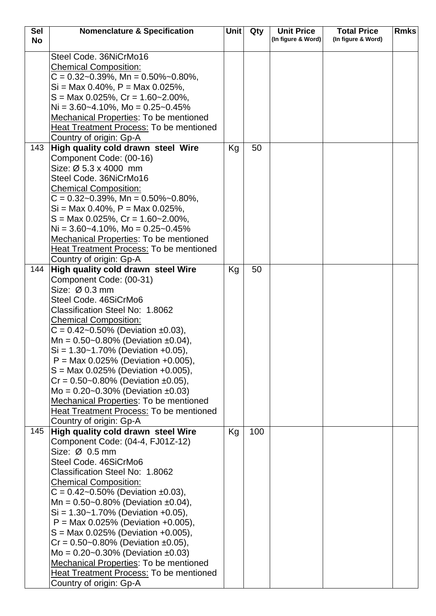| <b>Sel</b><br><b>No</b> | <b>Nomenclature &amp; Specification</b>                                                                                                                                                                                                                                                                                                                                                                                                                                                                                                                                                                                    | <b>Unit</b> | Qty | <b>Unit Price</b><br>(In figure & Word) | <b>Total Price</b><br>(In figure & Word) | <b>Rmks</b> |
|-------------------------|----------------------------------------------------------------------------------------------------------------------------------------------------------------------------------------------------------------------------------------------------------------------------------------------------------------------------------------------------------------------------------------------------------------------------------------------------------------------------------------------------------------------------------------------------------------------------------------------------------------------------|-------------|-----|-----------------------------------------|------------------------------------------|-------------|
|                         | Steel Code. 36NiCrMo16<br><b>Chemical Composition:</b><br>$C = 0.32 - 0.39\%$ , Mn = 0.50%~0.80%,<br>$Si = Max 0.40\%$ , $P = Max 0.025\%$ ,<br>$S = \text{Max } 0.025\%, Cr = 1.60 - 2.00\%,$<br>Ni = $3.60 - 4.10\%$ , Mo = $0.25 - 0.45\%$<br><b>Mechanical Properties: To be mentioned</b><br>Heat Treatment Process: To be mentioned<br>Country of origin: Gp-A                                                                                                                                                                                                                                                       |             |     |                                         |                                          |             |
| 143                     | High quality cold drawn steel Wire<br>Component Code: (00-16)<br>Size: Ø 5.3 x 4000 mm<br>Steel Code. 36NiCrMo16<br><b>Chemical Composition:</b><br>$C = 0.32 - 0.39\%$ , Mn = 0.50% ~ 0.80%,<br>$Si = Max 0.40\%$ , $P = Max 0.025\%$ ,<br>$S = \text{Max } 0.025\%$ , $Cr = 1.60 - 2.00\%$ ,<br>Ni = $3.60 - 4.10\%$ , Mo = $0.25 - 0.45\%$<br><b>Mechanical Properties: To be mentioned</b><br><b>Heat Treatment Process: To be mentioned</b><br>Country of origin: Gp-A                                                                                                                                                | Kg          | 50  |                                         |                                          |             |
| 144                     | High quality cold drawn steel Wire<br>Component Code: (00-31)<br>Size: Ø 0.3 mm<br>Steel Code. 46SiCrMo6<br>Classification Steel No: 1.8062<br><b>Chemical Composition:</b><br>$C = 0.42 - 0.50\%$ (Deviation ±0.03),<br>Mn = $0.50$ ~0.80% (Deviation ±0.04),<br>$Si = 1.30 - 1.70\%$ (Deviation +0.05),<br>$P = Max 0.025\%$ (Deviation +0.005),<br>$S = \text{Max } 0.025\%$ (Deviation +0.005),<br>$Cr = 0.50 - 0.80\%$ (Deviation ±0.05),<br>Mo = $0.20 - 0.30\%$ (Deviation ±0.03)<br><b>Mechanical Properties: To be mentioned</b><br>Heat Treatment Process: To be mentioned<br>Country of origin: Gp-A            | Kg          | 50  |                                         |                                          |             |
| 145                     | High quality cold drawn steel Wire<br>Component Code: (04-4, FJ01Z-12)<br>Size: $\varnothing$ 0.5 mm<br>Steel Code. 46SiCrMo6<br>Classification Steel No: 1.8062<br><b>Chemical Composition:</b><br>$C = 0.42 - 0.50\%$ (Deviation ±0.03),<br>Mn = $0.50 - 0.80\%$ (Deviation ±0.04),<br>$Si = 1.30 - 1.70\%$ (Deviation +0.05),<br>$P = Max 0.025\%$ (Deviation +0.005),<br>$S = Max 0.025%$ (Deviation +0.005),<br>$Cr = 0.50 - 0.80\%$ (Deviation ±0.05),<br>$Mo = 0.20~0.30%$ (Deviation ±0.03)<br>Mechanical Properties: To be mentioned<br><b>Heat Treatment Process: To be mentioned</b><br>Country of origin: Gp-A | Kg          | 100 |                                         |                                          |             |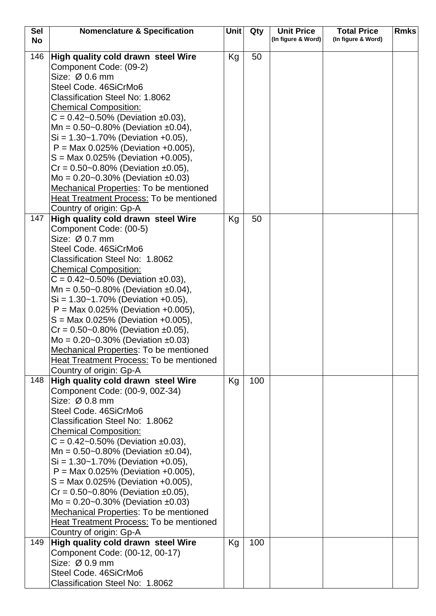| <b>Sel</b> | <b>Nomenclature &amp; Specification</b>                                        | <b>Unit</b> | Qty | <b>Unit Price</b>  | <b>Total Price</b> | <b>Rmks</b> |
|------------|--------------------------------------------------------------------------------|-------------|-----|--------------------|--------------------|-------------|
| <b>No</b>  |                                                                                |             |     | (In figure & Word) | (In figure & Word) |             |
| 146        | High quality cold drawn steel Wire                                             | Kg          | 50  |                    |                    |             |
|            | Component Code: (09-2)                                                         |             |     |                    |                    |             |
|            | Size: Ø 0.6 mm                                                                 |             |     |                    |                    |             |
|            | Steel Code. 46SiCrMo6                                                          |             |     |                    |                    |             |
|            | Classification Steel No: 1.8062                                                |             |     |                    |                    |             |
|            | <b>Chemical Composition:</b>                                                   |             |     |                    |                    |             |
|            | $C = 0.42 - 0.50\%$ (Deviation ±0.03),                                         |             |     |                    |                    |             |
|            | Mn = $0.50$ ~0.80% (Deviation ±0.04),                                          |             |     |                    |                    |             |
|            | $Si = 1.30 - 1.70\%$ (Deviation +0.05),                                        |             |     |                    |                    |             |
|            | $P = Max 0.025\%$ (Deviation +0.005),                                          |             |     |                    |                    |             |
|            | $S = Max 0.025\%$ (Deviation +0.005),                                          |             |     |                    |                    |             |
|            | $Cr = 0.50 - 0.80\%$ (Deviation ±0.05),                                        |             |     |                    |                    |             |
|            | Mo = $0.20 - 0.30\%$ (Deviation ±0.03)                                         |             |     |                    |                    |             |
|            | <b>Mechanical Properties: To be mentioned</b>                                  |             |     |                    |                    |             |
|            | Heat Treatment Process: To be mentioned                                        |             |     |                    |                    |             |
|            | Country of origin: Gp-A                                                        |             |     |                    |                    |             |
| 147        | High quality cold drawn steel Wire                                             | Kg          | 50  |                    |                    |             |
|            | Component Code: (00-5)                                                         |             |     |                    |                    |             |
|            | Size: Ø 0.7 mm                                                                 |             |     |                    |                    |             |
|            | Steel Code. 46SiCrMo6                                                          |             |     |                    |                    |             |
|            | Classification Steel No: 1.8062                                                |             |     |                    |                    |             |
|            | <b>Chemical Composition:</b>                                                   |             |     |                    |                    |             |
|            | $C = 0.42 - 0.50\%$ (Deviation ±0.03),                                         |             |     |                    |                    |             |
|            | Mn = $0.50$ ~0.80% (Deviation ±0.04),                                          |             |     |                    |                    |             |
|            | $Si = 1.30 - 1.70\%$ (Deviation +0.05),                                        |             |     |                    |                    |             |
|            | $P = Max 0.025\%$ (Deviation +0.005),<br>$S = Max 0.025\%$ (Deviation +0.005), |             |     |                    |                    |             |
|            | $Cr = 0.50 - 0.80\%$ (Deviation ±0.05),                                        |             |     |                    |                    |             |
|            | Mo = $0.20 - 0.30\%$ (Deviation ±0.03)                                         |             |     |                    |                    |             |
|            | <b>Mechanical Properties: To be mentioned</b>                                  |             |     |                    |                    |             |
|            | Heat Treatment Process: To be mentioned                                        |             |     |                    |                    |             |
|            | Country of origin: Gp-A                                                        |             |     |                    |                    |             |
| 148        | High quality cold drawn steel Wire                                             | Kg          | 100 |                    |                    |             |
|            | Component Code: (00-9, 00Z-34)                                                 |             |     |                    |                    |             |
|            | Size: $Ø$ 0.8 mm                                                               |             |     |                    |                    |             |
|            | Steel Code. 46SiCrMo6                                                          |             |     |                    |                    |             |
|            | Classification Steel No: 1.8062                                                |             |     |                    |                    |             |
|            | <b>Chemical Composition:</b>                                                   |             |     |                    |                    |             |
|            | $C = 0.42 - 0.50\%$ (Deviation ±0.03),                                         |             |     |                    |                    |             |
|            | Mn = $0.50$ ~0.80% (Deviation ±0.04),                                          |             |     |                    |                    |             |
|            | $Si = 1.30 - 1.70\%$ (Deviation +0.05),                                        |             |     |                    |                    |             |
|            | $P = Max 0.025\%$ (Deviation +0.005),                                          |             |     |                    |                    |             |
|            | $S = Max 0.025%$ (Deviation +0.005),                                           |             |     |                    |                    |             |
|            | $Cr = 0.50 - 0.80\%$ (Deviation ±0.05),                                        |             |     |                    |                    |             |
|            | Mo = $0.20 - 0.30\%$ (Deviation $\pm 0.03$ )                                   |             |     |                    |                    |             |
|            | <b>Mechanical Properties: To be mentioned</b>                                  |             |     |                    |                    |             |
|            | <b>Heat Treatment Process: To be mentioned</b>                                 |             |     |                    |                    |             |
| 149        | Country of origin: Gp-A<br>High quality cold drawn steel Wire                  | Kg          | 100 |                    |                    |             |
|            | Component Code: (00-12, 00-17)                                                 |             |     |                    |                    |             |
|            | Size: Ø 0.9 mm                                                                 |             |     |                    |                    |             |
|            | Steel Code. 46SiCrMo6                                                          |             |     |                    |                    |             |
|            | Classification Steel No: 1.8062                                                |             |     |                    |                    |             |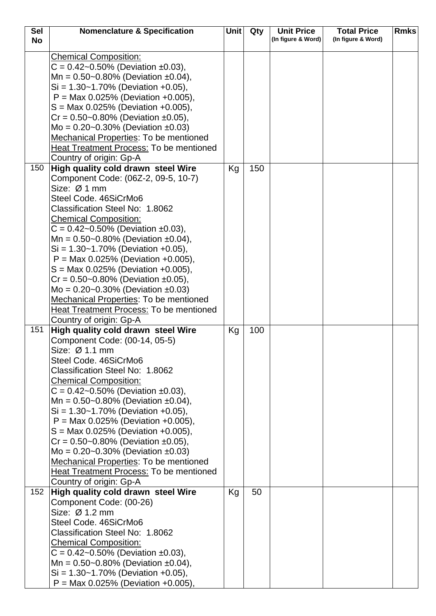| <b>Sel</b> | <b>Nomenclature &amp; Specification</b>                                          | <b>Unit</b> | Qty | <b>Unit Price</b>  | <b>Total Price</b> | <b>Rmks</b> |
|------------|----------------------------------------------------------------------------------|-------------|-----|--------------------|--------------------|-------------|
| <b>No</b>  |                                                                                  |             |     | (In figure & Word) | (In figure & Word) |             |
|            | <b>Chemical Composition:</b>                                                     |             |     |                    |                    |             |
|            | $C = 0.42 - 0.50\%$ (Deviation ±0.03),                                           |             |     |                    |                    |             |
|            | Mn = $0.50$ ~0.80% (Deviation ±0.04),                                            |             |     |                    |                    |             |
|            | $Si = 1.30 - 1.70\%$ (Deviation +0.05),                                          |             |     |                    |                    |             |
|            | $P = Max 0.025\%$ (Deviation +0.005),                                            |             |     |                    |                    |             |
|            | $S = \text{Max } 0.025\%$ (Deviation +0.005),                                    |             |     |                    |                    |             |
|            | $Cr = 0.50 - 0.80\%$ (Deviation ±0.05),                                          |             |     |                    |                    |             |
|            | Mo = $0.20 - 0.30\%$ (Deviation $\pm 0.03$ )                                     |             |     |                    |                    |             |
|            | Mechanical Properties: To be mentioned                                           |             |     |                    |                    |             |
|            | <b>Heat Treatment Process: To be mentioned</b>                                   |             |     |                    |                    |             |
|            | Country of origin: Gp-A                                                          |             |     |                    |                    |             |
| 150        | High quality cold drawn steel Wire                                               | Kg          | 150 |                    |                    |             |
|            | Component Code: (06Z-2, 09-5, 10-7)                                              |             |     |                    |                    |             |
|            | Size: Ø 1 mm                                                                     |             |     |                    |                    |             |
|            | Steel Code. 46SiCrMo6                                                            |             |     |                    |                    |             |
|            | Classification Steel No: 1.8062                                                  |             |     |                    |                    |             |
|            | <b>Chemical Composition:</b>                                                     |             |     |                    |                    |             |
|            | $C = 0.42 - 0.50\%$ (Deviation ±0.03),                                           |             |     |                    |                    |             |
|            | Mn = $0.50$ ~0.80% (Deviation ±0.04),                                            |             |     |                    |                    |             |
|            | $Si = 1.30 - 1.70\%$ (Deviation +0.05),                                          |             |     |                    |                    |             |
|            | $P = Max 0.025\%$ (Deviation +0.005),                                            |             |     |                    |                    |             |
|            | $S = \text{Max } 0.025\%$ (Deviation +0.005),                                    |             |     |                    |                    |             |
|            | $Cr = 0.50 - 0.80\%$ (Deviation ±0.05),                                          |             |     |                    |                    |             |
|            | Mo = $0.20 - 0.30\%$ (Deviation ±0.03)                                           |             |     |                    |                    |             |
|            | <b>Mechanical Properties: To be mentioned</b>                                    |             |     |                    |                    |             |
|            | <b>Heat Treatment Process: To be mentioned</b>                                   |             |     |                    |                    |             |
|            | Country of origin: Gp-A                                                          |             |     |                    |                    |             |
| 151        | High quality cold drawn steel Wire                                               | Kg          | 100 |                    |                    |             |
|            | Component Code: (00-14, 05-5)                                                    |             |     |                    |                    |             |
|            | Size: Ø 1.1 mm                                                                   |             |     |                    |                    |             |
|            | Steel Code, 46SiCrMo6                                                            |             |     |                    |                    |             |
|            | Classification Steel No: 1.8062                                                  |             |     |                    |                    |             |
|            | <b>Chemical Composition:</b>                                                     |             |     |                    |                    |             |
|            | $C = 0.42 - 0.50\%$ (Deviation ±0.03),                                           |             |     |                    |                    |             |
|            | Mn = $0.50$ ~0.80% (Deviation ±0.04),                                            |             |     |                    |                    |             |
|            | $Si = 1.30 - 1.70\%$ (Deviation +0.05),<br>$P = Max 0.025\%$ (Deviation +0.005), |             |     |                    |                    |             |
|            | $S = \text{Max } 0.025\%$ (Deviation +0.005),                                    |             |     |                    |                    |             |
|            | $Cr = 0.50 - 0.80\%$ (Deviation ±0.05),                                          |             |     |                    |                    |             |
|            | Mo = $0.20 - 0.30\%$ (Deviation $\pm 0.03$ )                                     |             |     |                    |                    |             |
|            | Mechanical Properties: To be mentioned                                           |             |     |                    |                    |             |
|            | <b>Heat Treatment Process: To be mentioned</b>                                   |             |     |                    |                    |             |
|            | Country of origin: Gp-A                                                          |             |     |                    |                    |             |
| 152        | High quality cold drawn steel Wire                                               | Kg          | 50  |                    |                    |             |
|            | Component Code: (00-26)                                                          |             |     |                    |                    |             |
|            | Size: Ø 1.2 mm                                                                   |             |     |                    |                    |             |
|            | Steel Code. 46SiCrMo6                                                            |             |     |                    |                    |             |
|            | Classification Steel No: 1.8062                                                  |             |     |                    |                    |             |
|            | <b>Chemical Composition:</b>                                                     |             |     |                    |                    |             |
|            | $C = 0.42 - 0.50\%$ (Deviation ±0.03),                                           |             |     |                    |                    |             |
|            | Mn = $0.50$ ~0.80% (Deviation ±0.04),                                            |             |     |                    |                    |             |
|            | $Si = 1.30 - 1.70\%$ (Deviation +0.05),                                          |             |     |                    |                    |             |
|            | $P = Max 0.025\%$ (Deviation +0.005),                                            |             |     |                    |                    |             |